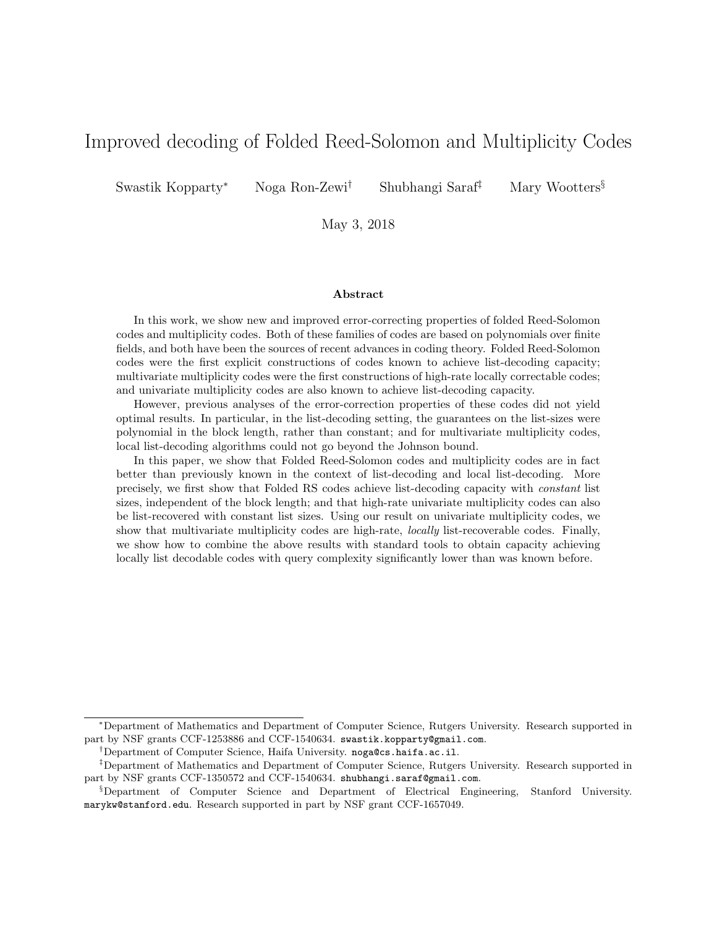# Improved decoding of Folded Reed-Solomon and Multiplicity Codes

Swastik Kopparty<sup>∗</sup> Noga Ron-Zewi† Shubhangi Saraf‡ Mary Wootters§

May 3, 2018

#### Abstract

In this work, we show new and improved error-correcting properties of folded Reed-Solomon codes and multiplicity codes. Both of these families of codes are based on polynomials over finite fields, and both have been the sources of recent advances in coding theory. Folded Reed-Solomon codes were the first explicit constructions of codes known to achieve list-decoding capacity; multivariate multiplicity codes were the first constructions of high-rate locally correctable codes; and univariate multiplicity codes are also known to achieve list-decoding capacity.

However, previous analyses of the error-correction properties of these codes did not yield optimal results. In particular, in the list-decoding setting, the guarantees on the list-sizes were polynomial in the block length, rather than constant; and for multivariate multiplicity codes, local list-decoding algorithms could not go beyond the Johnson bound.

In this paper, we show that Folded Reed-Solomon codes and multiplicity codes are in fact better than previously known in the context of list-decoding and local list-decoding. More precisely, we first show that Folded RS codes achieve list-decoding capacity with constant list sizes, independent of the block length; and that high-rate univariate multiplicity codes can also be list-recovered with constant list sizes. Using our result on univariate multiplicity codes, we show that multivariate multiplicity codes are high-rate, locally list-recoverable codes. Finally, we show how to combine the above results with standard tools to obtain capacity achieving locally list decodable codes with query complexity significantly lower than was known before.

<sup>∗</sup>Department of Mathematics and Department of Computer Science, Rutgers University. Research supported in part by NSF grants CCF-1253886 and CCF-1540634. swastik.kopparty@gmail.com.

<sup>†</sup>Department of Computer Science, Haifa University. noga@cs.haifa.ac.il.

<sup>‡</sup>Department of Mathematics and Department of Computer Science, Rutgers University. Research supported in part by NSF grants CCF-1350572 and CCF-1540634. shubhangi.saraf@gmail.com.

<sup>§</sup>Department of Computer Science and Department of Electrical Engineering, Stanford University. marykw@stanford.edu. Research supported in part by NSF grant CCF-1657049.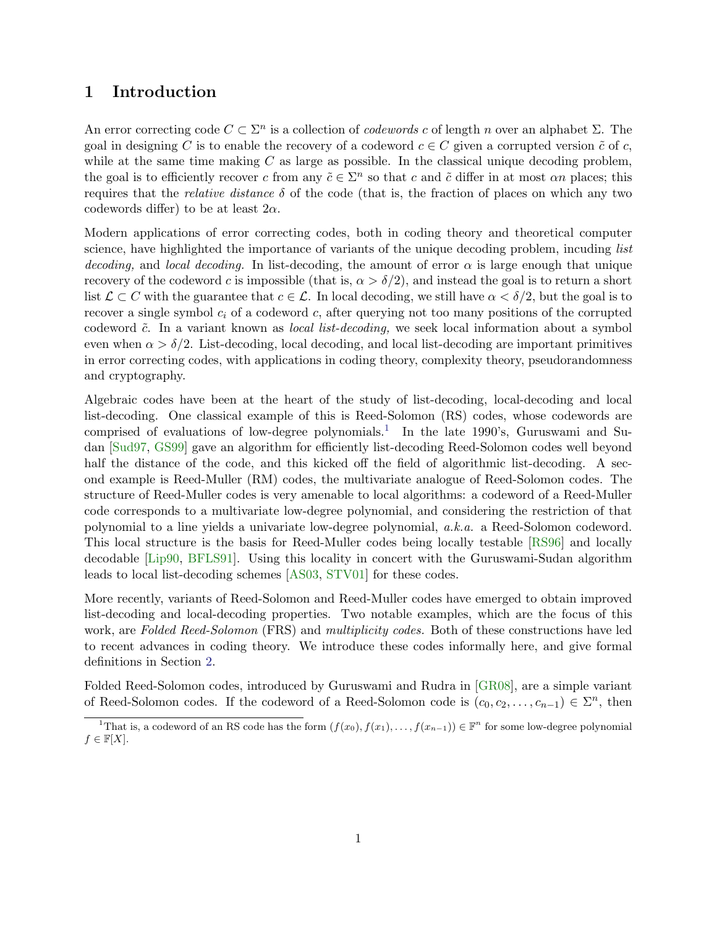## 1 Introduction

An error correcting code  $C \subset \Sigma^n$  is a collection of *codewords c* of length *n* over an alphabet  $\Sigma$ . The goal in designing C is to enable the recovery of a codeword  $c \in C$  given a corrupted version  $\tilde{c}$  of c, while at the same time making  $C$  as large as possible. In the classical unique decoding problem, the goal is to efficiently recover c from any  $\tilde{c} \in \Sigma^n$  so that c and  $\tilde{c}$  differ in at most  $\alpha n$  places; this requires that the *relative distance*  $\delta$  of the code (that is, the fraction of places on which any two codewords differ) to be at least  $2\alpha$ .

Modern applications of error correcting codes, both in coding theory and theoretical computer science, have highlighted the importance of variants of the unique decoding problem, incuding *list* decoding, and local decoding. In list-decoding, the amount of error  $\alpha$  is large enough that unique recovery of the codeword c is impossible (that is,  $\alpha > \delta/2$ ), and instead the goal is to return a short list  $\mathcal{L} \subset C$  with the guarantee that  $c \in \mathcal{L}$ . In local decoding, we still have  $\alpha < \delta/2$ , but the goal is to recover a single symbol  $c_i$  of a codeword c, after querying not too many positions of the corrupted codeword  $\tilde{c}$ . In a variant known as *local list-decoding*, we seek local information about a symbol even when  $\alpha > \delta/2$ . List-decoding, local decoding, and local list-decoding are important primitives in error correcting codes, with applications in coding theory, complexity theory, pseudorandomness and cryptography.

Algebraic codes have been at the heart of the study of list-decoding, local-decoding and local list-decoding. One classical example of this is Reed-Solomon (RS) codes, whose codewords are comprised of evaluations of low-degree polynomials.<sup>[1](#page-1-0)</sup> In the late 1990's, Guruswami and Sudan [\[Sud97,](#page-56-0) [GS99\]](#page-54-0) gave an algorithm for efficiently list-decoding Reed-Solomon codes well beyond half the distance of the code, and this kicked off the field of algorithmic list-decoding. A second example is Reed-Muller (RM) codes, the multivariate analogue of Reed-Solomon codes. The structure of Reed-Muller codes is very amenable to local algorithms: a codeword of a Reed-Muller code corresponds to a multivariate low-degree polynomial, and considering the restriction of that polynomial to a line yields a univariate low-degree polynomial, a.k.a. a Reed-Solomon codeword. This local structure is the basis for Reed-Muller codes being locally testable [\[RS96\]](#page-56-1) and locally decodable [\[Lip90,](#page-56-2) [BFLS91\]](#page-53-0). Using this locality in concert with the Guruswami-Sudan algorithm leads to local list-decoding schemes [\[AS03,](#page-53-1) [STV01\]](#page-56-3) for these codes.

More recently, variants of Reed-Solomon and Reed-Muller codes have emerged to obtain improved list-decoding and local-decoding properties. Two notable examples, which are the focus of this work, are Folded Reed-Solomon (FRS) and multiplicity codes. Both of these constructions have led to recent advances in coding theory. We introduce these codes informally here, and give formal definitions in Section [2.](#page-11-0)

Folded Reed-Solomon codes, introduced by Guruswami and Rudra in [\[GR08\]](#page-54-1), are a simple variant of Reed-Solomon codes. If the codeword of a Reed-Solomon code is  $(c_0, c_2, \ldots, c_{n-1}) \in \Sigma^n$ , then

<span id="page-1-0"></span><sup>&</sup>lt;sup>1</sup>That is, a codeword of an RS code has the form  $(f(x_0), f(x_1), \ldots, f(x_{n-1})) \in \mathbb{F}^n$  for some low-degree polynomial  $f \in \mathbb{F}[X].$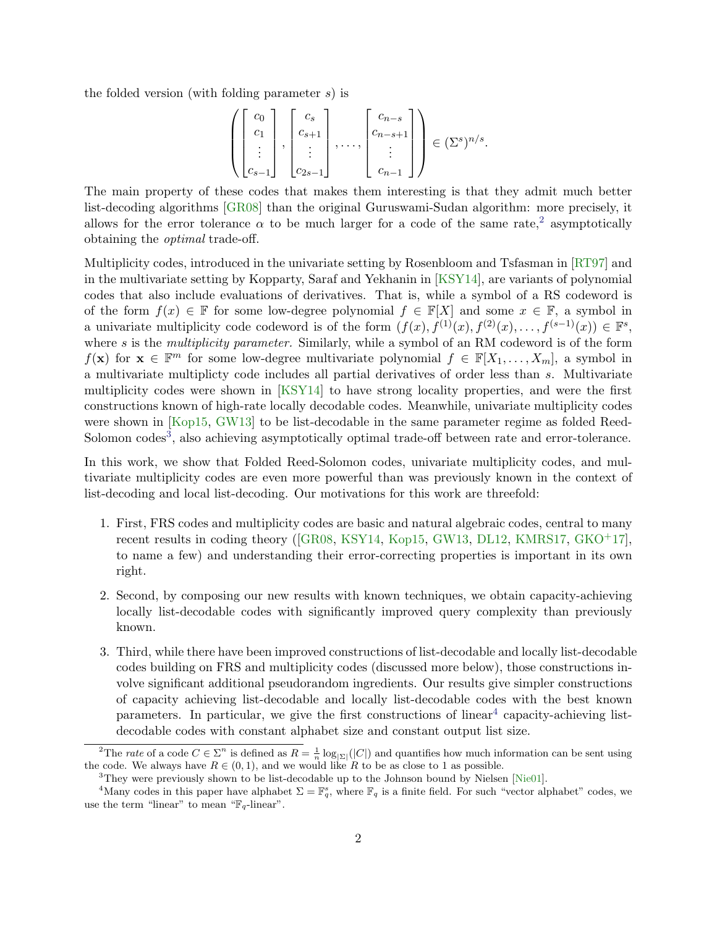the folded version (with folding parameter s) is

$$
\left( \begin{bmatrix} c_0 \\ c_1 \\ \vdots \\ c_{s-1} \end{bmatrix}, \begin{bmatrix} c_s \\ c_{s+1} \\ \vdots \\ c_{2s-1} \end{bmatrix}, \dots, \begin{bmatrix} c_{n-s} \\ c_{n-s+1} \\ \vdots \\ c_{n-1} \end{bmatrix} \right) \in (\Sigma^s)^{n/s}.
$$

The main property of these codes that makes them interesting is that they admit much better list-decoding algorithms [\[GR08\]](#page-54-1) than the original Guruswami-Sudan algorithm: more precisely, it allows for the error tolerance  $\alpha$  to be much larger for a code of the same rate,<sup>[2](#page-2-0)</sup> asymptotically obtaining the optimal trade-off.

Multiplicity codes, introduced in the univariate setting by Rosenbloom and Tsfasman in [\[RT97\]](#page-56-4) and in the multivariate setting by Kopparty, Saraf and Yekhanin in [\[KSY14\]](#page-55-0), are variants of polynomial codes that also include evaluations of derivatives. That is, while a symbol of a RS codeword is of the form  $f(x) \in \mathbb{F}$  for some low-degree polynomial  $f \in \mathbb{F}[X]$  and some  $x \in \mathbb{F}$ , a symbol in a univariate multiplicity code codeword is of the form  $(f(x), f^{(1)}(x), f^{(2)}(x), \ldots, f^{(s-1)}(x)) \in \mathbb{F}^s$ , where s is the *multiplicity parameter*. Similarly, while a symbol of an RM codeword is of the form  $f(\mathbf{x})$  for  $\mathbf{x} \in \mathbb{F}^m$  for some low-degree multivariate polynomial  $f \in \mathbb{F}[X_1,\ldots,X_m]$ , a symbol in a multivariate multiplicty code includes all partial derivatives of order less than s. Multivariate multiplicity codes were shown in [\[KSY14\]](#page-55-0) to have strong locality properties, and were the first constructions known of high-rate locally decodable codes. Meanwhile, univariate multiplicity codes were shown in [\[Kop15,](#page-55-1) [GW13\]](#page-55-2) to be list-decodable in the same parameter regime as folded Reed-Solomon codes<sup>[3](#page-2-1)</sup>, also achieving asymptotically optimal trade-off between rate and error-tolerance.

In this work, we show that Folded Reed-Solomon codes, univariate multiplicity codes, and multivariate multiplicity codes are even more powerful than was previously known in the context of list-decoding and local list-decoding. Our motivations for this work are threefold:

- 1. First, FRS codes and multiplicity codes are basic and natural algebraic codes, central to many recent results in coding theory([\[GR08,](#page-54-1) [KSY14,](#page-55-0) [Kop15,](#page-55-1) [GW13,](#page-55-2) [DL12,](#page-54-2) [KMRS17,](#page-55-3) [GKO](#page-54-3)+17], to name a few) and understanding their error-correcting properties is important in its own right.
- 2. Second, by composing our new results with known techniques, we obtain capacity-achieving locally list-decodable codes with significantly improved query complexity than previously known.
- 3. Third, while there have been improved constructions of list-decodable and locally list-decodable codes building on FRS and multiplicity codes (discussed more below), those constructions involve significant additional pseudorandom ingredients. Our results give simpler constructions of capacity achieving list-decodable and locally list-decodable codes with the best known parameters. In particular, we give the first constructions of linear<sup>[4](#page-2-2)</sup> capacity-achieving listdecodable codes with constant alphabet size and constant output list size.

<span id="page-2-0"></span><sup>&</sup>lt;sup>2</sup>The rate of a code  $C \in \Sigma^n$  is defined as  $R = \frac{1}{n} \log_{|\Sigma|}(|C|)$  and quantifies how much information can be sent using the code. We always have  $R \in (0,1)$ , and we would like R to be as close to 1 as possible.

<span id="page-2-2"></span><span id="page-2-1"></span><sup>&</sup>lt;sup>3</sup>They were previously shown to be list-decodable up to the Johnson bound by Nielsen [\[Nie01\]](#page-56-5).

<sup>&</sup>lt;sup>4</sup>Many codes in this paper have alphabet  $\Sigma = \mathbb{F}_q^s$ , where  $\mathbb{F}_q$  is a finite field. For such "vector alphabet" codes, we use the term "linear" to mean " $\mathbb{F}_q$ -linear".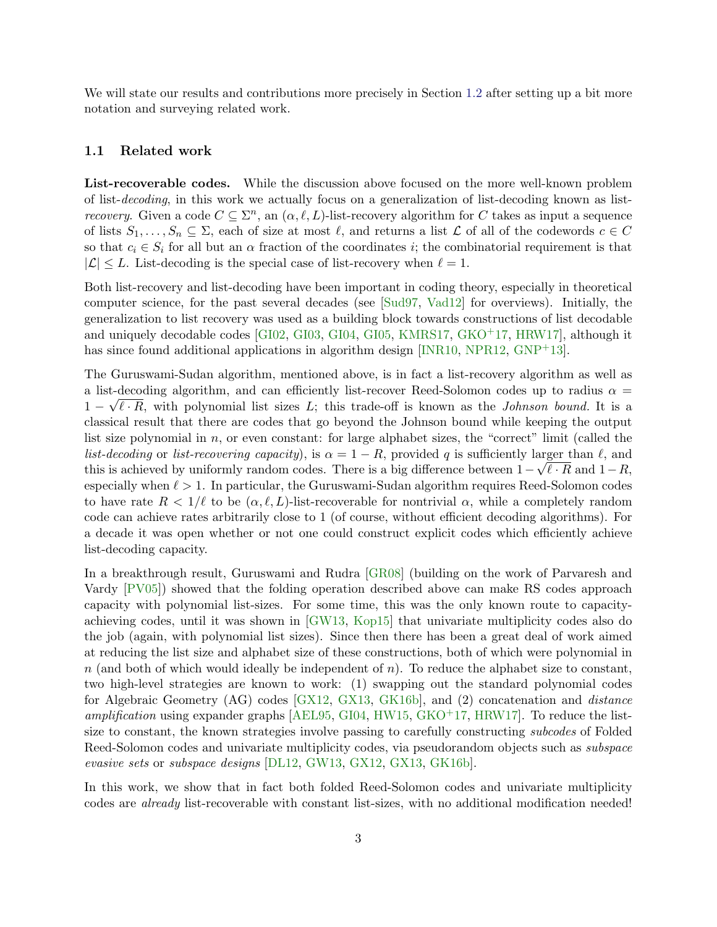We will state our results and contributions more precisely in Section [1.2](#page-6-0) after setting up a bit more notation and surveying related work.

#### 1.1 Related work

List-recoverable codes. While the discussion above focused on the more well-known problem of list-decoding, in this work we actually focus on a generalization of list-decoding known as list*recovery.* Given a code  $C \subseteq \Sigma^n$ , an  $(\alpha, \ell, L)$ -list-recovery algorithm for C takes as input a sequence of lists  $S_1, \ldots, S_n \subseteq \Sigma$ , each of size at most  $\ell$ , and returns a list  $\mathcal L$  of all of the codewords  $c \in C$ so that  $c_i \in S_i$  for all but an  $\alpha$  fraction of the coordinates i; the combinatorial requirement is that  $|\mathcal{L}| \leq L$ . List-decoding is the special case of list-recovery when  $\ell = 1$ .

Both list-recovery and list-decoding have been important in coding theory, especially in theoretical computer science, for the past several decades (see [\[Sud97,](#page-56-0) [Vad12\]](#page-56-6) for overviews). Initially, the generalization to list recovery was used as a building block towards constructions of list decodable and uniquely decodable codes  $[GIO2, GIO3, GIO4, GIO5, KMRS17, GKO<sup>+</sup>17, HRW17]$  $[GIO2, GIO3, GIO4, GIO5, KMRS17, GKO<sup>+</sup>17, HRW17]$  $[GIO2, GIO3, GIO4, GIO5, KMRS17, GKO<sup>+</sup>17, HRW17]$  $[GIO2, GIO3, GIO4, GIO5, KMRS17, GKO<sup>+</sup>17, HRW17]$  $[GIO2, GIO3, GIO4, GIO5, KMRS17, GKO<sup>+</sup>17, HRW17]$  $[GIO2, GIO3, GIO4, GIO5, KMRS17, GKO<sup>+</sup>17, HRW17]$ , although it has since found additional applications in algorithm design  $[NR10, NPR12, GNP<sup>+</sup>13]$  $[NR10, NPR12, GNP<sup>+</sup>13]$  $[NR10, NPR12, GNP<sup>+</sup>13]$  $[NR10, NPR12, GNP<sup>+</sup>13]$  $[NR10, NPR12, GNP<sup>+</sup>13]$ .

The Guruswami-Sudan algorithm, mentioned above, is in fact a list-recovery algorithm as well as a list-decoding algorithm, and can efficiently list-recover Reed-Solomon codes up to radius  $\alpha =$  $1 - \sqrt{\ell} \cdot R$ , with polynomial list sizes L; this trade-off is known as the *Johnson bound*. It is a classical result that there are codes that go beyond the Johnson bound while keeping the output list size polynomial in n, or even constant: for large alphabet sizes, the "correct" limit (called the list-decoding or list-recovering capacity), is  $\alpha = 1 - R$ , provided q is sufficiently larger than  $\ell$ , and this is achieved by uniformly random codes. There is a big difference between  $1 - \sqrt{\ell} \cdot R$  and  $1 - R$ , especially when  $\ell > 1$ . In particular, the Guruswami-Sudan algorithm requires Reed-Solomon codes to have rate  $R < 1/\ell$  to be  $(\alpha, \ell, L)$ -list-recoverable for nontrivial  $\alpha$ , while a completely random code can achieve rates arbitrarily close to 1 (of course, without efficient decoding algorithms). For a decade it was open whether or not one could construct explicit codes which efficiently achieve list-decoding capacity.

In a breakthrough result, Guruswami and Rudra [\[GR08\]](#page-54-1) (building on the work of Parvaresh and Vardy [\[PV05\]](#page-56-8)) showed that the folding operation described above can make RS codes approach capacity with polynomial list-sizes. For some time, this was the only known route to capacityachieving codes, until it was shown in [\[GW13,](#page-55-2) [Kop15\]](#page-55-1) that univariate multiplicity codes also do the job (again, with polynomial list sizes). Since then there has been a great deal of work aimed at reducing the list size and alphabet size of these constructions, both of which were polynomial in  $n$  (and both of which would ideally be independent of  $n$ ). To reduce the alphabet size to constant, two high-level strategies are known to work: (1) swapping out the standard polynomial codes for Algebraic Geometry (AG) codes [\[GX12,](#page-55-6) [GX13,](#page-55-7) [GK16b\]](#page-54-9), and (2) concatenation and distance amplification using expander graphs  $AEL95$ , [GI04,](#page-54-6) [HW15,](#page-55-8) [GKO](#page-54-3)<sup>+</sup>17, HRW17. To reduce the listsize to constant, the known strategies involve passing to carefully constructing subcodes of Folded Reed-Solomon codes and univariate multiplicity codes, via pseudorandom objects such as subspace evasive sets or subspace designs [\[DL12,](#page-54-2) [GW13,](#page-55-2) [GX12,](#page-55-6) [GX13,](#page-55-7) [GK16b\]](#page-54-9).

In this work, we show that in fact both folded Reed-Solomon codes and univariate multiplicity codes are already list-recoverable with constant list-sizes, with no additional modification needed!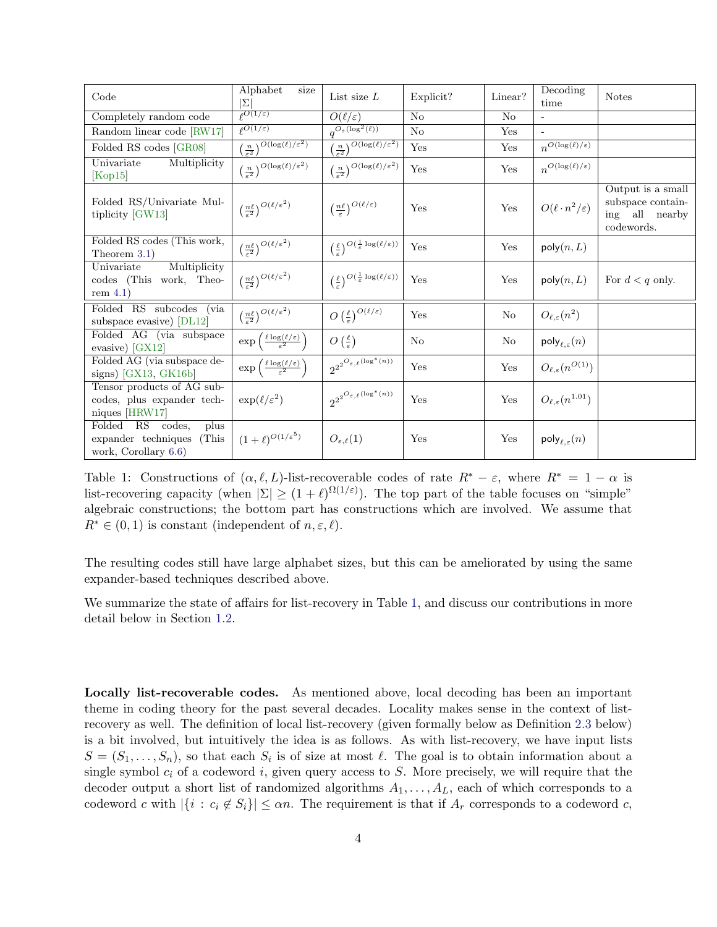| Code                                                                             | Alphabet<br>size<br>$ \Sigma $                                                  | List size $L$                                                                                       | Explicit?      | Linear?        | Decoding<br>time                           | <b>Notes</b>                                                           |
|----------------------------------------------------------------------------------|---------------------------------------------------------------------------------|-----------------------------------------------------------------------------------------------------|----------------|----------------|--------------------------------------------|------------------------------------------------------------------------|
| Completely random code                                                           | $\sqrt{\rho(1/\varepsilon)}$                                                    | $O(\ell/\varepsilon)$                                                                               | N <sub>o</sub> | N <sub>o</sub> | $\omega$                                   |                                                                        |
| Random linear code [RW17]                                                        | $\sqrt{\rho(1/\varepsilon)}$                                                    | $q^{O_{\varepsilon}(\log^2(\ell))}$                                                                 | $\rm No$       | Yes            |                                            |                                                                        |
| Folded RS codes [GR08]                                                           | $\left(\frac{n}{\varepsilon^2}\right)^{O\left(\log(\ell)/\varepsilon^2\right)}$ | $\left(\frac{n}{\varepsilon^2}\right)^{O(\log(\ell)/\varepsilon^2)}$                                | Yes            | Yes            | $n^{\overline{O(\log(\ell)/\varepsilon)}}$ |                                                                        |
| Univariate<br>Multiplicity<br>[Kop15]                                            | $\left(\frac{n}{\varepsilon^2}\right)^{O\left(\log(\ell)/\varepsilon^2\right)}$ | $\left(\frac{n}{\varepsilon^2}\right)^{O\left(\log(\ell)/\varepsilon^2\right)}$                     | Yes            | Yes            | $n^{O(\log(\ell)/\varepsilon)}$            |                                                                        |
| Folded RS/Univariate Mul-<br>tiplicity [GW13]                                    | $\left(\frac{n\ell}{\varepsilon^2}\right)^{O(\ell/\varepsilon^2)}$              | $\left(\frac{n\ell}{\varepsilon}\right)^{O(\ell/\varepsilon)}$                                      | Yes            | Yes            | $O(\ell \cdot n^2/\varepsilon)$            | Output is a small<br>subspace contain-<br>ing all nearby<br>codewords. |
| Folded RS codes (This work,<br>Theorem $3.1$ )                                   | $\left(\frac{n\ell}{\varepsilon^2}\right)^{O(\ell/\varepsilon^2)}$              | $\left(\frac{\ell}{\varepsilon}\right)^{O\left(\frac{1}{\varepsilon}\log(\ell/\varepsilon)\right)}$ | Yes            | Yes            | poly(n, L)                                 |                                                                        |
| Multiplicity<br>Univariate<br>codes (This work, Theo-<br>rem $4.1$ )             | $\left(\frac{n\ell}{\varepsilon^2}\right)^{O(\ell/\varepsilon^2)}$              | $\left(\frac{\ell}{\varepsilon}\right)^{O\left(\frac{1}{\varepsilon}\log(\ell/\varepsilon)\right)}$ | Yes            | Yes            | poly(n, L)                                 | For $d < q$ only.                                                      |
| Folded RS subcodes<br>(via)<br>subspace evasive) [DL12]                          | $\left(\frac{n\ell}{\varepsilon^2}\right)^{O\left(\ell/\varepsilon^2\right)}$   | $O\left(\frac{\ell}{\varepsilon}\right)^{O(\ell/\varepsilon)}$                                      | Yes            | N <sub>o</sub> | $O_{\ell,\varepsilon}(n^2)$                |                                                                        |
| Folded AG (via subspace<br>evasive) $[GX12]$                                     | $\exp\left(\frac{\ell \log(\ell/\varepsilon)}{\varepsilon^2}\right)$            | $O\left(\frac{\ell}{\varepsilon}\right)$                                                            | No             | No             | $\mathsf{poly}_{\ell,\varepsilon}(n)$      |                                                                        |
| Folded AG (via subspace de-<br>signs) $[GX13, GK16b]$                            | $\exp\left(\frac{\ell \log(\ell/\varepsilon)}{\varepsilon^2}\right)$            | $2^{2^{O_{\varepsilon,\ell}(\overline{ \log^*(n))} }}$                                              | Yes            | Yes            | $O_{\ell,\varepsilon}(n^{O(1)})$           |                                                                        |
| Tensor products of AG sub-<br>codes, plus expander tech-<br>niques [HRW17]       | $\exp(\ell/\varepsilon^2)$                                                      | $2^{2^{O_{\varepsilon,\ell}(\log^*(n))}}$                                                           | Yes            | Yes            | $O_{\ell,\varepsilon}(n^{1.01})$           |                                                                        |
| Folded RS codes,<br>plus<br>(This<br>expander techniques<br>work, Corollary 6.6) | $(1+\ell)^{O(1/\varepsilon^5)}$                                                 | $O_{\varepsilon,\ell}(1)$                                                                           | Yes            | Yes            | $\mathsf{poly}_{\ell,\varepsilon}(n)$      |                                                                        |

<span id="page-4-0"></span>Table 1: Constructions of  $(\alpha, \ell, L)$ -list-recoverable codes of rate  $R^* - \varepsilon$ , where  $R^* = 1 - \alpha$  is list-recovering capacity (when  $|\Sigma| \ge (1+\ell)^{\Omega(1/\varepsilon)}$ ). The top part of the table focuses on "simple" algebraic constructions; the bottom part has constructions which are involved. We assume that  $R^* \in (0,1)$  is constant (independent of  $n, \varepsilon, \ell$ ).

The resulting codes still have large alphabet sizes, but this can be ameliorated by using the same expander-based techniques described above.

We summarize the state of affairs for list-recovery in Table [1,](#page-4-0) and discuss our contributions in more detail below in Section [1.2.](#page-6-0)

Locally list-recoverable codes. As mentioned above, local decoding has been an important theme in coding theory for the past several decades. Locality makes sense in the context of listrecovery as well. The definition of local list-recovery (given formally below as Definition [2.3](#page-13-0) below) is a bit involved, but intuitively the idea is as follows. As with list-recovery, we have input lists  $S = (S_1, \ldots, S_n)$ , so that each  $S_i$  is of size at most  $\ell$ . The goal is to obtain information about a single symbol  $c_i$  of a codeword i, given query access to S. More precisely, we will require that the decoder output a short list of randomized algorithms  $A_1, \ldots, A_L$ , each of which corresponds to a codeword c with  $|\{i : c_i \notin S_i\}| \le \alpha n$ . The requirement is that if  $A_r$  corresponds to a codeword c,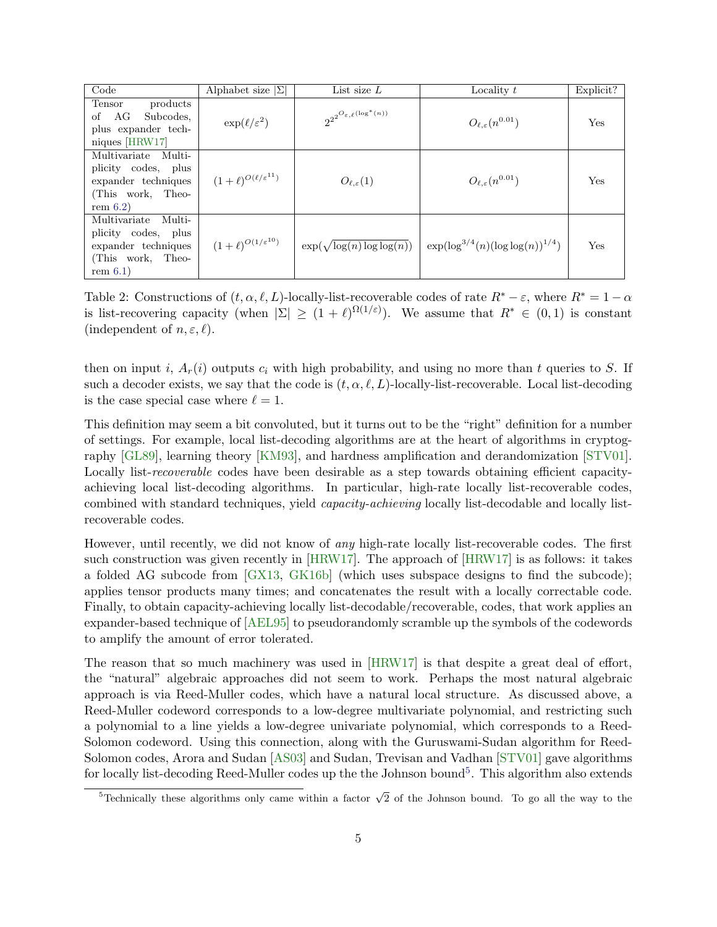| Code                                                                                                     | Alphabet size $ \Sigma $              | List size $L$                             | Locality $t$                              | Explicit? |
|----------------------------------------------------------------------------------------------------------|---------------------------------------|-------------------------------------------|-------------------------------------------|-----------|
| products<br>Tensor<br>of AG<br>Subcodes,<br>plus expander tech-<br>niques $[HRW17]$                      | $\exp(\ell/\varepsilon^2)$            | $2^{2^{O_{\varepsilon,\ell}(\log^*(n))}}$ | $O_{\ell,\varepsilon}(n^{0.01})$          | Yes       |
| Multivariate Multi-<br>plicity codes, plus<br>expander techniques<br>(This work, Theo-<br>rem $6.2$      | $(1+\ell)^{O(\ell/\varepsilon^{11})}$ | $O_{\ell,\varepsilon}(1)$                 | $O_{\ell,\varepsilon}(n^{0.01})$          | Yes       |
| Multivariate<br>Multi-<br>plicity codes, plus<br>expander techniques<br>(This work, Theo-<br>rem $6.1$ ) | $(1+\ell)^{O(1/\varepsilon^{10})}$    | $\exp(\sqrt{\log(n)\log\log(n)})$         | $\exp(\log^{3/4}(n)(\log \log(n))^{1/4})$ | Yes       |

<span id="page-5-1"></span>Table 2: Constructions of  $(t, \alpha, \ell, L)$ -locally-list-recoverable codes of rate  $R^* - \varepsilon$ , where  $R^* = 1 - \alpha$ is list-recovering capacity (when  $|\Sigma| \ge (1 + \ell)^{\Omega(1/\varepsilon)}$ ). We assume that  $R^* \in (0,1)$  is constant (independent of  $n, \varepsilon, \ell$ ).

then on input i,  $A_r(i)$  outputs  $c_i$  with high probability, and using no more than t queries to S. If such a decoder exists, we say that the code is  $(t, \alpha, \ell, L)$ -locally-list-recoverable. Local list-decoding is the case special case where  $\ell = 1$ .

This definition may seem a bit convoluted, but it turns out to be the "right" definition for a number of settings. For example, local list-decoding algorithms are at the heart of algorithms in cryptography [\[GL89\]](#page-54-10), learning theory [\[KM93\]](#page-55-9), and hardness amplification and derandomization [\[STV01\]](#page-56-3). Locally list-*recoverable* codes have been desirable as a step towards obtaining efficient capacityachieving local list-decoding algorithms. In particular, high-rate locally list-recoverable codes, combined with standard techniques, yield capacity-achieving locally list-decodable and locally listrecoverable codes.

However, until recently, we did not know of any high-rate locally list-recoverable codes. The first such construction was given recently in [\[HRW17\]](#page-55-4). The approach of [\[HRW17\]](#page-55-4) is as follows: it takes a folded AG subcode from [\[GX13,](#page-55-7) [GK16b\]](#page-54-9) (which uses subspace designs to find the subcode); applies tensor products many times; and concatenates the result with a locally correctable code. Finally, to obtain capacity-achieving locally list-decodable/recoverable, codes, that work applies an expander-based technique of [\[AEL95\]](#page-53-2) to pseudorandomly scramble up the symbols of the codewords to amplify the amount of error tolerated.

The reason that so much machinery was used in [\[HRW17\]](#page-55-4) is that despite a great deal of effort, the "natural" algebraic approaches did not seem to work. Perhaps the most natural algebraic approach is via Reed-Muller codes, which have a natural local structure. As discussed above, a Reed-Muller codeword corresponds to a low-degree multivariate polynomial, and restricting such a polynomial to a line yields a low-degree univariate polynomial, which corresponds to a Reed-Solomon codeword. Using this connection, along with the Guruswami-Sudan algorithm for Reed-Solomon codes, Arora and Sudan [\[AS03\]](#page-53-1) and Sudan, Trevisan and Vadhan [\[STV01\]](#page-56-3) gave algorithms for locally list-decoding Reed-Muller codes up the the Johnson bound<sup>[5](#page-5-0)</sup>. This algorithm also extends

<span id="page-5-0"></span> $\overline{\text{5}$ Technically these algorithms only came within a factor  $\sqrt{2}$  of the Johnson bound. To go all the way to the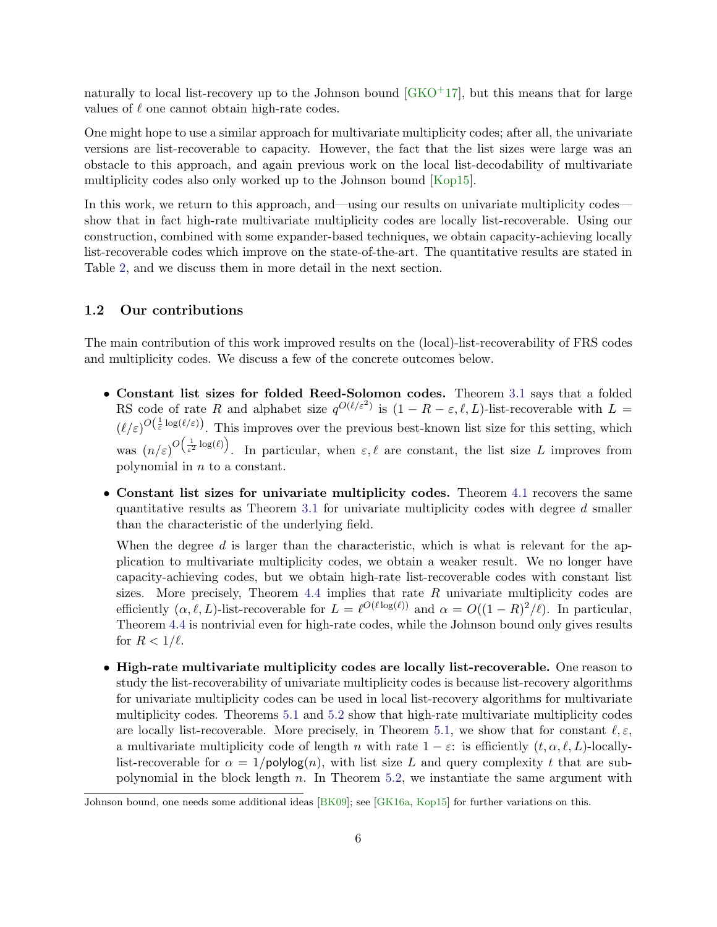naturally to local list-recovery up to the Johnson bound  $(GKO<sup>+17</sup>)$ , but this means that for large values of  $\ell$  one cannot obtain high-rate codes.

One might hope to use a similar approach for multivariate multiplicity codes; after all, the univariate versions are list-recoverable to capacity. However, the fact that the list sizes were large was an obstacle to this approach, and again previous work on the local list-decodability of multivariate multiplicity codes also only worked up to the Johnson bound [\[Kop15\]](#page-55-1).

In this work, we return to this approach, and—using our results on univariate multiplicity codes show that in fact high-rate multivariate multiplicity codes are locally list-recoverable. Using our construction, combined with some expander-based techniques, we obtain capacity-achieving locally list-recoverable codes which improve on the state-of-the-art. The quantitative results are stated in Table [2,](#page-5-1) and we discuss them in more detail in the next section.

### <span id="page-6-0"></span>1.2 Our contributions

The main contribution of this work improved results on the (local)-list-recoverability of FRS codes and multiplicity codes. We discuss a few of the concrete outcomes below.

- Constant list sizes for folded Reed-Solomon codes. Theorem [3.1](#page-16-0) says that a folded RS code of rate R and alphabet size  $q^{O(\ell/\varepsilon^2)}$  is  $(1 - R - \varepsilon, \ell, L)$ -list-recoverable with  $L =$  $(\ell/\varepsilon)^{O(\frac{1}{\varepsilon}\log(\ell/\varepsilon))}$ . This improves over the previous best-known list size for this setting, which was  $(n/\varepsilon)^{O(\frac{1}{\varepsilon^2} \log(\ell))}$ . In particular, when  $\varepsilon, \ell$  are constant, the list size L improves from polynomial in n to a constant.
- Constant list sizes for univariate multiplicity codes. Theorem [4.1](#page-21-0) recovers the same quantitative results as Theorem [3.1](#page-16-0) for univariate multiplicity codes with degree d smaller than the characteristic of the underlying field.

When the degree  $d$  is larger than the characteristic, which is what is relevant for the application to multivariate multiplicity codes, we obtain a weaker result. We no longer have capacity-achieving codes, but we obtain high-rate list-recoverable codes with constant list sizes. More precisely, Theorem  $4.4$  implies that rate  $R$  univariate multiplicity codes are efficiently  $(\alpha, \ell, L)$ -list-recoverable for  $L = \ell^{O(\ell \log(\ell))}$  and  $\alpha = O((1 - R)^2 / \ell)$ . In particular, Theorem [4.4](#page-22-0) is nontrivial even for high-rate codes, while the Johnson bound only gives results for  $R < 1/\ell$ .

• High-rate multivariate multiplicity codes are locally list-recoverable. One reason to study the list-recoverability of univariate multiplicity codes is because list-recovery algorithms for univariate multiplicity codes can be used in local list-recovery algorithms for multivariate multiplicity codes. Theorems [5.1](#page-30-0) and [5.2](#page-31-0) show that high-rate multivariate multiplicity codes are locally list-recoverable. More precisely, in Theorem [5.1,](#page-30-0) we show that for constant  $\ell, \varepsilon$ , a multivariate multiplicity code of length n with rate  $1 - \varepsilon$ : is efficiently  $(t, \alpha, \ell, L)$ -locallylist-recoverable for  $\alpha = 1/\text{polylog}(n)$ , with list size L and query complexity t that are subpolynomial in the block length  $n$ . In Theorem [5.2,](#page-31-0) we instantiate the same argument with

Johnson bound, one needs some additional ideas [\[BK09\]](#page-53-3); see [\[GK16a,](#page-54-11) [Kop15\]](#page-55-1) for further variations on this.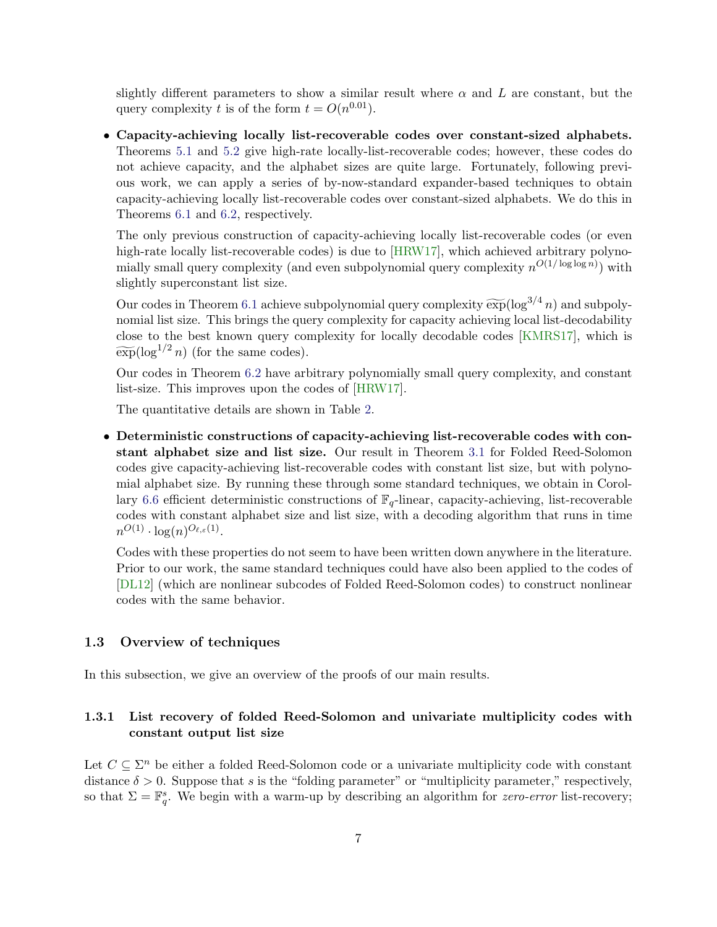slightly different parameters to show a similar result where  $\alpha$  and L are constant, but the query complexity t is of the form  $t = O(n^{0.01})$ .

• Capacity-achieving locally list-recoverable codes over constant-sized alphabets. Theorems [5.1](#page-30-0) and [5.2](#page-31-0) give high-rate locally-list-recoverable codes; however, these codes do not achieve capacity, and the alphabet sizes are quite large. Fortunately, following previous work, we can apply a series of by-now-standard expander-based techniques to obtain capacity-achieving locally list-recoverable codes over constant-sized alphabets. We do this in Theorems [6.1](#page-46-1) and [6.2,](#page-46-0) respectively.

The only previous construction of capacity-achieving locally list-recoverable codes (or even high-rate locally list-recoverable codes) is due to [\[HRW17\]](#page-55-4), which achieved arbitrary polynomially small query complexity (and even subpolynomial query complexity  $n^{O(1/\log \log n)}$ ) with slightly superconstant list size.

Our codes in Theorem [6.1](#page-46-1) achieve subpolynomial query complexity  $\widetilde{\exp}(\log^{3/4} n)$  and subpolynomial list size. This brings the query complexity for capacity achieving local list-decodability close to the best known query complexity for locally decodable codes [\[KMRS17\]](#page-55-3), which is  $\widetilde{\exp}(\log^{1/2} n)$  (for the same codes).

Our codes in Theorem [6.2](#page-46-0) have arbitrary polynomially small query complexity, and constant list-size. This improves upon the codes of [\[HRW17\]](#page-55-4).

The quantitative details are shown in Table [2.](#page-5-1)

• Deterministic constructions of capacity-achieving list-recoverable codes with constant alphabet size and list size. Our result in Theorem [3.1](#page-16-0) for Folded Reed-Solomon codes give capacity-achieving list-recoverable codes with constant list size, but with polynomial alphabet size. By running these through some standard techniques, we obtain in Corol-lary [6.6](#page-48-0) efficient deterministic constructions of  $\mathbb{F}_q$ -linear, capacity-achieving, list-recoverable codes with constant alphabet size and list size, with a decoding algorithm that runs in time  $n^{O(1)} \cdot \log(n)^{O_{\ell,\varepsilon}(1)}.$ 

Codes with these properties do not seem to have been written down anywhere in the literature. Prior to our work, the same standard techniques could have also been applied to the codes of [\[DL12\]](#page-54-2) (which are nonlinear subcodes of Folded Reed-Solomon codes) to construct nonlinear codes with the same behavior.

#### 1.3 Overview of techniques

In this subsection, we give an overview of the proofs of our main results.

### 1.3.1 List recovery of folded Reed-Solomon and univariate multiplicity codes with constant output list size

Let  $C \subseteq \Sigma^n$  be either a folded Reed-Solomon code or a univariate multiplicity code with constant distance  $\delta > 0$ . Suppose that s is the "folding parameter" or "multiplicity parameter," respectively, so that  $\Sigma = \mathbb{F}_q^s$ . We begin with a warm-up by describing an algorithm for *zero-error* list-recovery;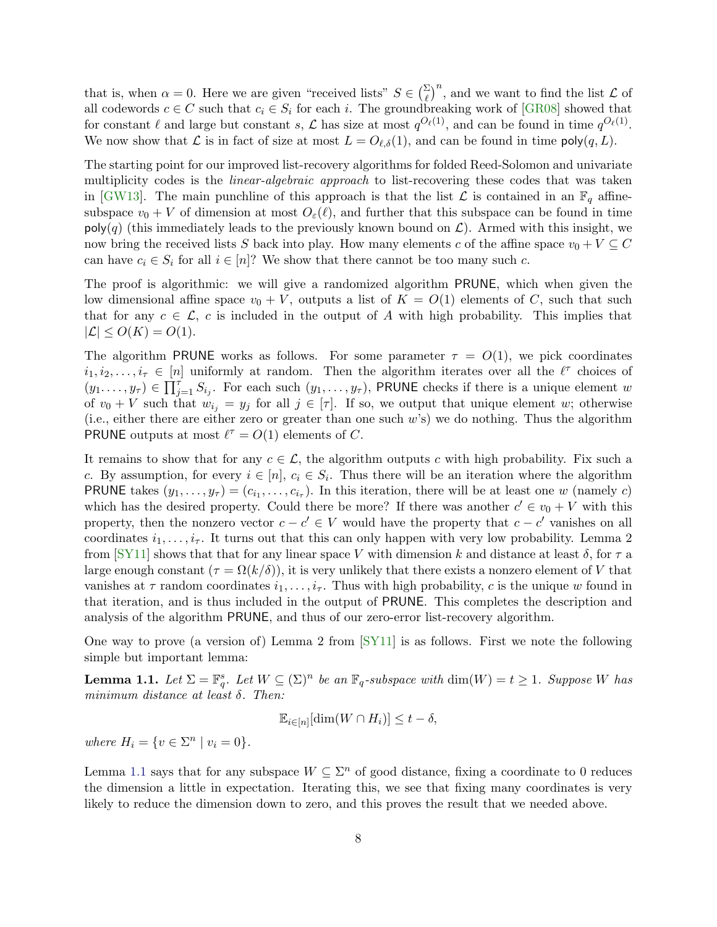that is, when  $\alpha = 0$ . Here we are given "received lists"  $S \in \left(\frac{\Sigma}{\ell}\right)^n$ , and we want to find the list  $\mathcal L$  of all codewords  $c \in C$  such that  $c_i \in S_i$  for each i. The groundbreaking work of [\[GR08\]](#page-54-1) showed that for constant  $\ell$  and large but constant s,  $\mathcal L$  has size at most  $q^{O_{\ell}(1)}$ , and can be found in time  $q^{O_{\ell}(1)}$ . We now show that  $\mathcal L$  is in fact of size at most  $L = O_{\ell,\delta}(1)$ , and can be found in time  $\mathsf{poly}(q,L)$ .

The starting point for our improved list-recovery algorithms for folded Reed-Solomon and univariate multiplicity codes is the *linear-algebraic approach* to list-recovering these codes that was taken in [\[GW13\]](#page-55-2). The main punchline of this approach is that the list  $\mathcal L$  is contained in an  $\mathbb F_q$  affinesubspace  $v_0 + V$  of dimension at most  $O_\varepsilon(\ell)$ , and further that this subspace can be found in time  $\text{poly}(q)$  (this immediately leads to the previously known bound on  $\mathcal{L}$ ). Armed with this insight, we now bring the received lists S back into play. How many elements c of the affine space  $v_0 + V \subseteq C$ can have  $c_i \in S_i$  for all  $i \in [n]$ ? We show that there cannot be too many such c.

The proof is algorithmic: we will give a randomized algorithm PRUNE, which when given the low dimensional affine space  $v_0 + V$ , outputs a list of  $K = O(1)$  elements of C, such that such that for any  $c \in \mathcal{L}$ , c is included in the output of A with high probability. This implies that  $|\mathcal{L}| \leq O(K) = O(1).$ 

The algorithm PRUNE works as follows. For some parameter  $\tau = O(1)$ , we pick coordinates  $i_1, i_2, \ldots, i_\tau \in [n]$  uniformly at random. Then the algorithm iterates over all the  $\ell^{\tau}$  choices of  $(y_1,\ldots,y_\tau)\in \prod_{j=1}^\tau S_{i_j}$ . For each such  $(y_1,\ldots,y_\tau)$ , PRUNE checks if there is a unique element w of  $v_0 + V$  such that  $w_{i_j} = y_j$  for all  $j \in [\tau]$ . If so, we output that unique element w; otherwise (i.e., either there are either zero or greater than one such w's) we do nothing. Thus the algorithm PRUNE outputs at most  $\ell^{\tau} = O(1)$  elements of C.

It remains to show that for any  $c \in \mathcal{L}$ , the algorithm outputs c with high probability. Fix such a c. By assumption, for every  $i \in [n]$ ,  $c_i \in S_i$ . Thus there will be an iteration where the algorithm **PRUNE** takes  $(y_1, \ldots, y_\tau) = (c_{i_1}, \ldots, c_{i_\tau})$ . In this iteration, there will be at least one w (namely c) which has the desired property. Could there be more? If there was another  $c' \in v_0 + V$  with this property, then the nonzero vector  $c - c' \in V$  would have the property that  $c - c'$  vanishes on all coordinates  $i_1, \ldots, i_{\tau}$ . It turns out that this can only happen with very low probability. Lemma 2 from [\[SY11\]](#page-56-10) shows that that for any linear space V with dimension k and distance at least  $\delta$ , for  $\tau$  a large enough constant  $(\tau = \Omega(k/\delta))$ , it is very unlikely that there exists a nonzero element of V that vanishes at  $\tau$  random coordinates  $i_1, \ldots, i_{\tau}$ . Thus with high probability, c is the unique w found in that iteration, and is thus included in the output of PRUNE. This completes the description and analysis of the algorithm PRUNE, and thus of our zero-error list-recovery algorithm.

One way to prove (a version of) Lemma 2 from [\[SY11\]](#page-56-10) is as follows. First we note the following simple but important lemma:

<span id="page-8-0"></span>**Lemma 1.1.** Let  $\Sigma = \mathbb{F}_q^s$ . Let  $W \subseteq (\Sigma)^n$  be an  $\mathbb{F}_q$ -subspace with  $\dim(W) = t \geq 1$ . Suppose W has minimum distance at least  $\delta$ . Then:

$$
\mathbb{E}_{i \in [n]}[\dim(W \cap H_i)] \le t - \delta,
$$

where  $H_i = \{ v \in \Sigma^n \mid v_i = 0 \}.$ 

Lemma [1.1](#page-8-0) says that for any subspace  $W \subseteq \Sigma^n$  of good distance, fixing a coordinate to 0 reduces the dimension a little in expectation. Iterating this, we see that fixing many coordinates is very likely to reduce the dimension down to zero, and this proves the result that we needed above.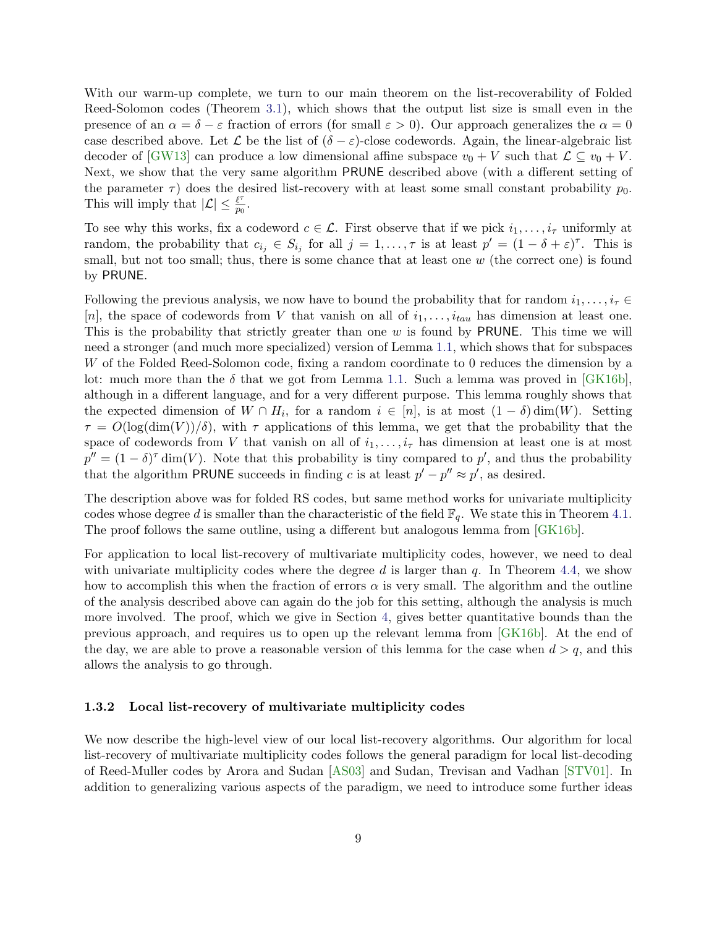With our warm-up complete, we turn to our main theorem on the list-recoverability of Folded Reed-Solomon codes (Theorem [3.1\)](#page-16-0), which shows that the output list size is small even in the presence of an  $\alpha = \delta - \varepsilon$  fraction of errors (for small  $\varepsilon > 0$ ). Our approach generalizes the  $\alpha = 0$ case described above. Let  $\mathcal L$  be the list of  $(\delta - \varepsilon)$ -close codewords. Again, the linear-algebraic list decoder of [\[GW13\]](#page-55-2) can produce a low dimensional affine subspace  $v_0 + V$  such that  $\mathcal{L} \subseteq v_0 + V$ . Next, we show that the very same algorithm PRUNE described above (with a different setting of the parameter  $\tau$ ) does the desired list-recovery with at least some small constant probability  $p_0$ . This will imply that  $|\mathcal{L}| \leq \frac{\ell^{\tau}}{n}$  $rac{\ell'}{p_0}$ .

To see why this works, fix a codeword  $c \in \mathcal{L}$ . First observe that if we pick  $i_1, \ldots, i_{\tau}$  uniformly at random, the probability that  $c_{i_j} \in S_{i_j}$  for all  $j = 1, \ldots, \tau$  is at least  $p' = (1 - \delta + \varepsilon)^{\tau}$ . This is small, but not too small; thus, there is some chance that at least one  $w$  (the correct one) is found by PRUNE.

Following the previous analysis, we now have to bound the probability that for random  $i_1, \ldots, i_\tau \in$ [n], the space of codewords from V that vanish on all of  $i_1, \ldots, i_{tau}$  has dimension at least one. This is the probability that strictly greater than one w is found by PRUNE. This time we will need a stronger (and much more specialized) version of Lemma [1.1,](#page-8-0) which shows that for subspaces W of the Folded Reed-Solomon code, fixing a random coordinate to 0 reduces the dimension by a lot: much more than the  $\delta$  that we got from Lemma [1.1.](#page-8-0) Such a lemma was proved in [\[GK16b\]](#page-54-9), although in a different language, and for a very different purpose. This lemma roughly shows that the expected dimension of  $W \cap H_i$ , for a random  $i \in [n]$ , is at most  $(1 - \delta)$  dim $(W)$ . Setting  $\tau = O(\log(\dim(V))/\delta)$ , with  $\tau$  applications of this lemma, we get that the probability that the space of codewords from V that vanish on all of  $i_1, \ldots, i_{\tau}$  has dimension at least one is at most  $p'' = (1 - \delta)^{\tau}$  dim(V). Note that this probability is tiny compared to p', and thus the probability that the algorithm PRUNE succeeds in finding c is at least  $p' - p'' \approx p'$ , as desired.

The description above was for folded RS codes, but same method works for univariate multiplicity codes whose degree d is smaller than the characteristic of the field  $\mathbb{F}_q$ . We state this in Theorem [4.1.](#page-21-0) The proof follows the same outline, using a different but analogous lemma from [\[GK16b\]](#page-54-9).

For application to local list-recovery of multivariate multiplicity codes, however, we need to deal with univariate multiplicity codes where the degree d is larger than  $q$ . In Theorem [4.4,](#page-22-0) we show how to accomplish this when the fraction of errors  $\alpha$  is very small. The algorithm and the outline of the analysis described above can again do the job for this setting, although the analysis is much more involved. The proof, which we give in Section [4,](#page-20-0) gives better quantitative bounds than the previous approach, and requires us to open up the relevant lemma from [\[GK16b\]](#page-54-9). At the end of the day, we are able to prove a reasonable version of this lemma for the case when  $d > q$ , and this allows the analysis to go through.

#### 1.3.2 Local list-recovery of multivariate multiplicity codes

We now describe the high-level view of our local list-recovery algorithms. Our algorithm for local list-recovery of multivariate multiplicity codes follows the general paradigm for local list-decoding of Reed-Muller codes by Arora and Sudan [\[AS03\]](#page-53-1) and Sudan, Trevisan and Vadhan [\[STV01\]](#page-56-3). In addition to generalizing various aspects of the paradigm, we need to introduce some further ideas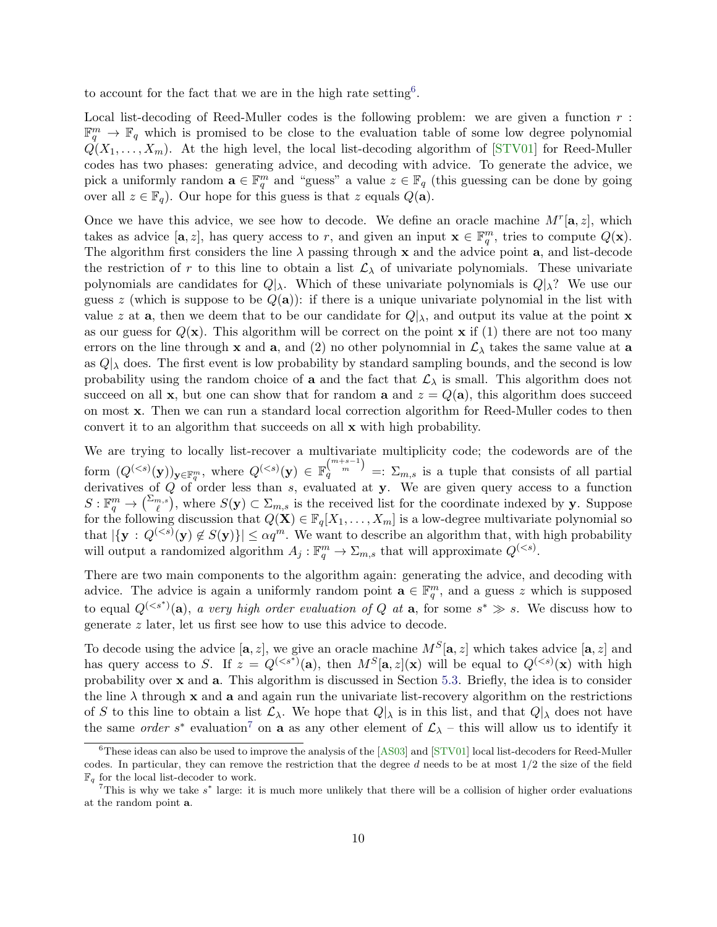to account for the fact that we are in the high rate setting<sup>[6](#page-10-0)</sup>.

Local list-decoding of Reed-Muller codes is the following problem: we are given a function  $r$ :  $\mathbb{F}_q^m \to \mathbb{F}_q$  which is promised to be close to the evaluation table of some low degree polynomial  $Q(X_1, \ldots, X_m)$ . At the high level, the local list-decoding algorithm of [\[STV01\]](#page-56-3) for Reed-Muller codes has two phases: generating advice, and decoding with advice. To generate the advice, we pick a uniformly random  $\mathbf{a} \in \mathbb{F}_q^m$  and "guess" a value  $z \in \mathbb{F}_q$  (this guessing can be done by going over all  $z \in \mathbb{F}_q$ . Our hope for this guess is that z equals  $Q(\mathbf{a})$ .

Once we have this advice, we see how to decode. We define an oracle machine  $M<sup>r</sup>[a, z]$ , which takes as advice  $[a, z]$ , has query access to r, and given an input  $\mathbf{x} \in \mathbb{F}_q^m$ , tries to compute  $Q(\mathbf{x})$ . The algorithm first considers the line  $\lambda$  passing through x and the advice point a, and list-decode the restriction of r to this line to obtain a list  $\mathcal{L}_{\lambda}$  of univariate polynomials. These univariate polynomials are candidates for  $Q|_{\lambda}$ . Which of these univariate polynomials is  $Q|_{\lambda}$ ? We use our guess z (which is suppose to be  $Q(a)$ ): if there is a unique univariate polynomial in the list with value z at **a**, then we deem that to be our candidate for  $Q|_{\lambda}$ , and output its value at the point **x** as our guess for  $Q(\mathbf{x})$ . This algorithm will be correct on the point  $\mathbf{x}$  if (1) there are not too many errors on the line through x and a, and (2) no other polynomnial in  $\mathcal{L}_{\lambda}$  takes the same value at a as  $Q|_{\lambda}$  does. The first event is low probability by standard sampling bounds, and the second is low probability using the random choice of **a** and the fact that  $\mathcal{L}_{\lambda}$  is small. This algorithm does not succeed on all x, but one can show that for random **a** and  $z = Q(a)$ , this algorithm does succeed on most x. Then we can run a standard local correction algorithm for Reed-Muller codes to then convert it to an algorithm that succeeds on all x with high probability.

We are trying to locally list-recover a multivariate multiplicity code; the codewords are of the form  $(Q^{(*s*)}(\mathbf{y}))_{\mathbf{y}\in\mathbb{F}_q^m}$ , where  $Q^{(*s*)}(\mathbf{y}) \in \mathbb{F}_q^{m+s-1}$  =:  $\Sigma_{m,s}$  is a tuple that consists of all partial derivatives of Q of order less than s, evaluated at y. We are given query access to a function  $S: \mathbb{F}_q^m \to {\binom{\sum_{m,s}}{\ell}}$ , where  $S(\mathbf{y}) \subset \sum_{m,s}$  is the received list for the coordinate indexed by y. Suppose for the following discussion that  $Q(\mathbf{X}) \in \mathbb{F}_q[X_1,\ldots,X_m]$  is a low-degree multivariate polynomial so that  $|\{y : Q^{(*s*)}(y) \notin S(y)\}| \leq \alpha q^m$ . We want to describe an algorithm that, with high probability will output a randomized algorithm  $A_j: \mathbb{F}_q^m \to \Sigma_{m,s}$  that will approximate  $Q^{(< s)}$ .

There are two main components to the algorithm again: generating the advice, and decoding with advice. The advice is again a uniformly random point  $\mathbf{a} \in \mathbb{F}_q^m$ , and a guess z which is supposed to equal  $Q^{(*s*<sup>*</sup>)}(a)$ , a very high order evaluation of Q at a, for some  $s^* \gg s$ . We discuss how to generate z later, let us first see how to use this advice to decode.

To decode using the advice  $[\mathbf{a}, z]$ , we give an oracle machine  $M^S[\mathbf{a}, z]$  which takes advice  $[\mathbf{a}, z]$  and has query access to S. If  $z = Q^{(, then  $M^S[\mathbf{a}, z](\mathbf{x})$  will be equal to  $Q^{( with high$$ probability over x and a. This algorithm is discussed in Section [5.3.](#page-37-0) Briefly, the idea is to consider the line  $\lambda$  through x and a and again run the univariate list-recovery algorithm on the restrictions of S to this line to obtain a list  $\mathcal{L}_{\lambda}$ . We hope that  $Q|_{\lambda}$  is in this list, and that  $Q|_{\lambda}$  does not have the same *order* s<sup>\*</sup> evaluation<sup>[7](#page-10-1)</sup> on **a** as any other element of  $\mathcal{L}_{\lambda}$  – this will allow us to identify it

<span id="page-10-0"></span> ${}^{6}$ These ideas can also be used to improve the analysis of the [\[AS03\]](#page-53-1) and [\[STV01\]](#page-56-3) local list-decoders for Reed-Muller codes. In particular, they can remove the restriction that the degree  $d$  needs to be at most  $1/2$  the size of the field  $\mathbb{F}_q$  for the local list-decoder to work.

<span id="page-10-1"></span> $^7$ This is why we take  $s^*$  large: it is much more unlikely that there will be a collision of higher order evaluations at the random point a.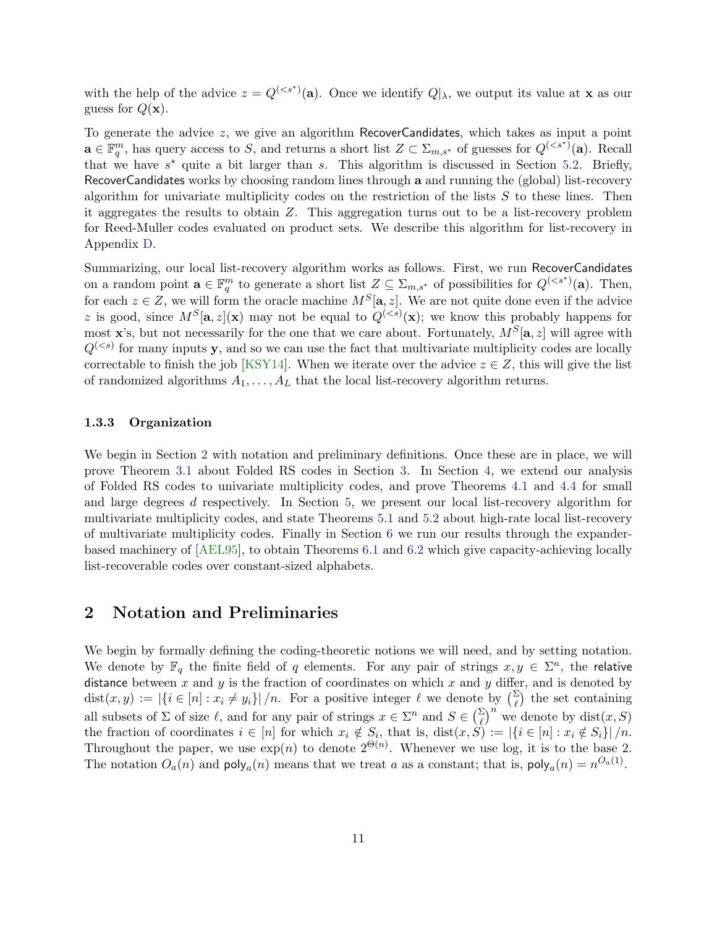with the help of the advice  $z = Q^{(*s*<sup>*</sup>)}(a)$ . Once we identify  $Q|_{\lambda}$ , we output its value at **x** as our guess for  $Q(\mathbf{x})$ .

To generate the advice  $z$ , we give an algorithm RecoverCandidates, which takes as input a point  $\mathbf{a} \in \mathbb{F}_q^m$ , has query access to S, and returns a short list  $Z \subset \Sigma_{m,s^*}$  of guesses for  $Q^{(. Recall$ that we have  $s^*$  quite a bit larger than s. This algorithm is discussed in Section [5.2.](#page-32-0) Briefly, RecoverCandidates works by choosing random lines through a and running the (global) list-recovery algorithm for univariate multiplicity codes on the restriction of the lists  $S$  to these lines. Then it aggregates the results to obtain Z. This aggregation turns out to be a list-recovery problem for Reed-Muller codes evaluated on product sets. We describe this algorithm for list-recovery in Appendix [D.](#page-60-0)

Summarizing, our local list-recovery algorithm works as follows. First, we run RecoverCandidates on a random point  $\mathbf{a} \in \mathbb{F}_q^m$  to generate a short list  $Z \subseteq \Sigma_{m,s^*}$  of possibilities for  $Q^{(. Then,$ for each  $z \in Z$ , we will form the oracle machine  $M^S[\mathbf{a}, z]$ . We are not quite done even if the advice z is good, since  $M^S[\mathbf{a}, z](\mathbf{x})$  may not be equal to  $Q^{(*s*)}(\mathbf{x})$ ; we know this probably happens for most **x**'s, but not necessarily for the one that we care about. Fortunately,  $M^S[\mathbf{a}, z]$  will agree with  $Q^{(*s*)}$  for many inputs y, and so we can use the fact that multivariate multiplicity codes are locally correctable to finish the job [\[KSY14\]](#page-55-0). When we iterate over the advice  $z \in Z$ , this will give the list of randomized algorithms  $A_1, \ldots, A_L$  that the local list-recovery algorithm returns.

#### 1.3.3 Organization

We begin in Section [2](#page-11-0) with notation and preliminary definitions. Once these are in place, we will prove Theorem [3.1](#page-16-0) about Folded RS codes in Section [3.](#page-16-1) In Section [4,](#page-20-0) we extend our analysis of Folded RS codes to univariate multiplicity codes, and prove Theorems [4.1](#page-21-0) and [4.4](#page-22-0) for small and large degrees d respectively. In Section [5,](#page-30-1) we present our local list-recovery algorithm for multivariate multiplicity codes, and state Theorems [5.1](#page-30-0) and [5.2](#page-31-0) about high-rate local list-recovery of multivariate multiplicity codes. Finally in Section [6](#page-46-2) we run our results through the expanderbased machinery of [\[AEL95\]](#page-53-2), to obtain Theorems [6.1](#page-46-1) and [6.2](#page-46-0) which give capacity-achieving locally list-recoverable codes over constant-sized alphabets.

### <span id="page-11-0"></span>2 Notation and Preliminaries

We begin by formally defining the coding-theoretic notions we will need, and by setting notation. We denote by  $\mathbb{F}_q$  the finite field of q elements. For any pair of strings  $x, y \in \Sigma^n$ , the relative distance between x and y is the fraction of coordinates on which x and y differ, and is denoted by  $dist(x, y) := |\{i \in [n] : x_i \neq y_i\}|/n$ . For a positive integer  $\ell$  we denote by  $\binom{\Sigma}{\ell}$  the set containing  $\ell$ all subsets of  $\Sigma$  of size  $\ell$ , and for any pair of strings  $x \in \Sigma^n$  and  $S \in {\Sigma \choose \ell}^n$  we denote by  $dist(x, S)$ the fraction of coordinates  $i \in [n]$  for which  $x_i \notin S_i$ , that is,  $dist(x, S) := |\{i \in [n] : x_i \notin S_i\}|/n$ . Throughout the paper, we use  $\exp(n)$  to denote  $2^{\Theta(n)}$ . Whenever we use log, it is to the base 2. The notation  $O_a(n)$  and  $\text{poly}_a(n)$  means that we treat a as a constant; that is,  $\text{poly}_a(n) = n^{O_a(1)}$ .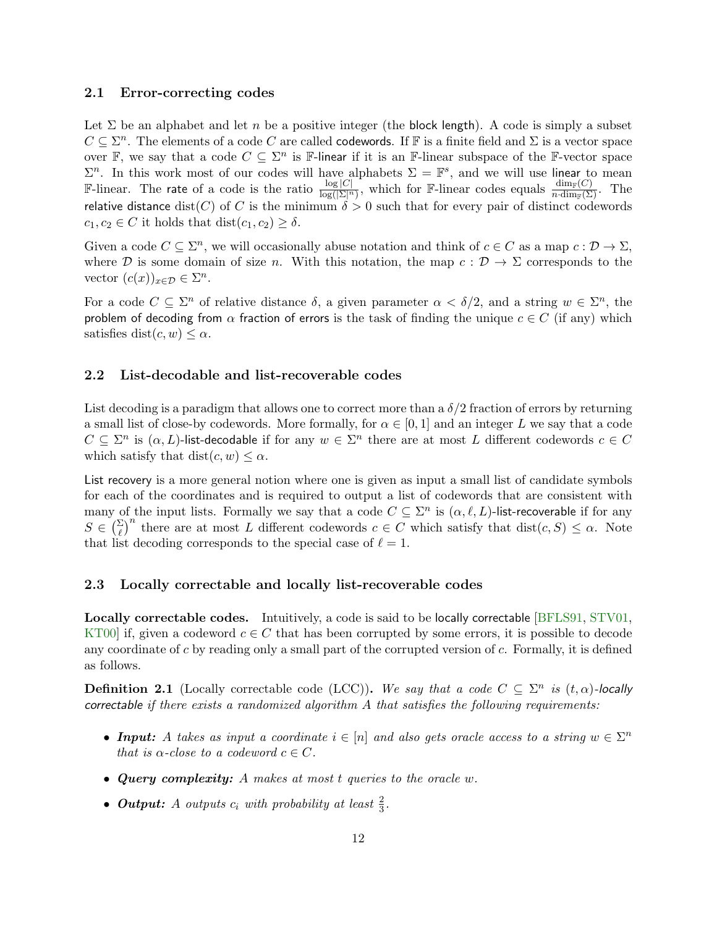#### 2.1 Error-correcting codes

Let  $\Sigma$  be an alphabet and let n be a positive integer (the block length). A code is simply a subset  $C \subseteq \Sigma^n$ . The elements of a code C are called codewords. If F is a finite field and  $\Sigma$  is a vector space over F, we say that a code  $C \subseteq \Sigma^n$  is F-linear if it is an F-linear subspace of the F-vector space  $\Sigma^n$ . In this work most of our codes will have alphabets  $\Sigma = \mathbb{F}^s$ , and we will use linear to mean F-linear. The rate of a code is the ratio  $\frac{\log|C|}{\log(|\Sigma|^n)}$ , which for F-linear codes equals  $\frac{\dim_F(C)}{n \cdot \dim_F(\Sigma)}$ . The relative distance dist(C) of C is the minimum  $\delta > 0$  such that for every pair of distinct codewords  $c_1, c_2 \in C$  it holds that  $dist(c_1, c_2) \geq \delta$ .

Given a code  $C \subseteq \Sigma^n$ , we will occasionally abuse notation and think of  $c \in C$  as a map  $c : \mathcal{D} \to \Sigma$ , where D is some domain of size n. With this notation, the map  $c : \mathcal{D} \to \Sigma$  corresponds to the vector  $(c(x))_{x \in \mathcal{D}} \in \Sigma^n$ .

For a code  $C \subseteq \Sigma^n$  of relative distance  $\delta$ , a given parameter  $\alpha < \delta/2$ , and a string  $w \in \Sigma^n$ , the problem of decoding from  $\alpha$  fraction of errors is the task of finding the unique  $c \in C$  (if any) which satisfies dist $(c, w) \leq \alpha$ .

#### 2.2 List-decodable and list-recoverable codes

List decoding is a paradigm that allows one to correct more than a  $\delta/2$  fraction of errors by returning a small list of close-by codewords. More formally, for  $\alpha \in [0,1]$  and an integer L we say that a code  $C \subseteq \Sigma^n$  is  $(\alpha, L)$ -list-decodable if for any  $w \in \Sigma^n$  there are at most L different codewords  $c \in C$ which satisfy that  $dist(c, w) \leq \alpha$ .

List recovery is a more general notion where one is given as input a small list of candidate symbols for each of the coordinates and is required to output a list of codewords that are consistent with many of the input lists. Formally we say that a code  $C \subseteq \Sigma^n$  is  $(\alpha, \ell, L)$ -list-recoverable if for any  $S \in \left(\frac{\Sigma}{\ell}\right)^n$  there are at most L different codewords  $c \in C$  which satisfy that  $dist(c, S) \leq \alpha$ . Note that list decoding corresponds to the special case of  $\ell = 1$ .

#### 2.3 Locally correctable and locally list-recoverable codes

Locally correctable codes. Intuitively, a code is said to be locally correctable [\[BFLS91,](#page-53-0) [STV01,](#page-56-3) KT00 if, given a codeword  $c \in C$  that has been corrupted by some errors, it is possible to decode any coordinate of c by reading only a small part of the corrupted version of  $c$ . Formally, it is defined as follows.

**Definition 2.1** (Locally correctable code (LCC)). We say that a code  $C \subseteq \Sigma^n$  is  $(t, \alpha)$ -locally correctable if there exists a randomized algorithm  $A$  that satisfies the following requirements:

- Input: A takes as input a coordinate  $i \in [n]$  and also gets oracle access to a string  $w \in \Sigma^n$ that is  $\alpha$ -close to a codeword  $c \in C$ .
- Query complexity: A makes at most t queries to the oracle w.
- **Output:** A outputs  $c_i$  with probability at least  $\frac{2}{3}$ .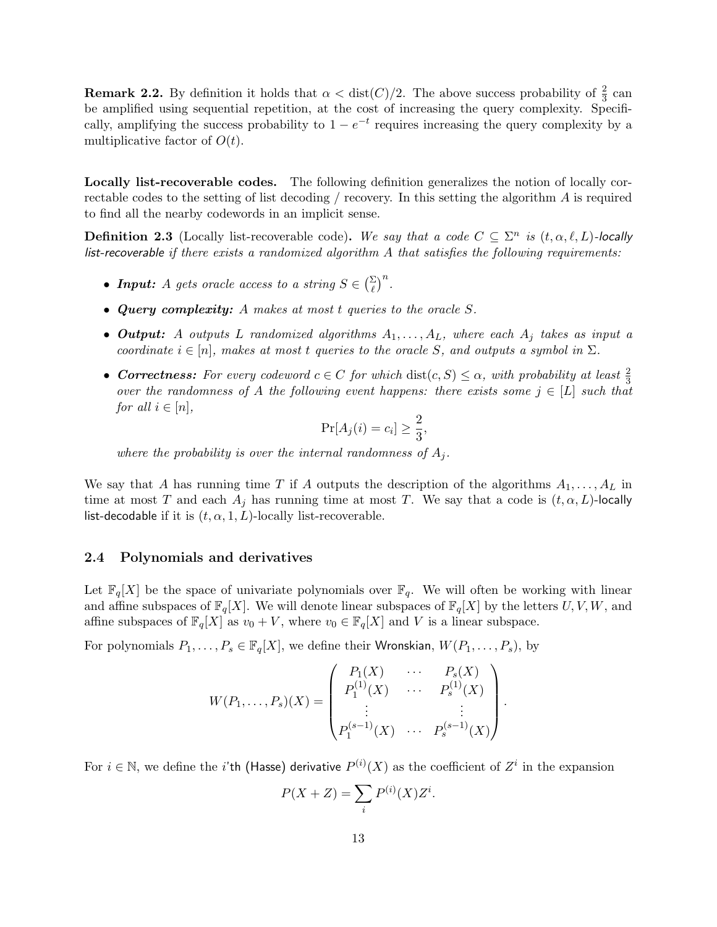**Remark 2.2.** By definition it holds that  $\alpha < \text{dist}(C)/2$ . The above success probability of  $\frac{2}{3}$  can be amplified using sequential repetition, at the cost of increasing the query complexity. Specifically, amplifying the success probability to  $1 - e^{-t}$  requires increasing the query complexity by a multiplicative factor of  $O(t)$ .

Locally list-recoverable codes. The following definition generalizes the notion of locally correctable codes to the setting of list decoding / recovery. In this setting the algorithm A is required to find all the nearby codewords in an implicit sense.

<span id="page-13-0"></span>**Definition 2.3** (Locally list-recoverable code). We say that a code  $C \subseteq \Sigma^n$  is  $(t, \alpha, \ell, L)$ -locally list-recoverable if there exists a randomized algorithm  $A$  that satisfies the following requirements:

- **Input:** A gets oracle access to a string  $S \in \left(\frac{\Sigma}{\ell}\right)^n$ .
- Query complexity: A makes at most t queries to the oracle S.
- Output: A outputs L randomized algorithms  $A_1, \ldots, A_L$ , where each  $A_i$  takes as input a coordinate  $i \in [n]$ , makes at most t queries to the oracle S, and outputs a symbol in  $\Sigma$ .
- Correctness: For every codeword  $c \in C$  for which  $dist(c, S) \leq \alpha$ , with probability at least  $\frac{2}{3}$ over the randomness of A the following event happens: there exists some  $j \in [L]$  such that for all  $i \in [n]$ ,

$$
\Pr[A_j(i) = c_i] \ge \frac{2}{3},
$$

where the probability is over the internal randomness of  $A_i$ .

We say that A has running time T if A outputs the description of the algorithms  $A_1, \ldots, A_L$  in time at most T and each  $A_i$  has running time at most T. We say that a code is  $(t, \alpha, L)$ -locally list-decodable if it is  $(t, \alpha, 1, L)$ -locally list-recoverable.

#### 2.4 Polynomials and derivatives

Let  $\mathbb{F}_q[X]$  be the space of univariate polynomials over  $\mathbb{F}_q$ . We will often be working with linear and affine subspaces of  $\mathbb{F}_q[X]$ . We will denote linear subspaces of  $\mathbb{F}_q[X]$  by the letters  $U, V, W$ , and affine subspaces of  $\mathbb{F}_q[X]$  as  $v_0 + V$ , where  $v_0 \in \mathbb{F}_q[X]$  and V is a linear subspace.

For polynomials  $P_1, \ldots, P_s \in \mathbb{F}_q[X]$ , we define their Wronskian,  $W(P_1, \ldots, P_s)$ , by

$$
W(P_1, \ldots, P_s)(X) = \begin{pmatrix} P_1(X) & \cdots & P_s(X) \\ P_1^{(1)}(X) & \cdots & P_s^{(1)}(X) \\ \vdots & & \vdots \\ P_1^{(s-1)}(X) & \cdots & P_s^{(s-1)}(X) \end{pmatrix}.
$$

For  $i \in \mathbb{N}$ , we define the i'th (Hasse) derivative  $P^{(i)}(X)$  as the coefficient of  $Z^i$  in the expansion

$$
P(X+Z) = \sum_{i} P^{(i)}(X)Z^{i}.
$$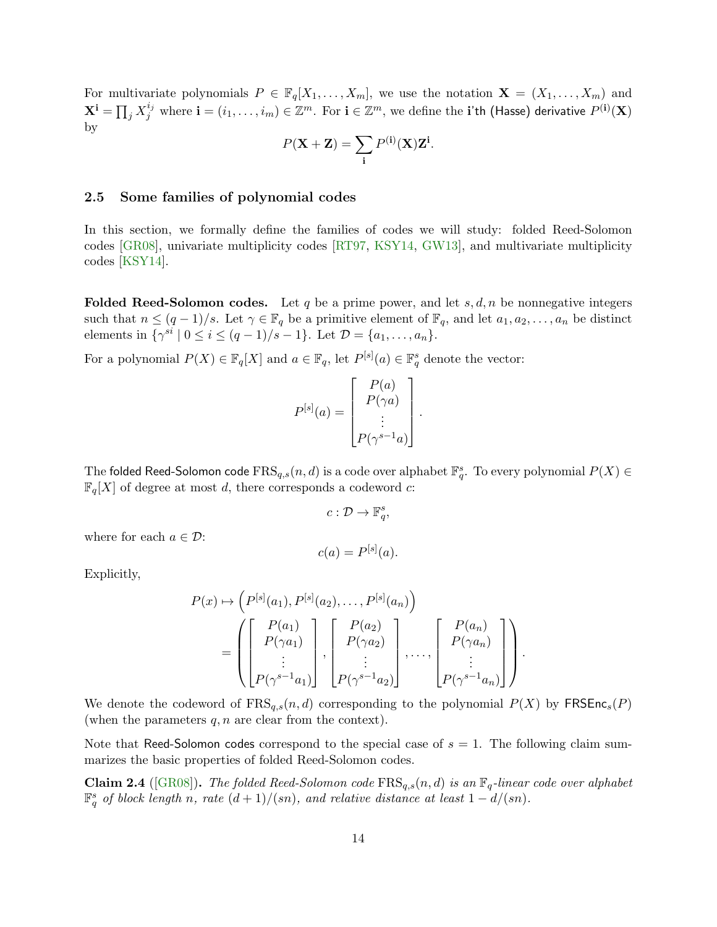For multivariate polynomials  $P \in \mathbb{F}_q[X_1,\ldots,X_m]$ , we use the notation  $\mathbf{X} = (X_1,\ldots,X_m)$  and  ${\bf X^i}=\prod_j X_j^{i_j}$  where  ${\bf i}=(i_1,\ldots,i_m)\in\mathbb{Z}^m.$  For  ${\bf i}\in\mathbb{Z}^m,$  we define the  ${\bf i}$ 'th (Hasse) derivative  $P^{({\bf i})}({\bf X})$ by

$$
P(\mathbf{X} + \mathbf{Z}) = \sum_{\mathbf{i}} P^{(\mathbf{i})}(\mathbf{X}) \mathbf{Z}^{\mathbf{i}}.
$$

#### 2.5 Some families of polynomial codes

In this section, we formally define the families of codes we will study: folded Reed-Solomon codes [\[GR08\]](#page-54-1), univariate multiplicity codes [\[RT97,](#page-56-4) [KSY14,](#page-55-0) [GW13\]](#page-55-2), and multivariate multiplicity codes [\[KSY14\]](#page-55-0).

**Folded Reed-Solomon codes.** Let q be a prime power, and let  $s, d, n$  be nonnegative integers such that  $n \leq (q-1)/s$ . Let  $\gamma \in \mathbb{F}_q$  be a primitive element of  $\mathbb{F}_q$ , and let  $a_1, a_2, \ldots, a_n$  be distinct elements in  $\{\gamma^{si} \mid 0 \le i \le (q-1)/s - 1\}$ . Let  $\mathcal{D} = \{a_1, \ldots, a_n\}$ .

For a polynomial  $P(X) \in \mathbb{F}_q[X]$  and  $a \in \mathbb{F}_q$ , let  $P^{[s]}(a) \in \mathbb{F}_q^s$  denote the vector:

$$
P^{[s]}(a) = \begin{bmatrix} P(a) \\ P(\gamma a) \\ \vdots \\ P(\gamma^{s-1} a) \end{bmatrix}.
$$

The folded Reed-Solomon code  $\textup{FRS}_{q,s}(n,d)$  is a code over alphabet  $\mathbb{F}_{q}^{s}.$  To every polynomial  $P(X)\in$  $\mathbb{F}_q[X]$  of degree at most d, there corresponds a codeword c:

$$
c: \mathcal{D} \to \mathbb{F}_q^s,
$$

 $c(a) = P^{[s]}(a).$ 

where for each  $a \in \mathcal{D}$ :

Explicitly,

$$
P(x) \mapsto \left(P^{[s]}(a_1), P^{[s]}(a_2), \dots, P^{[s]}(a_n)\right)
$$
  
= 
$$
\left(\begin{bmatrix} P(a_1) \\ P(\gamma a_1) \\ \vdots \\ P(\gamma^{s-1} a_1) \end{bmatrix}, \begin{bmatrix} P(a_2) \\ P(\gamma a_2) \\ \vdots \\ P(\gamma^{s-1} a_2) \end{bmatrix}, \dots, \begin{bmatrix} P(a_n) \\ P(\gamma a_n) \\ \vdots \\ P(\gamma^{s-1} a_n) \end{bmatrix}\right)
$$

.

We denote the codeword of  $FRS_{q,s}(n,d)$  corresponding to the polynomial  $P(X)$  by  $FRSER(s(P))$ (when the parameters  $q, n$  are clear from the context).

Note that Reed-Solomon codes correspond to the special case of  $s = 1$ . The following claim summarizes the basic properties of folded Reed-Solomon codes.

**Claim 2.4** ([\[GR08\]](#page-54-1)). The folded Reed-Solomon code  $\text{FRS}_{q,s}(n,d)$  is an  $\mathbb{F}_q$ -linear code over alphabet  $\mathbb{F}_q^s$  of block length n, rate  $(d+1)/(sn)$ , and relative distance at least  $1-d/(sn)$ .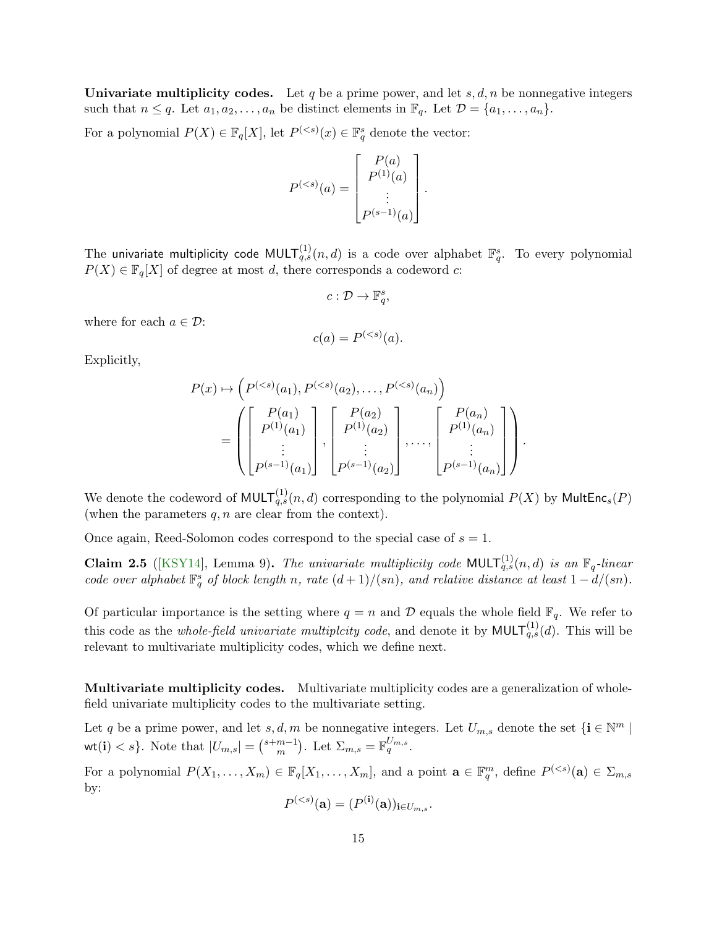**Univariate multiplicity codes.** Let q be a prime power, and let s,  $d, n$  be nonnegative integers such that  $n \leq q$ . Let  $a_1, a_2, \ldots, a_n$  be distinct elements in  $\mathbb{F}_q$ . Let  $\mathcal{D} = \{a_1, \ldots, a_n\}$ .

For a polynomial  $P(X) \in \mathbb{F}_q[X]$ , let  $P^{(*s*)}(x) \in \mathbb{F}_q^s$  denote the vector:

$$
P^{(
$$

.

.

The univariate multiplicity code  $\mathsf{MULT}^{(1)}_{q,s}(n,d)$  is a code over alphabet  $\mathbb{F}_{q}^{s}.$  To every polynomial  $P(X) \in \mathbb{F}_q[X]$  of degree at most d, there corresponds a codeword c:

$$
c: \mathcal{D} \to \mathbb{F}_q^s,
$$

where for each  $a \in \mathcal{D}$ :

$$
c(a) = P^{(
$$

Explicitly,

$$
P(x) \mapsto \left( P^{(  
= 
$$
\left( \begin{bmatrix} P(a_1) \\ P^{(1)}(a_1) \\ \vdots \\ P^{(s-1)}(a_1) \end{bmatrix}, \begin{bmatrix} P(a_2) \\ P^{(1)}(a_2) \\ \vdots \\ P^{(s-1)}(a_2) \end{bmatrix}, \dots, \begin{bmatrix} P(a_n) \\ P^{(1)}(a_n) \\ \vdots \\ P^{(s-1)}(a_n) \end{bmatrix} \right)
$$
$$

We denote the codeword of  $\mathsf{MULT}_{q,s}^{(1)}(n,d)$  corresponding to the polynomial  $P(X)$  by  $\mathsf{MultEnc}_s(P)$ (when the parameters  $q, n$  are clear from the context).

Once again, Reed-Solomon codes correspond to the special case of  $s = 1$ .

**Claim 2.5** ([\[KSY14\]](#page-55-0), Lemma 9). The univariate multiplicity code MULT $_{q,s}^{(1)}(n,d)$  is an  $\mathbb{F}_q$ -linear code over alphabet  $\mathbb{F}_q^s$  of block length n, rate  $(d+1)/(sn)$ , and relative distance at least  $1-d/(sn)$ .

Of particular importance is the setting where  $q = n$  and  $D$  equals the whole field  $\mathbb{F}_q$ . We refer to this code as the *whole-field univariate multiplcity code*, and denote it by  $MULT_{q,s}^{(1)}(d)$ . This will be relevant to multivariate multiplicity codes, which we define next.

Multivariate multiplicity codes. Multivariate multiplicity codes are a generalization of wholefield univariate multiplicity codes to the multivariate setting.

Let q be a prime power, and let  $s, d, m$  be nonnegative integers. Let  $U_{m,s}$  denote the set  $\{i \in \mathbb{N}^m \mid \text{const.}\}$ wt(i)  $\langle s \rangle$ . Note that  $|U_{m,s}| = \binom{s+m-1}{m}$  $_{m}^{m-1}$ ). Let  $\Sigma_{m,s} = \mathbb{F}_q^{U_{m,s}}$ .

For a polynomial  $P(X_1,\ldots,X_m) \in \mathbb{F}_q[X_1,\ldots,X_m]$ , and a point  $\mathbf{a} \in \mathbb{F}_q^m$ , define  $P^{(*s*)}(\mathbf{a}) \in \Sigma_{m,s}$ by:

$$
P^{(
$$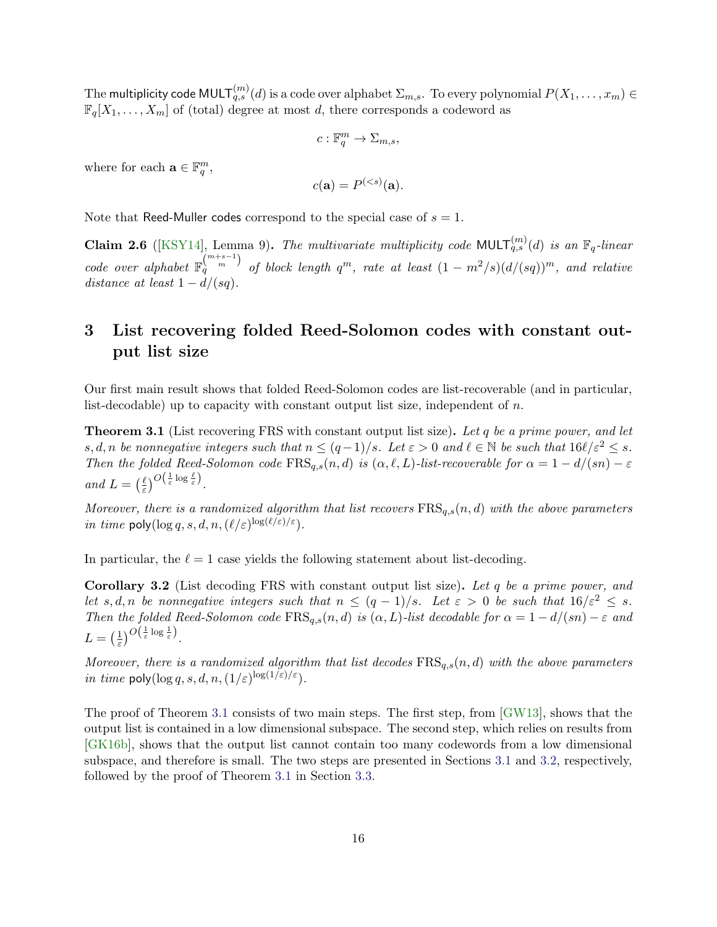The multiplicity code MULT $_{q,s}^{(m)}(d)$  is a code over alphabet  $\Sigma_{m,s}.$  To every polynomial  $P(X_1,\ldots,x_m)\in$  $\mathbb{F}_q[X_1,\ldots,X_m]$  of (total) degree at most d, there corresponds a codeword as

$$
c: \mathbb{F}_q^m \to \Sigma_{m,s},
$$

where for each  $\mathbf{a} \in \mathbb{F}_q^m$ ,

$$
c(\mathbf{a}) = P^{(
$$

Note that Reed-Muller codes correspond to the special case of  $s = 1$ .

<span id="page-16-2"></span>**Claim 2.6** ([\[KSY14\]](#page-55-0), Lemma 9). The multivariate multiplicity code MULT $_{q,s}^{(m)}(d)$  is an  $\mathbb{F}_q$ -linear code over alphabet  $\mathbb{F}_q^{m+s-1}$  of block length  $q^m$ , rate at least  $(1 - m^2/s)(d/(sq))^m$ , and relative distance at least  $1 - d/(sq)$ .

# <span id="page-16-1"></span>3 List recovering folded Reed-Solomon codes with constant output list size

Our first main result shows that folded Reed-Solomon codes are list-recoverable (and in particular, list-decodable) up to capacity with constant output list size, independent of  $n$ .

<span id="page-16-0"></span>**Theorem 3.1** (List recovering FRS with constant output list size). Let q be a prime power, and let s, d, n be nonnegative integers such that  $n \leq (q-1)/s$ . Let  $\varepsilon > 0$  and  $\ell \in \mathbb{N}$  be such that  $16\ell/\varepsilon^2 \leq s$ . Then the folded Reed-Solomon code  $\text{FRS}_{q,s}(n, d)$  is  $(\alpha, \ell, L)$ -list-recoverable for  $\alpha = 1 - d/(sn) - \varepsilon$ and  $L = \left(\frac{\ell}{\varepsilon}\right)$  $\frac{\ell}{\varepsilon}$ ) $O\left(\frac{1}{\varepsilon}\log \frac{\ell}{\varepsilon}\right)$ .

Moreover, there is a randomized algorithm that list recovers  $\text{FRS}_{a,s}(n,d)$  with the above parameters in time poly( $\log q$ , s, d, n,  $(\ell/\varepsilon)^{\log(\ell/\varepsilon)/\varepsilon}$ ).

In particular, the  $\ell = 1$  case yields the following statement about list-decoding.

Corollary 3.2 (List decoding FRS with constant output list size). Let q be a prime power, and let s, d, n be nonnegative integers such that  $n \leq (q-1)/s$ . Let  $\varepsilon > 0$  be such that  $16/\varepsilon^2 \leq s$ . Then the folded Reed-Solomon code  $\text{FRS}_{q,s}(n,d)$  is  $(\alpha, L)$ -list decodable for  $\alpha = 1 - d/(sn) - \varepsilon$  and  $L = \left(\frac{1}{\varepsilon}\right)$  $\frac{1}{\varepsilon}$ ) $O\left(\frac{1}{\varepsilon}\log\frac{1}{\varepsilon}\right)$ .

Moreover, there is a randomized algorithm that list decodes  $\text{FRS}_{q,s}(n,d)$  with the above parameters *in time*  $\text{poly}(\log q, s, d, n, (1/\varepsilon)^{\log(1/\varepsilon)/\varepsilon}).$ 

The proof of Theorem [3.1](#page-16-0) consists of two main steps. The first step, from [\[GW13\]](#page-55-2), shows that the output list is contained in a low dimensional subspace. The second step, which relies on results from [\[GK16b\]](#page-54-9), shows that the output list cannot contain too many codewords from a low dimensional subspace, and therefore is small. The two steps are presented in Sections [3.1](#page-17-0) and [3.2,](#page-17-1) respectively, followed by the proof of Theorem [3.1](#page-16-0) in Section [3.3.](#page-20-1)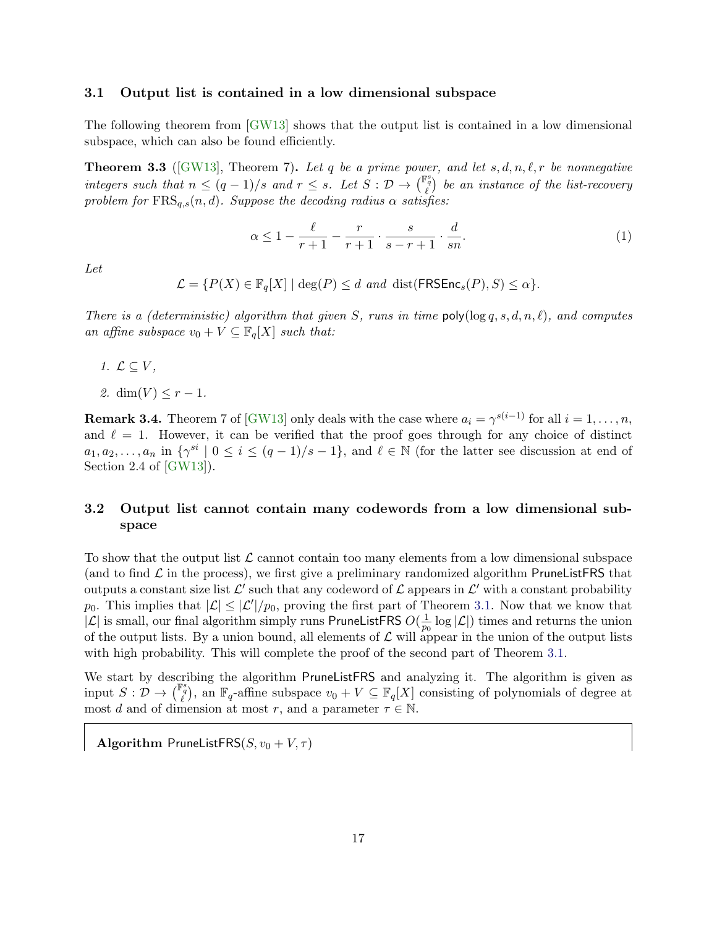#### <span id="page-17-0"></span>3.1 Output list is contained in a low dimensional subspace

The following theorem from [\[GW13\]](#page-55-2) shows that the output list is contained in a low dimensional subspace, which can also be found efficiently.

<span id="page-17-2"></span>**Theorem 3.3** ([\[GW13\]](#page-55-2), Theorem 7). Let q be a prime power, and let  $s, d, n, \ell, r$  be nonnegative integers such that  $n \leq (q-1)/s$  and  $r \leq s$ . Let  $S: \mathcal{D} \to \left(\begin{matrix} \mathbb{F}_q^s \\ \ell \end{matrix}\right)$  be an instance of the list-recovery problem for  $\text{FRS}_{q,s}(n, d)$ . Suppose the decoding radius  $\alpha$  satisfies:

<span id="page-17-3"></span>
$$
\alpha \le 1 - \frac{\ell}{r+1} - \frac{r}{r+1} \cdot \frac{s}{s-r+1} \cdot \frac{d}{sn}.\tag{1}
$$

Let

$$
\mathcal{L} = \{ P(X) \in \mathbb{F}_q[X] \mid \deg(P) \leq d \text{ and } \text{dist}(\mathsf{FRSEnc}_s(P), S) \leq \alpha \}.
$$

There is a (deterministic) algorithm that given S, runs in time  $poly(log q, s, d, n, \ell)$ , and computes an affine subspace  $v_0 + V \subseteq \mathbb{F}_q[X]$  such that:

- 1.  $\mathcal{L} \subseteq V$ ,
- 2.  $\dim(V) \leq r-1$ .

**Remark 3.4.** Theorem 7 of [\[GW13\]](#page-55-2) only deals with the case where  $a_i = \gamma^{s(i-1)}$  for all  $i = 1, \ldots, n$ , and  $\ell = 1$ . However, it can be verified that the proof goes through for any choice of distinct  $a_1, a_2, \ldots, a_n$  in  $\{\gamma^{si} \mid 0 \leq i \leq (q-1)/s-1\}$ , and  $\ell \in \mathbb{N}$  (for the latter see discussion at end of Section 2.4 of [\[GW13\]](#page-55-2)).

### <span id="page-17-1"></span>3.2 Output list cannot contain many codewords from a low dimensional subspace

To show that the output list  $\mathcal L$  cannot contain too many elements from a low dimensional subspace (and to find  $\mathcal L$  in the process), we first give a preliminary randomized algorithm PruneListFRS that outputs a constant size list  $\mathcal{L}'$  such that any codeword of  $\mathcal L$  appears in  $\mathcal{L}'$  with a constant probability  $p_0$ . This implies that  $|\mathcal{L}| \leq |\mathcal{L}'|/p_0$ , proving the first part of Theorem [3.1.](#page-16-0) Now that we know that  $|\mathcal{L}|$  is small, our final algorithm simply runs PruneListFRS  $O(\frac{1}{n})$  $\frac{1}{p_0} \log |\mathcal{L}|$ ) times and returns the union of the output lists. By a union bound, all elements of  $\mathcal L$  will appear in the union of the output lists with high probability. This will complete the proof of the second part of Theorem [3.1.](#page-16-0)

We start by describing the algorithm PruneListFRS and analyzing it. The algorithm is given as input  $S: \mathcal{D} \to \binom{\mathbb{F}_{q}^{s}}{\ell}$ , an  $\mathbb{F}_{q}$ -affine subspace  $v_0 + V \subseteq \mathbb{F}_{q}[X]$  consisting of polynomials of degree at most d and of dimension at most r, and a parameter  $\tau \in \mathbb{N}$ .

Algorithm PruneListFRS $(S, v_0 + V, \tau)$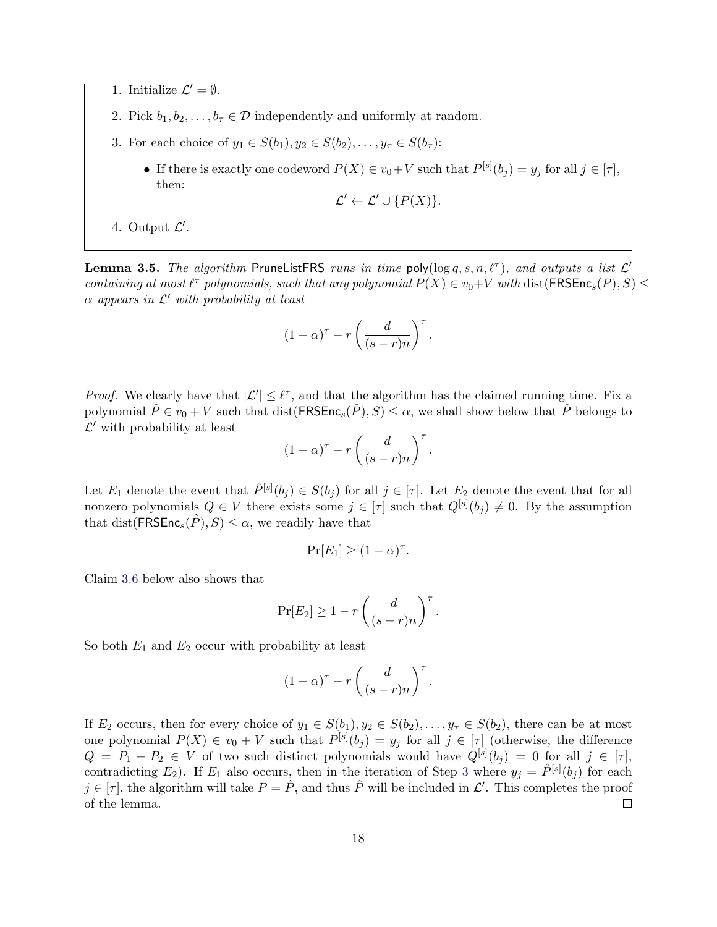- 1. Initialize  $\mathcal{L}' = \emptyset$ .
- 2. Pick  $b_1, b_2, \ldots, b_\tau \in \mathcal{D}$  independently and uniformly at random.
- <span id="page-18-0"></span>3. For each choice of  $y_1 \in S(b_1), y_2 \in S(b_2), \ldots, y_{\tau} \in S(b_{\tau})$ :
	- If there is exactly one codeword  $P(X) \in v_0 + V$  such that  $P^{[s]}(b_j) = y_j$  for all  $j \in [\tau]$ , then:

$$
\mathcal{L}' \leftarrow \mathcal{L}' \cup \{P(X)\}.
$$

4. Output  $\mathcal{L}'$ .

<span id="page-18-1"></span>**Lemma 3.5.** The algorithm PruneListFRS runs in time poly( $\log q, s, n, \ell^{\tau}$ ), and outputs a list  $\mathcal{L}'$ containing at most  $\ell^{\tau}$  polynomials, such that any polynomial  $P(X) \in v_0+V$  with  $dist(\text{FRSEnc}_s(P), S) \le$  $\alpha$  appears in  $\mathcal{L}'$  with probability at least

$$
(1-\alpha)^{\tau} - r \left( \frac{d}{(s-r)n} \right)^{\tau}.
$$

*Proof.* We clearly have that  $|\mathcal{L}'| \leq \ell^{\tau}$ , and that the algorithm has the claimed running time. Fix a polynomial  $\tilde{P} \in v_0 + V$  such that dist(FRSEnc<sub>s</sub> $(\tilde{P}), S \leq \alpha$ , we shall show below that  $\tilde{P}$  belongs to  $\mathcal{L}'$  with probability at least

$$
(1 - \alpha)^{\tau} - r \left( \frac{d}{(s - r)n} \right)^{\tau}.
$$

Let  $E_1$  denote the event that  $\hat{P}^{[s]}(b_j) \in S(b_j)$  for all  $j \in [\tau]$ . Let  $E_2$  denote the event that for all nonzero polynomials  $Q \in V$  there exists some  $j \in [\tau]$  such that  $Q^{[s]}(b_j) \neq 0$ . By the assumption that dist( $\mathsf{FRSEnc}_s(\tilde{P}), S \leq \alpha$ , we readily have that

$$
\Pr[E_1] \ge (1 - \alpha)^{\tau}.
$$

Claim [3.6](#page-19-0) below also shows that

$$
\Pr[E_2] \ge 1 - r \left( \frac{d}{(s-r)n} \right)^{\tau}.
$$

So both  $E_1$  and  $E_2$  occur with probability at least

$$
(1 - \alpha)^{\tau} - r \left( \frac{d}{(s - r)n} \right)^{\tau}.
$$

If  $E_2$  occurs, then for every choice of  $y_1 \in S(b_1), y_2 \in S(b_2), \ldots, y_\tau \in S(b_2)$ , there can be at most one polynomial  $P(X) \in v_0 + V$  such that  $P^{[s]}(b_j) = y_j$  for all  $j \in [\tau]$  (otherwise, the difference  $Q = P_1 - P_2 \in V$  of two such distinct polynomials would have  $Q^{[s]}(b_j) = 0$  for all  $j \in [\tau],$ contradicting  $E_2$ ). If  $E_1$  also occurs, then in the iteration of Step [3](#page-18-0) where  $y_j = \hat{P}^{[s]}(b_j)$  for each  $j \in [\tau]$ , the algorithm will take  $P = \hat{P}$ , and thus  $\hat{P}$  will be included in  $\mathcal{L}'$ . This completes the proof of the lemma.  $\Box$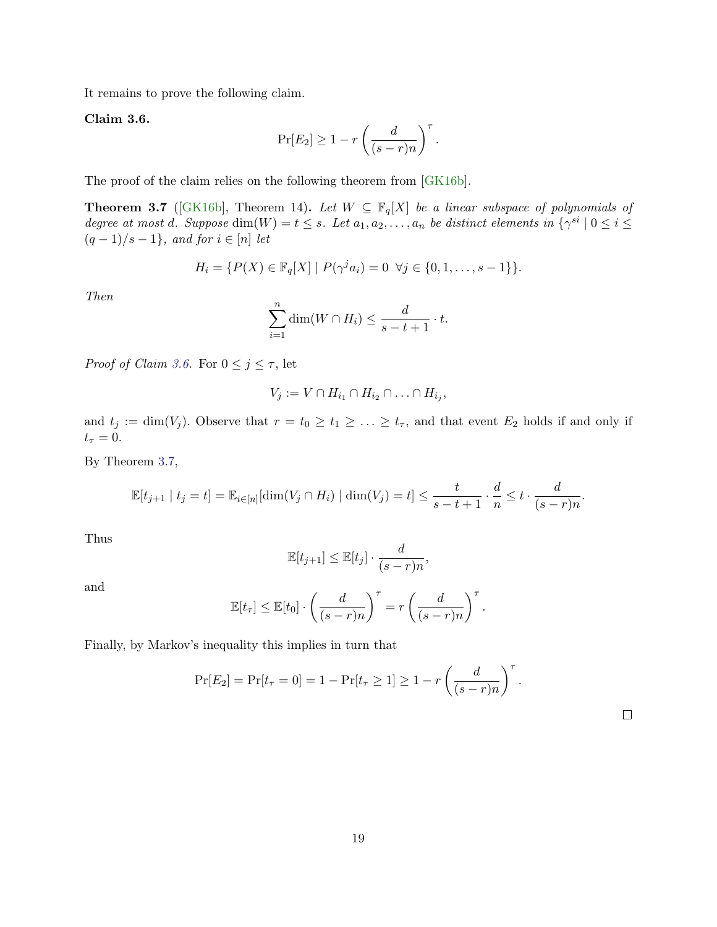It remains to prove the following claim.

<span id="page-19-0"></span>Claim 3.6.

$$
\Pr[E_2] \ge 1 - r \left( \frac{d}{(s-r)n} \right)^{\tau}.
$$

The proof of the claim relies on the following theorem from [\[GK16b\]](#page-54-9).

<span id="page-19-1"></span>**Theorem 3.7** ([\[GK16b\]](#page-54-9), Theorem 14). Let  $W \subseteq \mathbb{F}_q[X]$  be a linear subspace of polynomials of degree at most d. Suppose  $\dim(W) = t \leq s$ . Let  $a_1, a_2, \ldots, a_n$  be distinct elements in  $\{\gamma^{si} \mid 0 \leq i \leq s\}$  $(q-1)/s-1$ , and for  $i \in [n]$  let

$$
H_i = \{ P(X) \in \mathbb{F}_q[X] \mid P(\gamma^j a_i) = 0 \ \forall j \in \{0, 1, \dots, s - 1\} \}.
$$

Then

$$
\sum_{i=1}^{n} \dim(W \cap H_i) \leq \frac{d}{s-t+1} \cdot t.
$$

*Proof of Claim [3.6.](#page-19-0)* For  $0 \le j \le \tau$ , let

$$
V_j := V \cap H_{i_1} \cap H_{i_2} \cap \ldots \cap H_{i_j},
$$

and  $t_j := \dim(V_j)$ . Observe that  $r = t_0 \ge t_1 \ge \ldots \ge t_{\tau}$ , and that event  $E_2$  holds if and only if  $t_\tau = 0.$ 

By Theorem [3.7,](#page-19-1)

$$
\mathbb{E}[t_{j+1} \mid t_j = t] = \mathbb{E}_{i \in [n]}[\dim(V_j \cap H_i) \mid \dim(V_j) = t] \le \frac{t}{s-t+1} \cdot \frac{d}{n} \le t \cdot \frac{d}{(s-r)n}.
$$

Thus

$$
\mathbb{E}[t_{j+1}] \leq \mathbb{E}[t_j] \cdot \frac{d}{(s-r)n},
$$

and

$$
\mathbb{E}[t_{\tau}] \leq \mathbb{E}[t_0] \cdot \left(\frac{d}{(s-r)n}\right)^{\tau} = r \left(\frac{d}{(s-r)n}\right)^{\tau}.
$$

Finally, by Markov's inequality this implies in turn that

$$
Pr[E_2] = Pr[t_\tau = 0] = 1 - Pr[t_\tau \ge 1] \ge 1 - r\left(\frac{d}{(s-r)n}\right)^\tau.
$$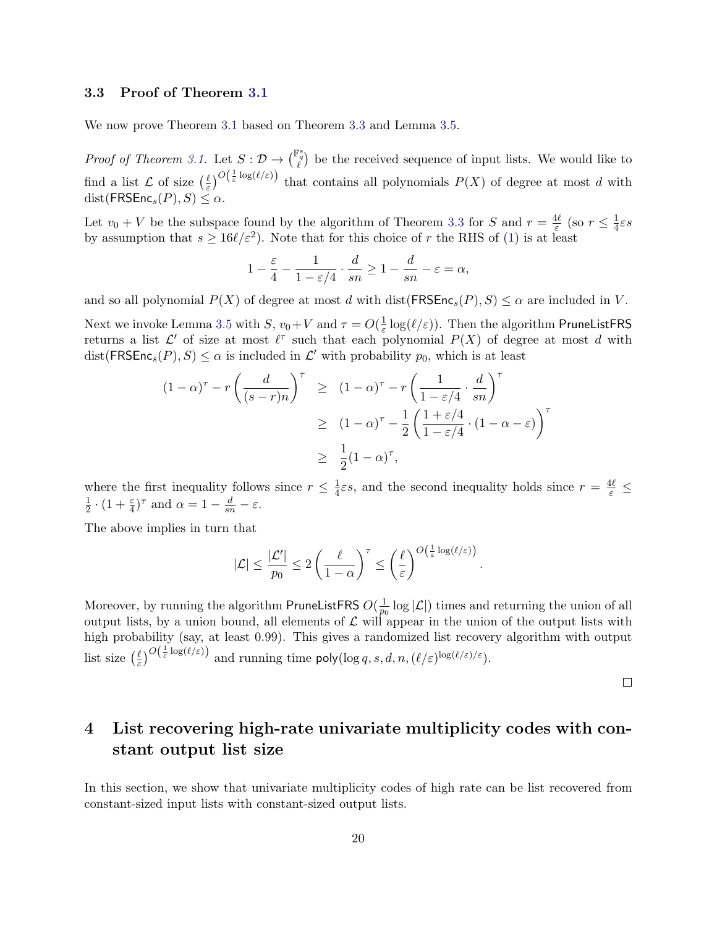#### <span id="page-20-1"></span>3.3 Proof of Theorem [3.1](#page-16-0)

We now prove Theorem [3.1](#page-16-0) based on Theorem [3.3](#page-17-2) and Lemma [3.5.](#page-18-1)

*Proof of Theorem [3.1.](#page-16-0)* Let  $S: \mathcal{D} \to \binom{\mathbb{F}_q^s}{\ell}$  be the received sequence of input lists. We would like to  $\ell$ find a list  $\mathcal L$  of size  $\left(\frac{\ell}{\varepsilon}\right)$  $\frac{\ell}{\varepsilon}$ )<sup>O( $\frac{1}{\varepsilon}$ log( $\ell/\varepsilon$ ) that contains all polynomials  $P(X)$  of degree at most d with</sup>  $dist(FRSEnc<sub>s</sub>(P), S) \leq \alpha$ .

Let  $v_0 + V$  be the subspace found by the algorithm of Theorem [3.3](#page-17-2) for S and  $r = \frac{4\ell}{\varepsilon}$  $\frac{1\ell}{\varepsilon}$  (so  $r \leq \frac{1}{4}$  $rac{1}{4}\varepsilon s$ by assumption that  $s \ge 16\ell/\varepsilon^2$ ). Note that for this choice of r the RHS of [\(1\)](#page-17-3) is at least

$$
1 - \frac{\varepsilon}{4} - \frac{1}{1-\varepsilon/4} \cdot \frac{d}{sn} \geq 1 - \frac{d}{sn} - \varepsilon = \alpha,
$$

and so all polynomial  $P(X)$  of degree at most d with dist( $\mathsf{FRSEnc}_s(P), S \leq \alpha$  are included in V.

Next we invoke Lemma [3.5](#page-18-1) with  $S, v_0 + V$  and  $\tau = O(\frac{1}{\varepsilon})$  $\frac{1}{\varepsilon} \log(\ell/\varepsilon)$ ). Then the algorithm PruneListFRS returns a list  $\mathcal{L}'$  of size at most  $\ell^{\tau}$  such that each polynomial  $P(X)$  of degree at most d with  $dist(FRSEnc_s(P), S) \leq \alpha$  is included in  $\mathcal{L}'$  with probability  $p_0$ , which is at least

$$
(1 - \alpha)^{\tau} - r \left(\frac{d}{(s - r)n}\right)^{\tau} \geq (1 - \alpha)^{\tau} - r \left(\frac{1}{1 - \varepsilon/4} \cdot \frac{d}{sn}\right)^{\tau}
$$

$$
\geq (1 - \alpha)^{\tau} - \frac{1}{2} \left(\frac{1 + \varepsilon/4}{1 - \varepsilon/4} \cdot (1 - \alpha - \varepsilon)\right)^{\tau}
$$

$$
\geq \frac{1}{2} (1 - \alpha)^{\tau},
$$

where the first inequality follows since  $r \leq \frac{1}{4}$  $\frac{1}{4}\varepsilon s$ , and the second inequality holds since  $r = \frac{4\ell}{\varepsilon} \leq$ 1  $\frac{1}{2} \cdot (1 + \frac{\varepsilon}{4})^{\tau}$  and  $\alpha = 1 - \frac{d}{sn} - \varepsilon$ .

The above implies in turn that

$$
|\mathcal{L}| \leq \frac{|\mathcal{L}'|}{p_0} \leq 2 \left(\frac{\ell}{1-\alpha}\right)^{\tau} \leq \left(\frac{\ell}{\varepsilon}\right)^{O\left(\frac{1}{\varepsilon}\log(\ell/\varepsilon)\right)}.
$$

Moreover, by running the algorithm PruneListFRS  $O(\frac{1}{n})$  $\frac{1}{p_0}$  log  $|\mathcal{L}|$ ) times and returning the union of all output lists, by a union bound, all elements of  $\mathcal L$  will appear in the union of the output lists with high probability (say, at least 0.99). This gives a randomized list recovery algorithm with output list size  $(\frac{\ell}{\varepsilon})$  $\frac{\ell}{\varepsilon}$ )<sup>O( $\frac{1}{\varepsilon}$ log( $\ell/\varepsilon$ )) and running time poly(log q, s, d, n, ( $\ell/\varepsilon$ )<sup>log( $\ell/\varepsilon$ </sup>).</sup>

 $\Box$ 

# <span id="page-20-0"></span>4 List recovering high-rate univariate multiplicity codes with constant output list size

In this section, we show that univariate multiplicity codes of high rate can be list recovered from constant-sized input lists with constant-sized output lists.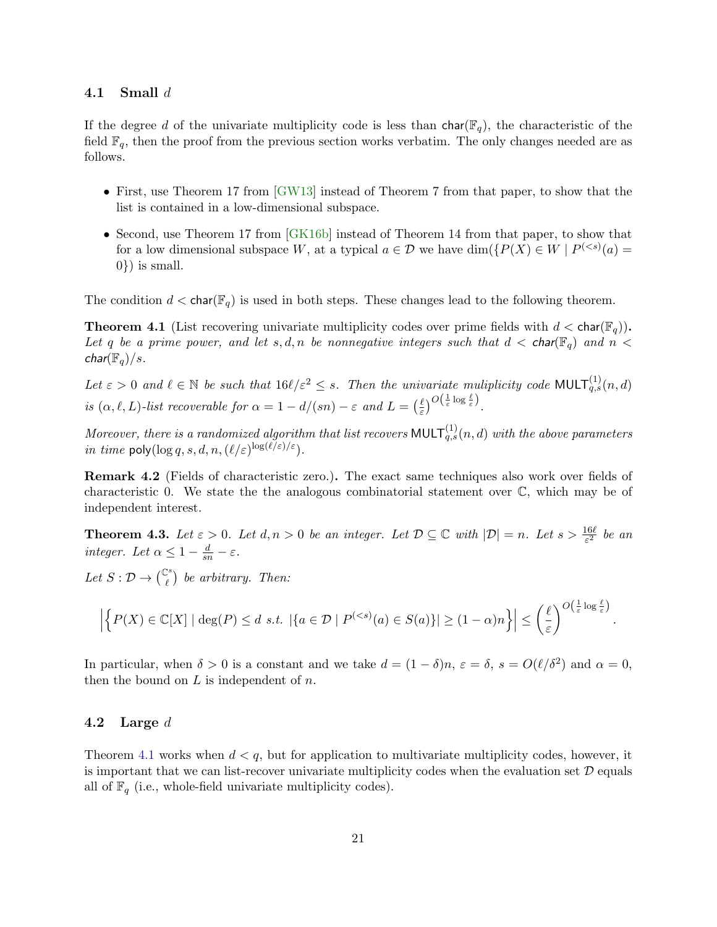#### 4.1 Small  $d$

If the degree d of the univariate multiplicity code is less than  $char(\mathbb{F}_q)$ , the characteristic of the field  $\mathbb{F}_q$ , then the proof from the previous section works verbatim. The only changes needed are as follows.

- First, use Theorem 17 from [\[GW13\]](#page-55-2) instead of Theorem 7 from that paper, to show that the list is contained in a low-dimensional subspace.
- Second, use Theorem 17 from [\[GK16b\]](#page-54-9) instead of Theorem 14 from that paper, to show that for a low dimensional subspace W, at a typical  $a \in \mathcal{D}$  we have  $\dim({P(X) \in W \mid P^{(*s*)}(a) =$ 0}) is small.

The condition  $d < \text{char}(\mathbb{F}_q)$  is used in both steps. These changes lead to the following theorem.

<span id="page-21-0"></span>**Theorem 4.1** (List recovering univariate multiplicity codes over prime fields with  $d < \text{char}(\mathbb{F}_q)$ ). Let q be a prime power, and let s, d, n be nonnegative integers such that  $d <$  char( $\mathbb{F}_q$ ) and  $n <$  $char(\mathbb{F}_q)/s$ .

Let  $\varepsilon > 0$  and  $\ell \in \mathbb{N}$  be such that  $16\ell/\varepsilon^2 \leq s$ . Then the univariate muliplicity code MULT $_{q,s}^{(1)}(n,d)$ is  $(\alpha, \ell, L)$ -list recoverable for  $\alpha = 1 - d/(sn) - \varepsilon$  and  $L = \left(\frac{\ell}{\varepsilon}\right)$  $\frac{\ell}{\varepsilon}$ ) $^{O\left(\frac{1}{\varepsilon}\log \frac{\ell}{\varepsilon}\right)}$ .

Moreover, there is a randomized algorithm that list recovers  $\text{\sf MULT}_{q,s}^{(1)}(n,d)$  with the above parameters in time  $\mathsf{poly}(\log q, s, d, n, (\ell/\varepsilon)^{\log(\ell/\varepsilon)/\varepsilon}).$ 

Remark 4.2 (Fields of characteristic zero.). The exact same techniques also work over fields of characteristic 0. We state the the analogous combinatorial statement over C, which may be of independent interest.

**Theorem 4.3.** Let  $\varepsilon > 0$ . Let  $d, n > 0$  be an integer. Let  $\mathcal{D} \subseteq \mathbb{C}$  with  $|\mathcal{D}| = n$ . Let  $s > \frac{16\ell}{\varepsilon^2}$  be an integer. Let  $\alpha \leq 1 - \frac{d}{sn} - \varepsilon$ .

Let  $S: \mathcal{D} \to \begin{pmatrix} \mathbb{C}^s \\ \ell \end{pmatrix}$  be arbitrary. Then:

$$
\left|\left\{P(X) \in \mathbb{C}[X] \mid \deg(P) \leq d \ s.t. \ \left|\left\{a \in \mathcal{D} \mid P^{(
$$

In particular, when  $\delta > 0$  is a constant and we take  $d = (1 - \delta)n$ ,  $\varepsilon = \delta$ ,  $s = O(\ell/\delta^2)$  and  $\alpha = 0$ , then the bound on  $L$  is independent of  $n$ .

#### 4.2 Large d

Theorem [4.1](#page-21-0) works when  $d < q$ , but for application to multivariate multiplicity codes, however, it is important that we can list-recover univariate multiplicity codes when the evaluation set  $D$  equals all of  $\mathbb{F}_q$  (i.e., whole-field univariate multiplicity codes).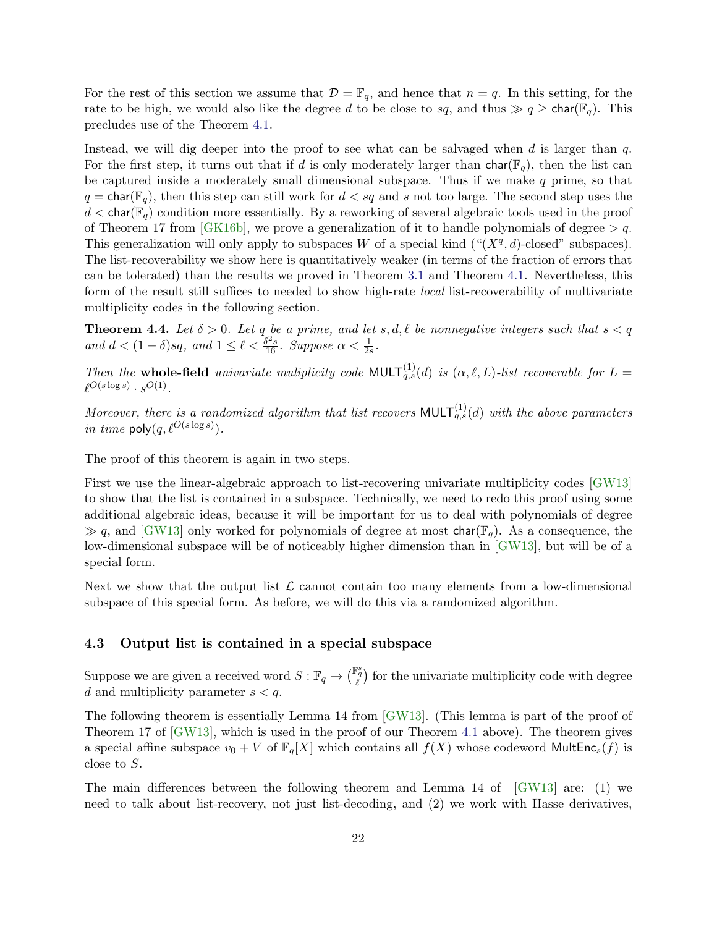For the rest of this section we assume that  $\mathcal{D} = \mathbb{F}_q$ , and hence that  $n = q$ . In this setting, for the rate to be high, we would also like the degree d to be close to sq, and thus  $\gg q \geq \text{char}(\mathbb{F}_q)$ . This precludes use of the Theorem [4.1.](#page-21-0)

Instead, we will dig deeper into the proof to see what can be salvaged when d is larger than  $q$ . For the first step, it turns out that if d is only moderately larger than  $char(\mathbb{F}_q)$ , then the list can be captured inside a moderately small dimensional subspace. Thus if we make  $q$  prime, so that  $q = \text{char}(\mathbb{F}_q)$ , then this step can still work for  $d < sq$  and s not too large. The second step uses the  $d < \text{char}(\mathbb{F}_q)$  condition more essentially. By a reworking of several algebraic tools used in the proof of Theorem 17 from [\[GK16b\]](#page-54-9), we prove a generalization of it to handle polynomials of degree  $> q$ . This generalization will only apply to subspaces W of a special kind  $({}``(X^q, d)$ -closed" subspaces). The list-recoverability we show here is quantitatively weaker (in terms of the fraction of errors that can be tolerated) than the results we proved in Theorem [3.1](#page-16-0) and Theorem [4.1.](#page-21-0) Nevertheless, this form of the result still suffices to needed to show high-rate local list-recoverability of multivariate multiplicity codes in the following section.

<span id="page-22-0"></span>**Theorem 4.4.** Let  $\delta > 0$ . Let q be a prime, and let  $s, d, \ell$  be nonnegative integers such that  $s < q$ and  $d < (1 - \delta)sq$ , and  $1 \leq \ell < \frac{\delta^2 s}{16}$ . Suppose  $\alpha < \frac{1}{2s}$ .

Then the whole-field univariate muliplicity code  $MULT_{q,s}^{(1)}(d)$  is  $(\alpha, \ell, L)$ -list recoverable for  $L =$  $\ell^{O(s\log s)} \cdot s^{O(1)}$ .

Moreover, there is a randomized algorithm that list recovers MULT $_{q,s}^{(1)}(d)$  with the above parameters in time  $\text{poly}(q, \ell^{O(s \log s)})$ .

The proof of this theorem is again in two steps.

First we use the linear-algebraic approach to list-recovering univariate multiplicity codes [\[GW13\]](#page-55-2) to show that the list is contained in a subspace. Technically, we need to redo this proof using some additional algebraic ideas, because it will be important for us to deal with polynomials of degree  $\gg q$ , and [\[GW13\]](#page-55-2) only worked for polynomials of degree at most char( $\mathbb{F}_q$ ). As a consequence, the low-dimensional subspace will be of noticeably higher dimension than in [\[GW13\]](#page-55-2), but will be of a special form.

Next we show that the output list  $\mathcal L$  cannot contain too many elements from a low-dimensional subspace of this special form. As before, we will do this via a randomized algorithm.

#### 4.3 Output list is contained in a special subspace

Suppose we are given a received word  $S: \mathbb{F}_q \to {\binom{\mathbb{F}_q^s}{\ell}}$  for the univariate multiplicity code with degree d and multiplicity parameter  $s < q$ .

The following theorem is essentially Lemma 14 from [\[GW13\]](#page-55-2). (This lemma is part of the proof of Theorem 17 of [\[GW13\]](#page-55-2), which is used in the proof of our Theorem [4.1](#page-21-0) above). The theorem gives a special affine subspace  $v_0 + V$  of  $\mathbb{F}_q[X]$  which contains all  $f(X)$  whose codeword MultEnc<sub>s</sub>(f) is close to S.

The main differences between the following theorem and Lemma 14 of [\[GW13\]](#page-55-2) are: (1) we need to talk about list-recovery, not just list-decoding, and (2) we work with Hasse derivatives,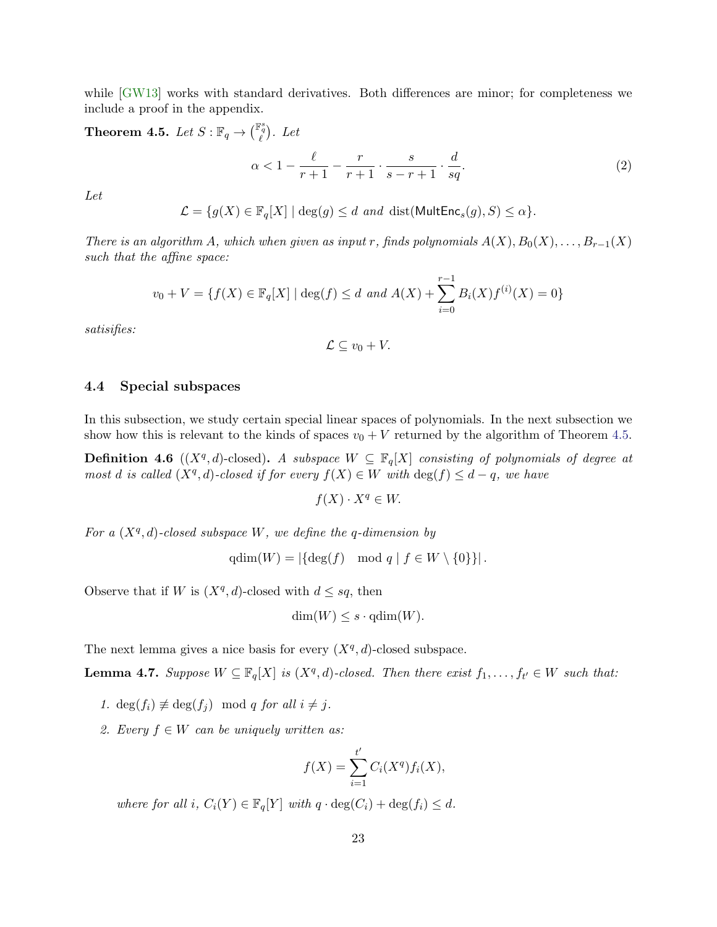while [\[GW13\]](#page-55-2) works with standard derivatives. Both differences are minor; for completeness we include a proof in the appendix.

<span id="page-23-0"></span>**Theorem 4.5.** Let  $S : \mathbb{F}_q \to {\mathbb{F}_q^s}$ . Let

<span id="page-23-2"></span>
$$
\alpha < 1 - \frac{\ell}{r+1} - \frac{r}{r+1} \cdot \frac{s}{s-r+1} \cdot \frac{d}{sq}.\tag{2}
$$

Let

 $\mathcal{L} = \{g(X) \in \mathbb{F}_q[X] \mid \deg(g) \leq d \text{ and } \text{dist}(\text{MultEnc}_s(g), S) \leq \alpha\}.$ 

There is an algorithm A, which when given as input r, finds polynomials  $A(X), B_0(X), \ldots, B_{r-1}(X)$ such that the affine space:

$$
v_0 + V = \{f(X) \in \mathbb{F}_q[X] \mid \deg(f) \le d \text{ and } A(X) + \sum_{i=0}^{r-1} B_i(X)f^{(i)}(X) = 0\}
$$

satisifies:

$$
\mathcal{L}\subseteq v_0+V.
$$

#### 4.4 Special subspaces

In this subsection, we study certain special linear spaces of polynomials. In the next subsection we show how this is relevant to the kinds of spaces  $v_0 + V$  returned by the algorithm of Theorem [4.5.](#page-23-0)

**Definition 4.6** ( $(X^q, d)$ -closed). A subspace  $W \subseteq \mathbb{F}_q[X]$  consisting of polynomials of degree at most d is called  $(X^q, d)$ -closed if for every  $f(X) \in W$  with  $\deg(f) \leq d - q$ , we have

$$
f(X) \cdot X^q \in W.
$$

For a  $(X<sup>q</sup>, d)$ -closed subspace W, we define the q-dimension by

$$
\mathrm{qdim}(W) = |\{\deg(f) \mod q \mid f \in W \setminus \{0\}\}|.
$$

Observe that if W is  $(X^q, d)$ -closed with  $d \leq sq$ , then

$$
\dim(W) \le s \cdot \operatorname{qdim}(W).
$$

The next lemma gives a nice basis for every  $(X^q, d)$ -closed subspace.

<span id="page-23-1"></span>**Lemma 4.7.** Suppose  $W \subseteq \mathbb{F}_q[X]$  is  $(X^q, d)$ -closed. Then there exist  $f_1, \ldots, f_{t'} \in W$  such that:

- 1. deg $(f_i) \not\equiv \deg(f_j) \mod q$  for all  $i \neq j$ .
- 2. Every  $f \in W$  can be uniquely written as:

$$
f(X) = \sum_{i=1}^{t'} C_i(X^q) f_i(X),
$$

where for all i,  $C_i(Y) \in \mathbb{F}_q[Y]$  with  $q \cdot \deg(C_i) + \deg(f_i) \leq d$ .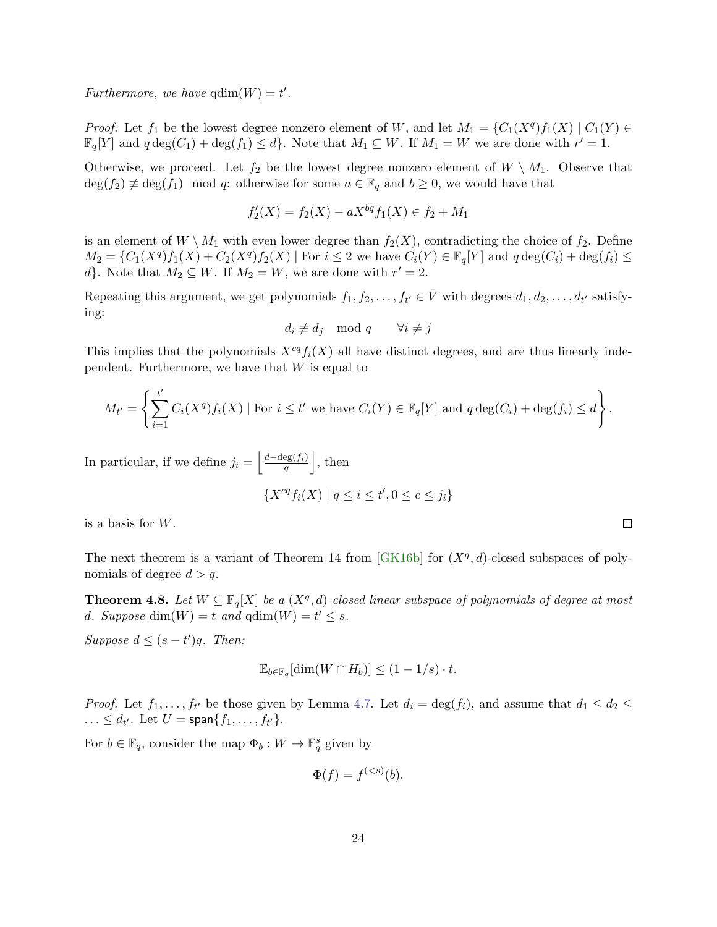Furthermore, we have  $qdim(W) = t'$ .

*Proof.* Let  $f_1$  be the lowest degree nonzero element of W, and let  $M_1 = \{C_1(X^q)f_1(X) \mid C_1(Y) \in$  $\mathbb{F}_q[Y]$  and  $q \deg(C_1) + \deg(f_1) \leq d$ . Note that  $M_1 \subseteq W$ . If  $M_1 = W$  we are done with  $r' = 1$ .

Otherwise, we proceed. Let  $f_2$  be the lowest degree nonzero element of  $W \setminus M_1$ . Observe that  $\deg(f_2) \not\equiv \deg(f_1) \mod q$ : otherwise for some  $a \in \mathbb{F}_q$  and  $b \geq 0$ , we would have that

$$
f_2'(X) = f_2(X) - aX^{bq} f_1(X) \in f_2 + M_1
$$

is an element of  $W \setminus M_1$  with even lower degree than  $f_2(X)$ , contradicting the choice of  $f_2$ . Define  $M_2 = \{C_1(X^q)f_1(X) + C_2(X^q)f_2(X) \mid \text{For } i \leq 2 \text{ we have } C_i(Y) \in \mathbb{F}_q[Y] \text{ and } q \deg(C_i) + \deg(f_i) \leq 2 \text{ for all } i \leq 3 \text{ and } q \text{ and } q \text{ and } q \text{ and } q \text{ and } q \text{ and } q \text{ and } q \text{ and } q \text{ and } q \text{ and } q \text{ and } q \text{ and } q \text{ and } q \text{ and } q \text{ and } q \text{ and } q \text{ and } q \text{ and } q \text{ and } q \text{ and } q \text{$ d}. Note that  $M_2 \subseteq W$ . If  $M_2 = W$ , we are done with  $r' = 2$ .

Repeating this argument, we get polynomials  $f_1, f_2, \ldots, f_{t'} \in \overline{V}$  with degrees  $d_1, d_2, \ldots, d_{t'}$  satisfying:

$$
d_i \not\equiv d_j \mod q \qquad \forall i \neq j
$$

This implies that the polynomials  $X^{cq}f_i(X)$  all have distinct degrees, and are thus linearly independent. Furthermore, we have that  $W$  is equal to

$$
M_{t'} = \left\{ \sum_{i=1}^{t'} C_i(X^q) f_i(X) \mid \text{For } i \leq t' \text{ we have } C_i(Y) \in \mathbb{F}_q[Y] \text{ and } q \deg(C_i) + \deg(f_i) \leq d \right\}.
$$

In particular, if we define  $j_i = \left| \frac{d - \deg(f_i)}{d} \right|$  $\frac{\log(f_i)}{q}$ , then

$$
\{X^{cq}f_i(X) \mid q \le i \le t', 0 \le c \le j_i\}
$$

is a basis for W.

The next theorem is a variant of Theorem 14 from [\[GK16b\]](#page-54-9) for  $(X^q, d)$ -closed subspaces of polynomials of degree  $d > q$ .

<span id="page-24-0"></span>**Theorem 4.8.** Let  $W \subseteq \mathbb{F}_q[X]$  be a  $(X^q, d)$ -closed linear subspace of polynomials of degree at most d. Suppose  $\dim(W) = t$  and  $\dim(W) = t' \leq s$ .

Suppose  $d \leq (s - t')q$ . Then:

$$
\mathbb{E}_{b \in \mathbb{F}_q}[\dim(W \cap H_b)] \le (1 - 1/s) \cdot t.
$$

*Proof.* Let  $f_1, \ldots, f_{t'}$  be those given by Lemma [4.7.](#page-23-1) Let  $d_i = \deg(f_i)$ , and assume that  $d_1 \leq d_2 \leq$  $\ldots \leq d_{t'}$ . Let  $U = \text{span}\{f_1, \ldots, f_{t'}\}.$ 

For  $b \in \mathbb{F}_q$ , consider the map  $\Phi_b: W \to \mathbb{F}_q^s$  given by

$$
\Phi(f) = f^{(
$$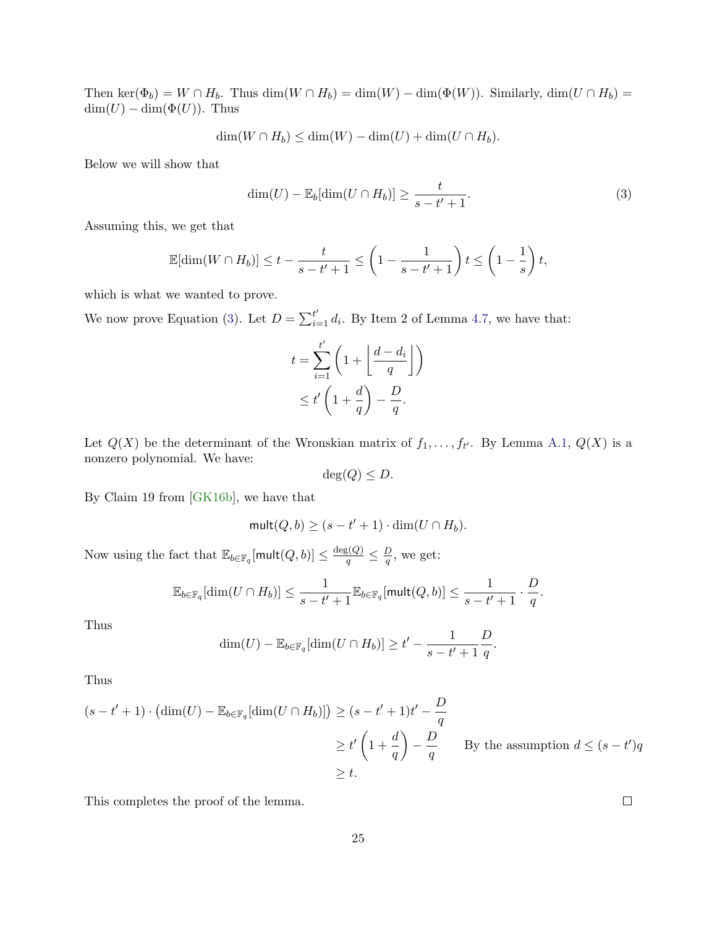Then ker( $\Phi_b$ ) = W ∩ H<sub>b</sub>. Thus dim( $W \cap H_b$ ) = dim( $W$ ) – dim( $\Phi(W)$ ). Similarly, dim( $U \cap H_b$ ) =  $\dim(U) - \dim(\Phi(U))$ . Thus

$$
\dim(W \cap H_b) \le \dim(W) - \dim(U) + \dim(U \cap H_b).
$$

Below we will show that

<span id="page-25-0"></span>
$$
\dim(U) - \mathbb{E}_b[\dim(U \cap H_b)] \ge \frac{t}{s - t' + 1}.\tag{3}
$$

Assuming this, we get that

$$
\mathbb{E}[\dim(W \cap H_b)] \le t - \frac{t}{s - t' + 1} \le \left(1 - \frac{1}{s - t' + 1}\right)t \le \left(1 - \frac{1}{s}\right)t,
$$

which is what we wanted to prove.

We now prove Equation [\(3\)](#page-25-0). Let  $D = \sum_{i=1}^{t'} d_i$ . By Item 2 of Lemma [4.7,](#page-23-1) we have that:

$$
t = \sum_{i=1}^{t'} \left( 1 + \left\lfloor \frac{d - d_i}{q} \right\rfloor \right)
$$
  

$$
\leq t' \left( 1 + \frac{d}{q} \right) - \frac{D}{q}.
$$

Let  $Q(X)$  be the determinant of the Wronskian matrix of  $f_1, \ldots, f_{t'}$ . By Lemma [A.1,](#page-56-11)  $Q(X)$  is a nonzero polynomial. We have:

$$
\deg(Q) \le D.
$$

By Claim 19 from [\[GK16b\]](#page-54-9), we have that

$$
\mathsf{mult}(Q, b) \ge (s - t' + 1) \cdot \dim(U \cap H_b).
$$

Now using the fact that  $\mathbb{E}_{b \in \mathbb{F}_q}[\mathsf{mult}(Q,b)] \leq \frac{\deg(Q)}{q} \leq \frac{D}{q}$  $\frac{D}{q}$ , we get:

$$
\mathbb{E}_{b \in \mathbb{F}_q}[\dim(U \cap H_b)] \leq \frac{1}{s - t' + 1} \mathbb{E}_{b \in \mathbb{F}_q}[\text{mult}(Q, b)] \leq \frac{1}{s - t' + 1} \cdot \frac{D}{q}.
$$

Thus

$$
\dim(U) - \mathbb{E}_{b \in \mathbb{F}_q}[\dim(U \cap H_b)] \ge t' - \frac{1}{s - t' + 1} \frac{D}{q}.
$$

Thus

$$
(s - t' + 1) \cdot (\dim(U) - \mathbb{E}_{b \in \mathbb{F}_q}[\dim(U \cap H_b)]) \ge (s - t' + 1)t' - \frac{D}{q}
$$
  
\n
$$
\ge t' \left(1 + \frac{d}{q}\right) - \frac{D}{q} \qquad \text{By the assumption } d \le (s - t')q
$$
  
\n
$$
\ge t.
$$

This completes the proof of the lemma.

 $\Box$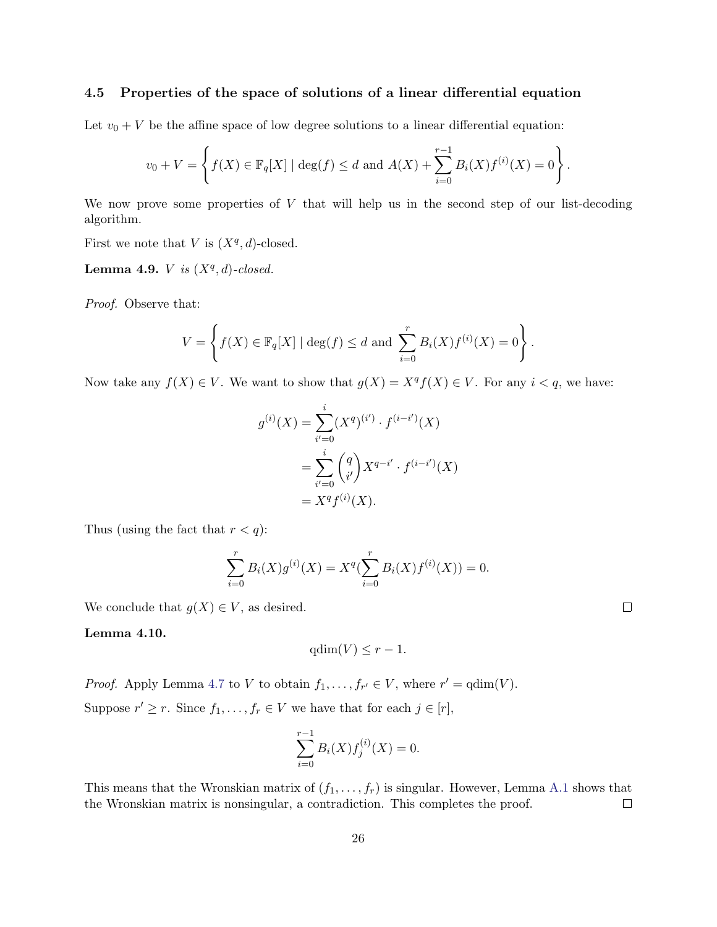#### 4.5 Properties of the space of solutions of a linear differential equation

Let  $v_0 + V$  be the affine space of low degree solutions to a linear differential equation:

$$
v_0 + V = \left\{ f(X) \in \mathbb{F}_q[X] \mid \deg(f) \le d \text{ and } A(X) + \sum_{i=0}^{r-1} B_i(X) f^{(i)}(X) = 0 \right\}.
$$

We now prove some properties of  $V$  that will help us in the second step of our list-decoding algorithm.

First we note that V is  $(X^q, d)$ -closed.

Lemma 4.9. *V* is  $(X<sup>q</sup>, d)$ -closed.

Proof. Observe that:

$$
V = \left\{ f(X) \in \mathbb{F}_q[X] \mid \deg(f) \le d \text{ and } \sum_{i=0}^r B_i(X) f^{(i)}(X) = 0 \right\}.
$$

Now take any  $f(X) \in V$ . We want to show that  $g(X) = X^q f(X) \in V$ . For any  $i < q$ , we have:

$$
g^{(i)}(X) = \sum_{i'=0}^{i} (X^q)^{(i')} \cdot f^{(i-i')}(X)
$$
  
= 
$$
\sum_{i'=0}^{i} {q \choose i'} X^{q-i'} \cdot f^{(i-i')}(X)
$$
  
= 
$$
X^q f^{(i)}(X).
$$

Thus (using the fact that  $r < q$ ):

$$
\sum_{i=0}^{r} B_i(X)g^{(i)}(X) = X^q(\sum_{i=0}^{r} B_i(X)f^{(i)}(X)) = 0.
$$

We conclude that  $g(X) \in V$ , as desired.

<span id="page-26-0"></span>Lemma 4.10.

$$
\mathrm{qdim}(V) \leq r - 1.
$$

*Proof.* Apply Lemma [4.7](#page-23-1) to V to obtain  $f_1, \ldots, f_{r'} \in V$ , where  $r' = \text{qdim}(V)$ . Suppose  $r' \geq r$ . Since  $f_1, \ldots, f_r \in V$  we have that for each  $j \in [r]$ ,

$$
\sum_{i=0}^{r-1} B_i(X) f_j^{(i)}(X) = 0.
$$

This means that the Wronskian matrix of  $(f_1, \ldots, f_r)$  is singular. However, Lemma [A.1](#page-56-11) shows that the Wronskian matrix is nonsingular, a contradiction. This completes the proof.  $\Box$ 

 $\Box$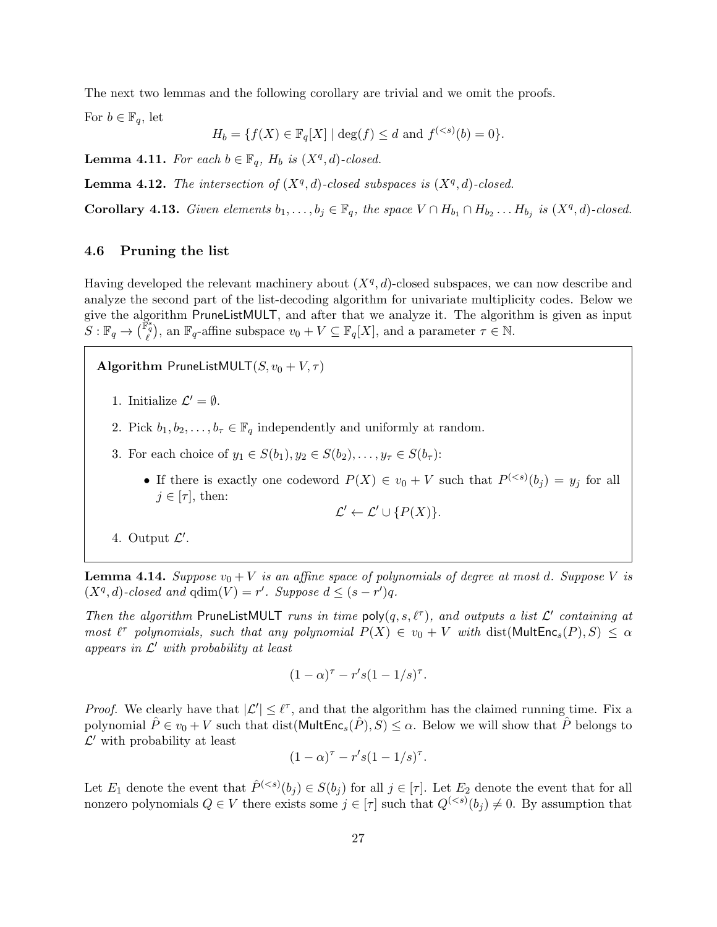The next two lemmas and the following corollary are trivial and we omit the proofs.

For  $b \in \mathbb{F}_q$ , let

$$
H_b = \{ f(X) \in \mathbb{F}_q[X] \mid \deg(f) \le d \text{ and } f^{(
$$

**Lemma 4.11.** For each  $b \in \mathbb{F}_q$ ,  $H_b$  is  $(X^q, d)$ -closed.

**Lemma 4.12.** The intersection of  $(X^q, d)$ -closed subspaces is  $(X^q, d)$ -closed.

<span id="page-27-0"></span>**Corollary 4.13.** Given elements  $b_1, \ldots, b_j \in \mathbb{F}_q$ , the space  $V \cap H_{b_1} \cap H_{b_2} \ldots H_{b_j}$  is  $(X^q, d)$ -closed.

#### 4.6 Pruning the list

Having developed the relevant machinery about  $(X<sup>q</sup>, d)$ -closed subspaces, we can now describe and analyze the second part of the list-decoding algorithm for univariate multiplicity codes. Below we give the algorithm PruneListMULT, and after that we analyze it. The algorithm is given as input  $S : \mathbb{F}_q \to \left(\begin{smallmatrix} \mathbb{F}_q^s \\ \ell^s \end{smallmatrix}\right)$ , an  $\mathbb{F}_q$ -affine subspace  $v_0 + V \subseteq \mathbb{F}_q[X]$ , and a parameter  $\tau \in \mathbb{N}$ .

Algorithm PruneListMULT $(S, v_0 + V, \tau)$ 

1. Initialize  $\mathcal{L}' = \emptyset$ .

- 2. Pick  $b_1, b_2, \ldots, b_\tau \in \mathbb{F}_q$  independently and uniformly at random.
- 3. For each choice of  $y_1 \in S(b_1), y_2 \in S(b_2), \ldots, y_{\tau} \in S(b_{\tau})$ :
	- If there is exactly one codeword  $P(X) \in v_0 + V$  such that  $P^{(*s*)}(b_j) = y_j$  for all  $j \in [\tau]$ , then:

$$
\mathcal{L}' \leftarrow \mathcal{L}' \cup \{P(X)\}.
$$

4. Output  $\mathcal{L}'$ .

<span id="page-27-1"></span>**Lemma 4.14.** Suppose  $v_0 + V$  is an affine space of polynomials of degree at most d. Suppose V is  $(X^q, d)$ -closed and  $qdim(V) = r'$ . Suppose  $d \leq (s - r')q$ .

Then the algorithm PruneListMULT runs in time  $poly(q, s, \ell^{\tau})$ , and outputs a list  $\mathcal{L}'$  containing at most  $\ell^{\tau}$  polynomials, such that any polynomial  $P(X) \in v_0 + V$  with  $dist(MultEnc_s(P), S) \leq \alpha$ appears in  $\mathcal{L}'$  with probability at least

$$
(1-\alpha)^{\tau} - r's(1-1/s)^{\tau}.
$$

*Proof.* We clearly have that  $|\mathcal{L}'| \leq \ell^{\tau}$ , and that the algorithm has the claimed running time. Fix a polynomial  $\hat{P} \in v_0 + V$  such that dist(Mult $\text{Enc}_s(\hat{P}), S \leq \alpha$ . Below we will show that  $\hat{P}$  belongs to  $\mathcal{L}'$  with probability at least

$$
(1-\alpha)^{\tau} - r's(1-1/s)^{\tau}.
$$

Let  $E_1$  denote the event that  $\hat{P}^{( for all  $j \in [\tau]$ . Let  $E_2$  denote the event that for all$ nonzero polynomials  $Q \in V$  there exists some  $j \in [\tau]$  such that  $Q^{(*s*)}(b_j) \neq 0$ . By assumption that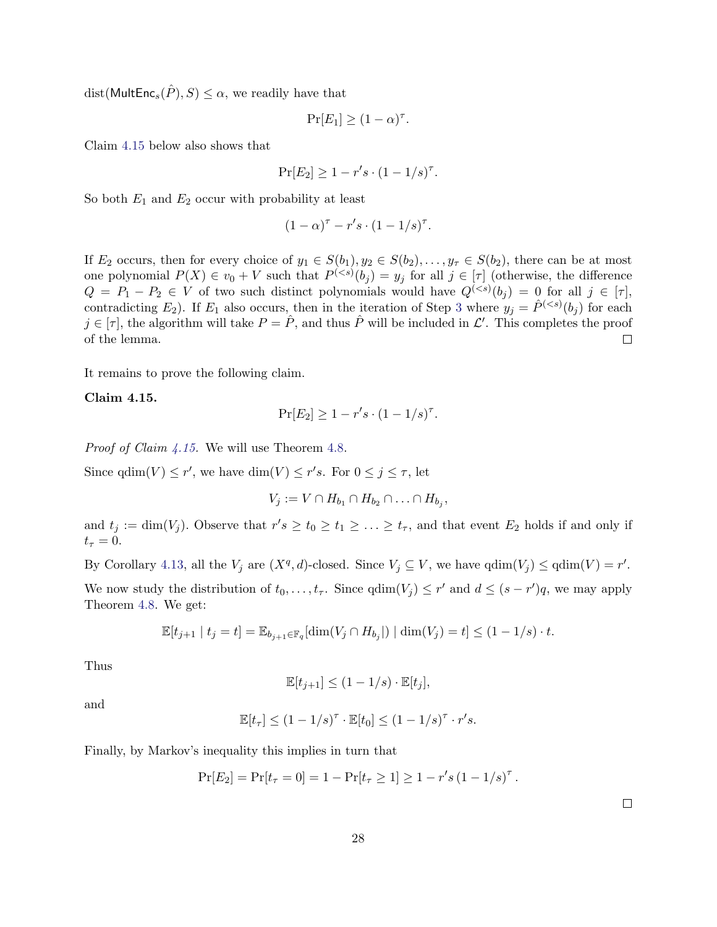dist(MultEnc<sub>s</sub> $(\hat{P}), S \leq \alpha$ , we readily have that

$$
\Pr[E_1] \ge (1 - \alpha)^{\tau}.
$$

Claim [4.15](#page-28-0) below also shows that

$$
Pr[E_2] \ge 1 - r's \cdot (1 - 1/s)^{\tau}.
$$

So both  $E_1$  and  $E_2$  occur with probability at least

$$
(1-\alpha)^{\tau} - r's \cdot (1-1/s)^{\tau}.
$$

If  $E_2$  occurs, then for every choice of  $y_1 \in S(b_1), y_2 \in S(b_2), \ldots, y_\tau \in S(b_2)$ , there can be at most one polynomial  $P(X) \in v_0 + V$  such that  $P^{(*s*)}(b_j) = y_j$  for all  $j \in [\tau]$  (otherwise, the difference  $Q = P_1 - P_2 \in V$  of two such distinct polynomials would have  $Q^{(*s*)}(b_j) = 0$  for all  $j \in [\tau]$ , contradicting  $E_2$ ). If  $E_1$  also occurs, then in the iteration of Step [3](#page-18-0) where  $y_j = \hat{P}^{( for each$  $j \in [\tau]$ , the algorithm will take  $P = \hat{P}$ , and thus  $\hat{P}$  will be included in  $\mathcal{L}'$ . This completes the proof of the lemma.  $\Box$ 

It remains to prove the following claim.

#### <span id="page-28-0"></span>Claim 4.15.

$$
Pr[E_2] \ge 1 - r's \cdot (1 - 1/s)^{\tau}.
$$

Proof of Claim [4.15.](#page-28-0) We will use Theorem [4.8.](#page-24-0)

Since  $qdim(V) \leq r'$ , we have  $dim(V) \leq r's$ . For  $0 \leq j \leq \tau$ , let

$$
V_j := V \cap H_{b_1} \cap H_{b_2} \cap \ldots \cap H_{b_j},
$$

and  $t_j := \dim(V_j)$ . Observe that  $r's \ge t_0 \ge t_1 \ge \ldots \ge t_{\tau}$ , and that event  $E_2$  holds if and only if  $t_\tau = 0.$ 

By Corollary [4.13,](#page-27-0) all the  $V_j$  are  $(X^q, d)$ -closed. Since  $V_j \subseteq V$ , we have  $qdim(V_j) \leq qdim(V) = r'$ . We now study the distribution of  $t_0, \ldots, t_{\tau}$ . Since  $\dim(V_j) \leq r'$  and  $d \leq (s - r')q$ , we may apply Theorem [4.8.](#page-24-0) We get:

$$
\mathbb{E}[t_{j+1} | t_j = t] = \mathbb{E}_{b_{j+1} \in \mathbb{F}_q}[\dim(V_j \cap H_{b_j}]) | \dim(V_j) = t] \leq (1 - 1/s) \cdot t.
$$

Thus

$$
\mathbb{E}[t_{j+1}] \le (1 - 1/s) \cdot \mathbb{E}[t_j],
$$

and

$$
\mathbb{E}[t_{\tau}] \le (1 - 1/s)^{\tau} \cdot \mathbb{E}[t_0] \le (1 - 1/s)^{\tau} \cdot r's.
$$

Finally, by Markov's inequality this implies in turn that

$$
Pr[E_2] = Pr[t_\tau = 0] = 1 - Pr[t_\tau \ge 1] \ge 1 - r's (1 - 1/s)^\tau.
$$

 $\Box$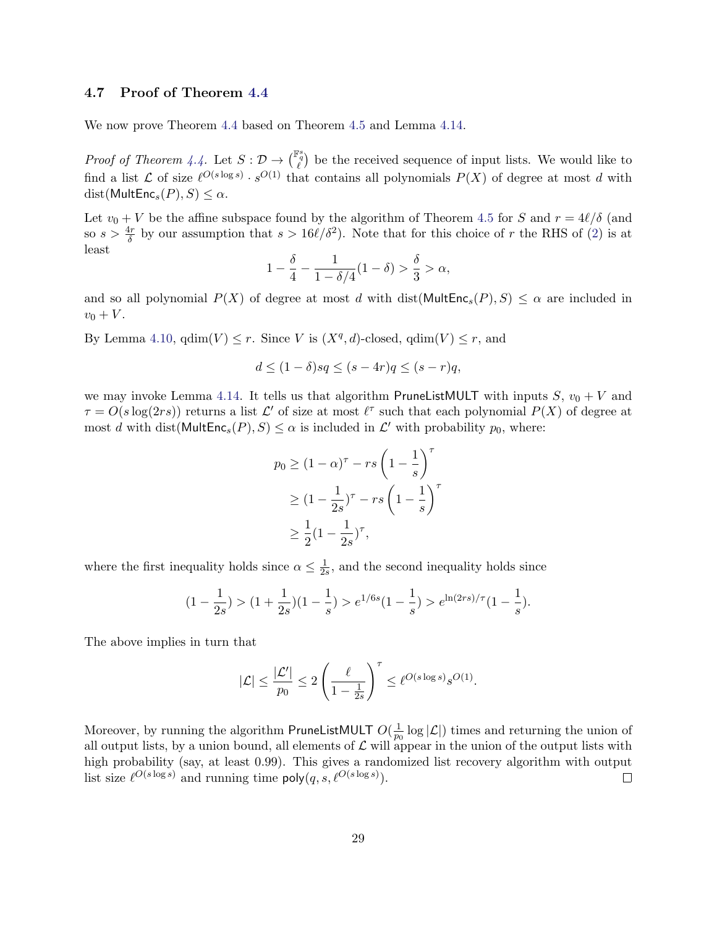#### 4.7 Proof of Theorem [4.4](#page-22-0)

We now prove Theorem [4.4](#page-22-0) based on Theorem [4.5](#page-23-0) and Lemma [4.14.](#page-27-1)

*Proof of Theorem [4.4.](#page-22-0)* Let  $S: \mathcal{D} \to \binom{\mathbb{F}_q^s}{\ell}$  be the received sequence of input lists. We would like to find a list L of size  $\ell^{O(s \log s)} \cdot s^{O(1)}$  that contains all polynomials  $P(X)$  of degree at most d with  $dist(MultEnc<sub>s</sub>(P), S) \leq \alpha$ .

Let  $v_0 + V$  be the affine subspace found by the algorithm of Theorem [4.5](#page-23-0) for S and  $r = 4\ell/\delta$  (and so  $s > \frac{4r}{\delta}$  by our assumption that  $s > 16\ell/\delta^2$ . Note that for this choice of r the RHS of [\(2\)](#page-23-2) is at least

$$
1 - \frac{\delta}{4} - \frac{1}{1 - \delta/4} (1 - \delta) > \frac{\delta}{3} > \alpha,
$$

and so all polynomial  $P(X)$  of degree at most d with dist(MultEnc<sub>s</sub> $(P), S$ )  $\leq \alpha$  are included in  $v_0 + V$ .

By Lemma [4.10,](#page-26-0)  $\text{qdim}(V) \leq r$ . Since V is  $(X^q, d)$ -closed,  $\text{qdim}(V) \leq r$ , and

$$
d \le (1 - \delta)sq \le (s - 4r)q \le (s - r)q,
$$

we may invoke Lemma [4.14.](#page-27-1) It tells us that algorithm PruneListMULT with inputs S,  $v_0 + V$  and  $\tau = O(s \log(2rs))$  returns a list  $\mathcal{L}'$  of size at most  $\ell^{\tau}$  such that each polynomial  $P(X)$  of degree at most d with dist( $\text{MultEnc}_s(P), S \leq \alpha$  is included in  $\mathcal{L}'$  with probability  $p_0$ , where:

$$
p_0 \ge (1 - \alpha)^\tau - rs \left(1 - \frac{1}{s}\right)^\tau
$$
  
\n
$$
\ge (1 - \frac{1}{2s})^\tau - rs \left(1 - \frac{1}{s}\right)^\tau
$$
  
\n
$$
\ge \frac{1}{2} (1 - \frac{1}{2s})^\tau,
$$

where the first inequality holds since  $\alpha \leq \frac{1}{2}$  $\frac{1}{2s}$ , and the second inequality holds since

$$
(1 - \frac{1}{2s}) > (1 + \frac{1}{2s})(1 - \frac{1}{s}) > e^{1/6s}(1 - \frac{1}{s}) > e^{\ln(2rs)/\tau}(1 - \frac{1}{s}).
$$

The above implies in turn that

$$
|\mathcal{L}| \leq \frac{|\mathcal{L}'|}{p_0} \leq 2 \left( \frac{\ell}{1-\frac{1}{2s}} \right)^\tau \leq \ell^{O(s\log s)} s^{O(1)}.
$$

Moreover, by running the algorithm PruneListMULT  $O(\frac{1}{n})$  $\frac{1}{p_0} \log |\mathcal{L}|$  times and returning the union of all output lists, by a union bound, all elements of  $\mathcal L$  will appear in the union of the output lists with high probability (say, at least 0.99). This gives a randomized list recovery algorithm with output list size  $\ell^{O(s \log s)}$  and running time  $\mathsf{poly}(q, s, \ell^{O(s \log s)})$ .  $\Box$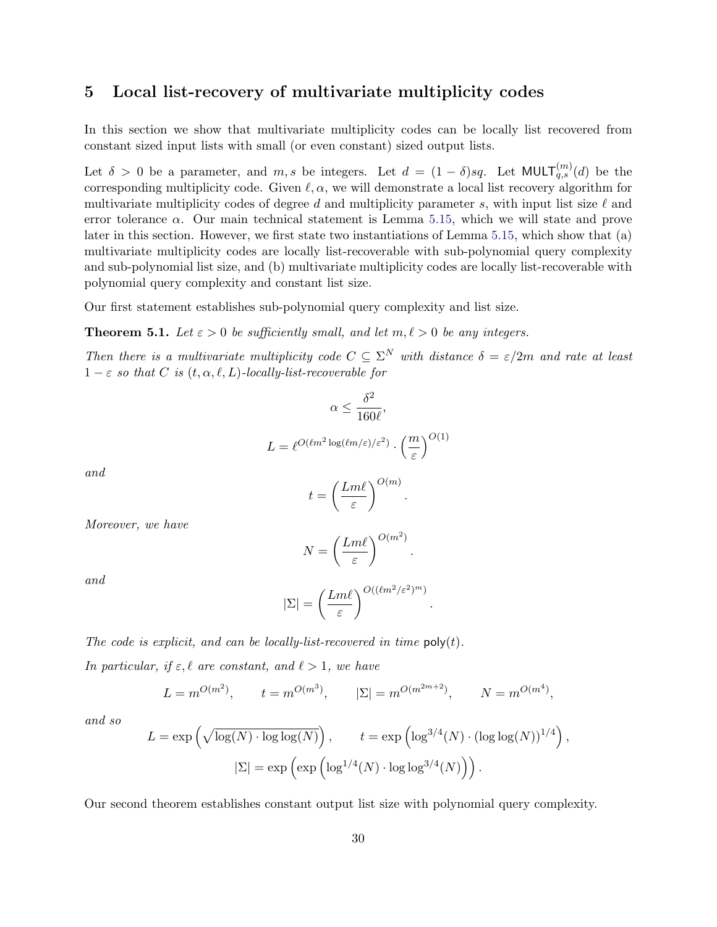## <span id="page-30-1"></span>5 Local list-recovery of multivariate multiplicity codes

In this section we show that multivariate multiplicity codes can be locally list recovered from constant sized input lists with small (or even constant) sized output lists.

Let  $\delta > 0$  be a parameter, and  $m, s$  be integers. Let  $d = (1 - \delta)sq$ . Let MULT $\binom{m}{q,s}(d)$  be the corresponding multiplicity code. Given  $\ell, \alpha$ , we will demonstrate a local list recovery algorithm for multivariate multiplicity codes of degree d and multiplicity parameter s, with input list size  $\ell$  and error tolerance  $\alpha$ . Our main technical statement is Lemma [5.15,](#page-42-0) which we will state and prove later in this section. However, we first state two instantiations of Lemma [5.15,](#page-42-0) which show that (a) multivariate multiplicity codes are locally list-recoverable with sub-polynomial query complexity and sub-polynomial list size, and (b) multivariate multiplicity codes are locally list-recoverable with polynomial query complexity and constant list size.

Our first statement establishes sub-polynomial query complexity and list size.

<span id="page-30-0"></span>**Theorem 5.1.** Let  $\varepsilon > 0$  be sufficiently small, and let  $m, \ell > 0$  be any integers.

Then there is a multivariate multiplicity code  $C \subseteq \Sigma^N$  with distance  $\delta = \varepsilon/2m$  and rate at least  $1 - \varepsilon$  so that C is  $(t, \alpha, \ell, L)$ -locally-list-recoverable for

$$
\alpha \le \frac{\delta^2}{160\ell},
$$
  

$$
L = \ell^{O(\ell m^2 \log(\ell m/\varepsilon)/\varepsilon^2)} \cdot \left(\frac{m}{\varepsilon}\right)^{O(1)}
$$

and

$$
t = \left(\frac{Lm\ell}{\varepsilon}\right)^{O(m)}.
$$

Moreover, we have

$$
N = \left(\frac{Lm\ell}{\varepsilon}\right)^{O(m^2)}.
$$

and

$$
|\Sigma| = \left(\frac{Lm\ell}{\varepsilon}\right)^{O((\ell m^2/\varepsilon^2)^m)}
$$

.

The code is explicit, and can be locally-list-recovered in time  $\mathsf{poly}(t)$ .

In particular, if  $\varepsilon, \ell$  are constant, and  $\ell > 1$ , we have

$$
L = m^{O(m^2)}
$$
,  $t = m^{O(m^3)}$ ,  $|\Sigma| = m^{O(m^{2m+2})}$ ,  $N = m^{O(m^4)}$ ,

and so

$$
L = \exp\left(\sqrt{\log(N) \cdot \log \log(N)}\right), \qquad t = \exp\left(\log^{3/4}(N) \cdot (\log \log(N))^{1/4}\right),
$$

$$
|\Sigma| = \exp\left(\exp\left(\log^{1/4}(N) \cdot \log \log^{3/4}(N)\right)\right).
$$

Our second theorem establishes constant output list size with polynomial query complexity.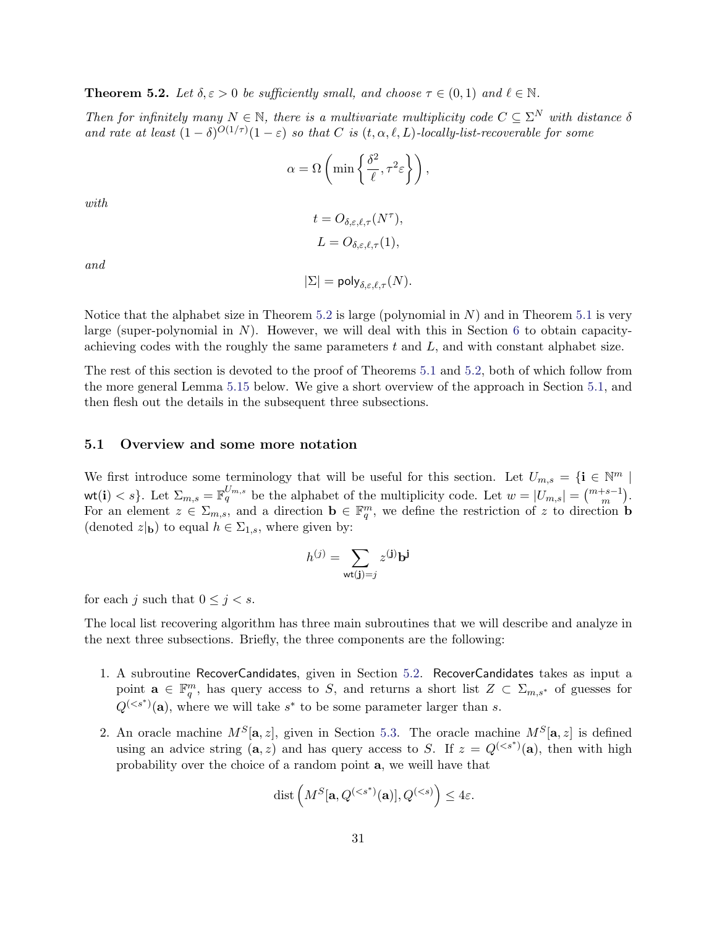<span id="page-31-0"></span>**Theorem 5.2.** Let  $\delta, \varepsilon > 0$  be sufficiently small, and choose  $\tau \in (0, 1)$  and  $\ell \in \mathbb{N}$ .

Then for infinitely many  $N \in \mathbb{N}$ , there is a multivariate multiplicity code  $C \subseteq \Sigma^N$  with distance  $\delta$ and rate at least  $(1 - \delta)^{O(1/\tau)}(1 - \varepsilon)$  so that C is  $(t, \alpha, \ell, L)$ -locally-list-recoverable for some

$$
\alpha = \Omega\left(\min\left\{\frac{\delta^2}{\ell}, \tau^2 \varepsilon\right\}\right),\,
$$

with

$$
t = O_{\delta, \varepsilon, \ell, \tau}(N^{\tau}),
$$
  

$$
L = O_{\delta, \varepsilon, \ell, \tau}(1),
$$

and

$$
|\Sigma| = \mathsf{poly}_{\delta,\varepsilon,\ell,\tau}(N).
$$

Notice that the alphabet size in Theorem [5.2](#page-31-0) is large (polynomial in  $N$ ) and in Theorem [5.1](#page-30-0) is very large (super-polynomial in  $N$ ). However, we will deal with this in Section [6](#page-46-2) to obtain capacityachieving codes with the roughly the same parameters  $t$  and  $L$ , and with constant alphabet size.

The rest of this section is devoted to the proof of Theorems [5.1](#page-30-0) and [5.2,](#page-31-0) both of which follow from the more general Lemma [5.15](#page-42-0) below. We give a short overview of the approach in Section [5.1,](#page-31-1) and then flesh out the details in the subsequent three subsections.

#### <span id="page-31-1"></span>5.1 Overview and some more notation

We first introduce some terminology that will be useful for this section. Let  $U_{m,s} = \{ \mathbf{i} \in \mathbb{N}^m \mid \mathbf{0} \in \mathbb{N}^m \}$ wt(i)  $\langle s \rangle$ . Let  $\Sigma_{m,s} = \mathbb{F}_q^{U_{m,s}}$  be the alphabet of the multiplicity code. Let  $w = |U_{m,s}| = {m+s-1 \choose m}$ . For an element  $z \in \Sigma_{m,s}$ , and a direction  $\mathbf{b} \in \mathbb{F}_q^m$ , we define the restriction of z to direction **b** (denoted  $z|_{\mathbf{b}}$ ) to equal  $h \in \Sigma_{1,s}$ , where given by:

$$
h^{(j)} = \sum_{\mathbf{wt}(\mathbf{j}) = j} z^{(\mathbf{j})} \mathbf{b}^{\mathbf{j}}
$$

for each j such that  $0 \leq j < s$ .

The local list recovering algorithm has three main subroutines that we will describe and analyze in the next three subsections. Briefly, the three components are the following:

- 1. A subroutine RecoverCandidates, given in Section [5.2.](#page-32-0) RecoverCandidates takes as input a point  $\mathbf{a} \in \mathbb{F}_q^m$ , has query access to S, and returns a short list  $Z \subset \Sigma_{m,s^*}$  of guesses for  $Q^{(*s*<sup>*</sup>)}(a)$ , where we will take  $s^*$  to be some parameter larger than s.
- 2. An oracle machine  $M^S[\mathbf{a}, z]$ , given in Section [5.3.](#page-37-0) The oracle machine  $M^S[\mathbf{a}, z]$  is defined using an advice string  $(a, z)$  and has query access to S. If  $z = Q^{(*s**)}(a)$ , then with high probability over the choice of a random point a, we weill have that

$$
\text{dist}\left(M^S[\mathbf{a}, Q^{(
$$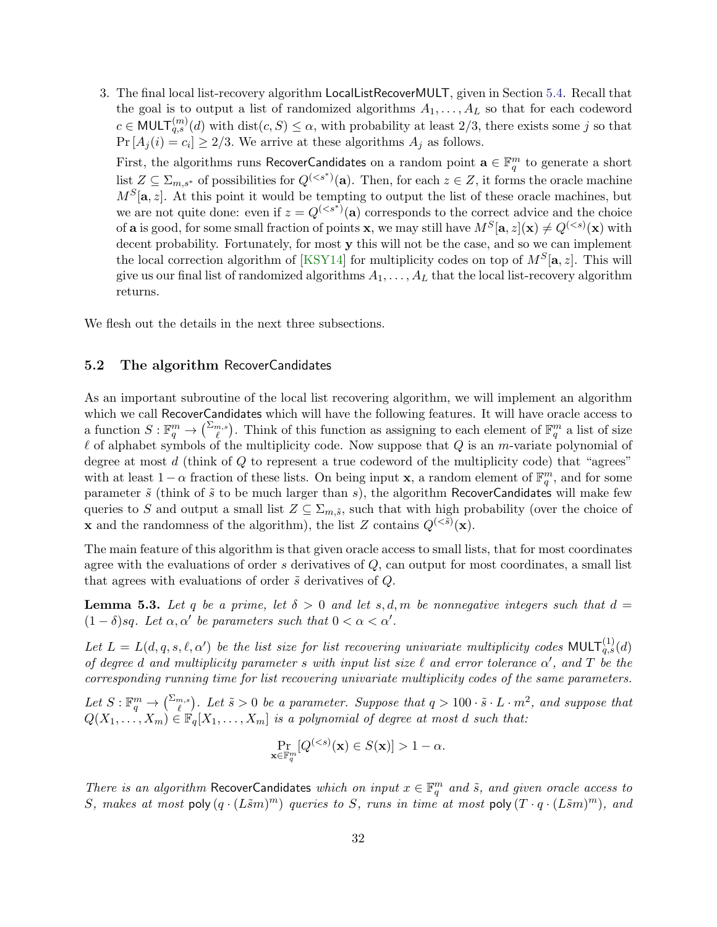3. The final local list-recovery algorithm LocalListRecoverMULT, given in Section [5.4.](#page-41-0) Recall that the goal is to output a list of randomized algorithms  $A_1, \ldots, A_L$  so that for each codeword  $c \in \text{MULT}_{q,s}^{(m)}(d)$  with  $\text{dist}(c, S) \leq \alpha$ , with probability at least 2/3, there exists some j so that  $Pr[A_j(i) = c_i] \geq 2/3$ . We arrive at these algorithms  $A_j$  as follows.

First, the algorithms runs RecoverCandidates on a random point  $\mathbf{a} \in \mathbb{F}_q^m$  to generate a short list  $Z \subseteq \Sigma_{m,s^*}$  of possibilities for  $Q^{(. Then, for each  $z \in Z$ , it forms the oracle machine$  $M^{S}[\mathbf{a}, z]$ . At this point it would be tempting to output the list of these oracle machines, but we are not quite done: even if  $z = Q^{(*s**)}$  (a) corresponds to the correct advice and the choice of **a** is good, for some small fraction of points **x**, we may still have  $M^S[\mathbf{a}, z](\mathbf{x}) \neq Q^{( with$ decent probability. Fortunately, for most **y** this will not be the case, and so we can implement the local correction algorithm of [\[KSY14\]](#page-55-0) for multiplicity codes on top of  $M<sup>S</sup>[a, z]$ . This will give us our final list of randomized algorithms  $A_1, \ldots, A_L$  that the local list-recovery algorithm returns.

We flesh out the details in the next three subsections.

#### <span id="page-32-0"></span>5.2 The algorithm RecoverCandidates

As an important subroutine of the local list recovering algorithm, we will implement an algorithm which we call RecoverCandidates which will have the following features. It will have oracle access to a function  $S: \mathbb{F}_q^m \to {\binom{\Sigma_{m,s}}{\ell}}$ . Think of this function as assigning to each element of  $\mathbb{F}_q^m$  a list of size  $\ell$  of alphabet symbols of the multiplicity code. Now suppose that  $Q$  is an m-variate polynomial of degree at most  $d$  (think of  $Q$  to represent a true codeword of the multiplicity code) that "agrees" with at least  $1 - \alpha$  fraction of these lists. On being input **x**, a random element of  $\mathbb{F}_q^m$ , and for some parameter  $\tilde{s}$  (think of  $\tilde{s}$  to be much larger than s), the algorithm RecoverCandidates will make few queries to S and output a small list  $Z \subseteq \Sigma_{m,\tilde{s}}$ , such that with high probability (over the choice of **x** and the randomness of the algorithm), the list Z contains  $Q^{( $\tilde{s}})(\mathbf{x})$ .$ 

The main feature of this algorithm is that given oracle access to small lists, that for most coordinates agree with the evaluations of order  $s$  derivatives of  $Q$ , can output for most coordinates, a small list that agrees with evaluations of order  $\tilde{s}$  derivatives of  $Q$ .

<span id="page-32-1"></span>**Lemma 5.3.** Let q be a prime, let  $\delta > 0$  and let s, d, m be nonnegative integers such that  $d =$  $(1 - \delta)$ sq. Let  $\alpha, \alpha'$  be parameters such that  $0 < \alpha < \alpha'$ .

Let  $L = L(d, q, s, \ell, \alpha')$  be the list size for list recovering univariate multiplicity codes MULT $_{q,s}^{(1)}(d)$ of degree d and multiplicity parameter s with input list size  $\ell$  and error tolerance  $\alpha'$ , and  $T$  be the corresponding running time for list recovering univariate multiplicity codes of the same parameters.

Let  $S: \mathbb{F}_q^m \to {\binom{\sum_{m,s}}{k}}$ . Let  $\tilde{s} > 0$  be a parameter. Suppose that  $q > 100 \cdot \tilde{s} \cdot L \cdot m^2$ , and suppose that  $Q(X_1, \ldots, X_m) \in \mathbb{F}_q[X_1, \ldots, X_m]$  is a polynomial of degree at most d such that:

$$
\Pr_{\mathbf{x}\in\mathbb{F}_q^m}[Q^{(1-\alpha.
$$

There is an algorithm RecoverCandidates which on input  $x \in \mathbb{F}_q^m$  and  $\tilde{s}$ , and given oracle access to S, makes at most poly  $(q \cdot (L\tilde{s}m)^m)$  queries to S, runs in time at most poly  $(T \cdot q \cdot (L\tilde{s}m)^m)$ , and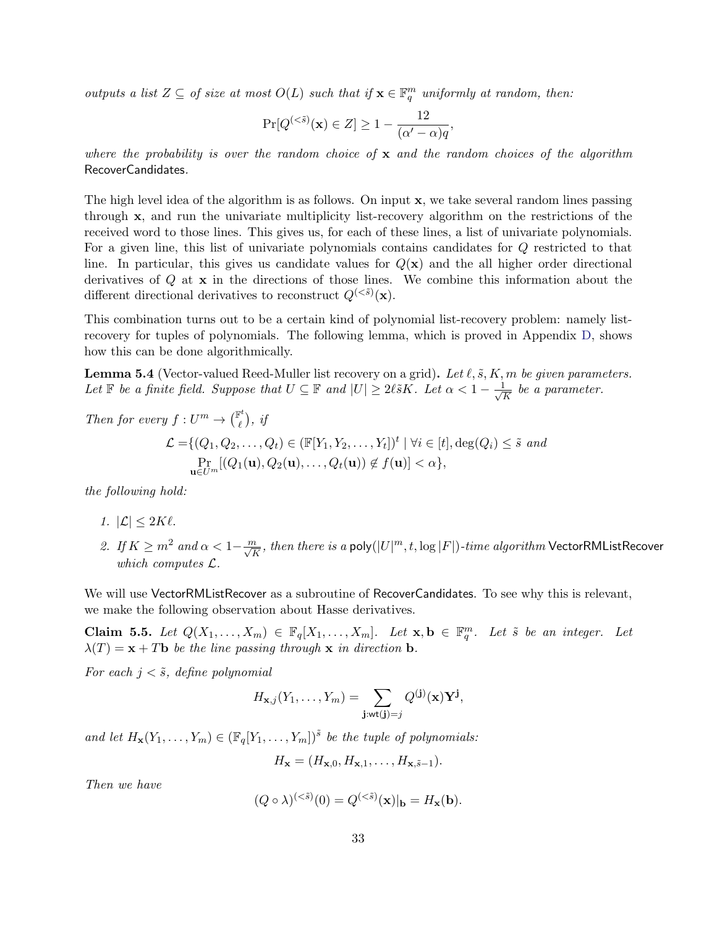outputs a list  $Z \subseteq$  of size at most  $O(L)$  such that if  $\mathbf{x} \in \mathbb{F}_q^m$  uniformly at random, then:

$$
\Pr[Q^{(<\tilde{s})}(\mathbf{x}) \in Z] \ge 1 - \frac{12}{(\alpha' - \alpha)q},
$$

where the probability is over the random choice of  $x$  and the random choices of the algorithm RecoverCandidates.

The high level idea of the algorithm is as follows. On input x, we take several random lines passing through x, and run the univariate multiplicity list-recovery algorithm on the restrictions of the received word to those lines. This gives us, for each of these lines, a list of univariate polynomials. For a given line, this list of univariate polynomials contains candidates for Q restricted to that line. In particular, this gives us candidate values for  $Q(\mathbf{x})$  and the all higher order directional derivatives of Q at x in the directions of those lines. We combine this information about the different directional derivatives to reconstruct  $Q^{( $\tilde{s}})$ (**x**).$ 

This combination turns out to be a certain kind of polynomial list-recovery problem: namely listrecovery for tuples of polynomials. The following lemma, which is proved in Appendix [D,](#page-60-0) shows how this can be done algorithmically.

<span id="page-33-0"></span>**Lemma 5.4** (Vector-valued Reed-Muller list recovery on a grid). Let  $\ell, \tilde{s}, K, m$  be given parameters. Let  $\mathbb F$  be a finite field. Suppose that  $U \subseteq \mathbb F$  and  $|U| \geq 2\ell \tilde{s}K$ . Let  $\alpha < 1 - \frac{1}{\sqrt{2}}$  $\frac{1}{\overline{K}}$  be a parameter.

Then for every  $f: U^m \to \begin{pmatrix} \mathbb{F}^t \\ \ell \end{pmatrix}$  $\binom{n}{\ell}$ , if  $\mathcal{L} = \{(Q_1, Q_2, \ldots, Q_t) \in (\mathbb{F}[Y_1, Y_2, \ldots, Y_t])^t \mid \forall i \in [t], \deg(Q_i) \leq \tilde{s} \text{ and }$  $\Pr_{\mathbf{u}\in U^m}[(Q_1(\mathbf{u}),Q_2(\mathbf{u}),\ldots,Q_t(\mathbf{u}))\not\in f(\mathbf{u})]<\alpha\},$ 

the following hold:

- 1.  $|\mathcal{L}| \leq 2K\ell$ .
- 2. If  $K\geq m^2$  and  $\alpha< 1-\frac{m}{\sqrt{K}}$ , then there is a poly $(|U|^m,t,\log|F|)$ -time algorithm VectorRMListRecover which computes  $\mathcal{L}$ .

We will use VectorRMListRecover as a subroutine of RecoverCandidates. To see why this is relevant, we make the following observation about Hasse derivatives.

<span id="page-33-1"></span>**Claim 5.5.** Let  $Q(X_1, ..., X_m) \in \mathbb{F}_q[X_1, ..., X_m]$ . Let  $\mathbf{x}, \mathbf{b} \in \mathbb{F}_q^m$ . Let  $\tilde{s}$  be an integer. Let  $\lambda(T) = \mathbf{x} + T\mathbf{b}$  be the line passing through  $\mathbf{x}$  in direction **b**.

For each  $j < \tilde{s}$ , define polynomial

$$
H_{\mathbf{x},j}(Y_1,\ldots,Y_m)=\sum_{\mathbf{j}: \mathsf{wt}(\mathbf{j})=j} Q^{(\mathbf{j})}(\mathbf{x})\mathbf{Y}^{\mathbf{j}},
$$

and let  $H_{\mathbf{x}}(Y_1,\ldots,Y_m) \in (\mathbb{F}_q[Y_1,\ldots,Y_m])^{\tilde{s}}$  be the tuple of polynomials:

$$
H_{\mathbf{x}}=(H_{\mathbf{x},0},H_{\mathbf{x},1},\ldots,H_{\mathbf{x},\tilde{s}-1}).
$$

Then we have

$$
(Q \circ \lambda)^{(<\tilde{s})}(0) = Q^{(<\tilde{s})}(\mathbf{x})|_{\mathbf{b}} = H_{\mathbf{x}}(\mathbf{b}).
$$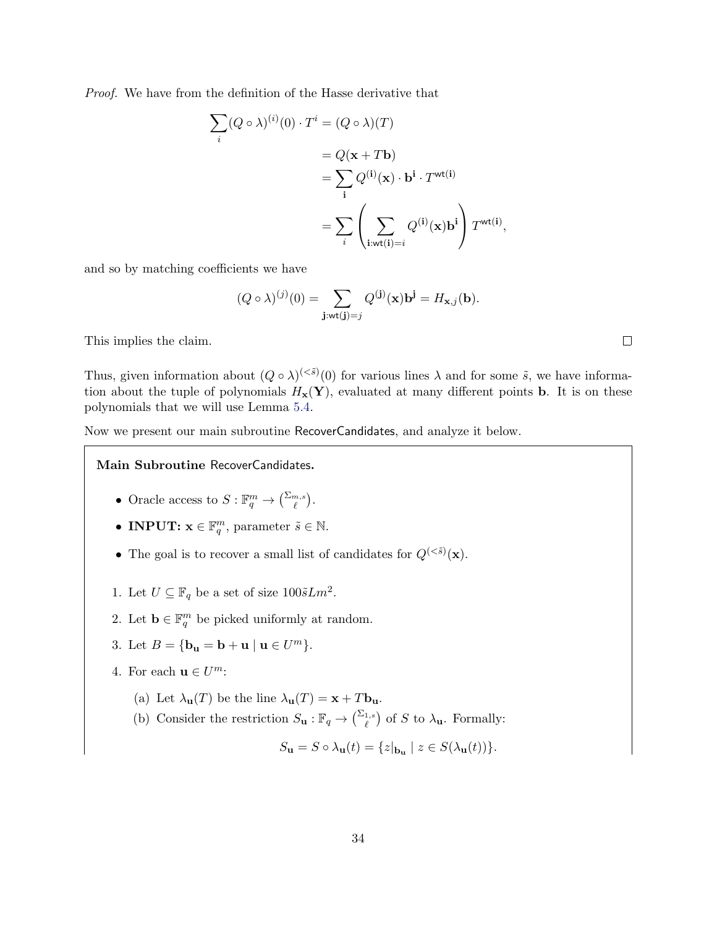Proof. We have from the definition of the Hasse derivative that

$$
\sum_{i} (Q \circ \lambda)^{(i)}(0) \cdot T^{i} = (Q \circ \lambda)(T)
$$

$$
= Q(\mathbf{x} + T\mathbf{b})
$$

$$
= \sum_{i} Q^{(i)}(\mathbf{x}) \cdot \mathbf{b}^{i} \cdot T^{\text{wt}(i)}
$$

$$
= \sum_{i} \left( \sum_{i:\text{wt}(i)=i} Q^{(i)}(\mathbf{x}) \mathbf{b}^{i} \right) T^{\text{wt}(i)},
$$

and so by matching coefficients we have

$$
(Q \circ \lambda)^{(j)}(0) = \sum_{\mathbf{j}: \mathbf{wt}(\mathbf{j}) = j} Q^{(\mathbf{j})}(\mathbf{x}) \mathbf{b}^{\mathbf{j}} = H_{\mathbf{x},j}(\mathbf{b}).
$$

This implies the claim.

Thus, given information about  $(Q \circ \lambda)^{(<\tilde{s})}(0)$  for various lines  $\lambda$  and for some  $\tilde{s}$ , we have information about the tuple of polynomials  $H_x(Y)$ , evaluated at many different points **b**. It is on these polynomials that we will use Lemma [5.4.](#page-33-0)

Now we present our main subroutine RecoverCandidates, and analyze it below.

Main Subroutine RecoverCandidates.

- Oracle access to  $S: \mathbb{F}_q^m \to {\binom{\sum_{m,s}}{\ell}}$ .
- INPUT:  $\mathbf{x} \in \mathbb{F}_q^m$ , parameter  $\tilde{s} \in \mathbb{N}$ .
- The goal is to recover a small list of candidates for  $Q^{( $\tilde{s}})(\mathbf{x})$ .$
- 1. Let  $U \subseteq \mathbb{F}_q$  be a set of size  $100\tilde{s}Lm^2$ .
- 2. Let  $\mathbf{b} \in \mathbb{F}_q^m$  be picked uniformly at random.
- 3. Let  $B = \{b_{\mathbf{u}} = \mathbf{b} + \mathbf{u} \mid \mathbf{u} \in U^m\}.$
- 4. For each  $\mathbf{u} \in U^m$ :
	- (a) Let  $\lambda_{\mathbf{u}}(T)$  be the line  $\lambda_{\mathbf{u}}(T) = \mathbf{x} + T\mathbf{b}_{\mathbf{u}}$ .
	- (b) Consider the restriction  $S_{\mathbf{u}} : \mathbb{F}_q \to {\sum_{\ell}^{\Sigma_{1,s}}})$  of S to  $\lambda_{\mathbf{u}}$ . Formally:

$$
S_{\mathbf{u}} = S \circ \lambda_{\mathbf{u}}(t) = \{ z |_{\mathbf{b}_{\mathbf{u}}} \mid z \in S(\lambda_{\mathbf{u}}(t)) \}.
$$

 $\Box$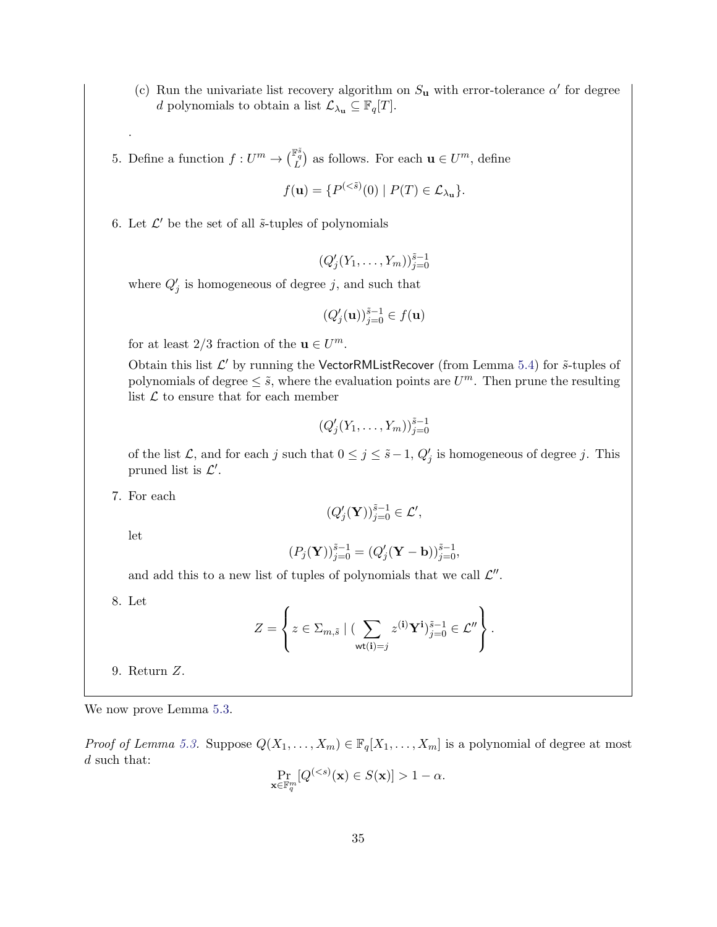- (c) Run the univariate list recovery algorithm on  $S_u$  with error-tolerance  $\alpha'$  for degree d polynomials to obtain a list  $\mathcal{L}_{\lambda_{\mathbf{u}}} \subseteq \mathbb{F}_q[T]$ .
- 5. Define a function  $f: U^m \to {\binom{\mathbb{F}_q^{\tilde{s}}}{L}}$  as follows. For each  $\mathbf{u} \in U^m$ , define

$$
f(\mathbf{u}) = \{ P^{(<\tilde{s})}(0) \mid P(T) \in \mathcal{L}_{\lambda_{\mathbf{u}}} \}.
$$

6. Let  $\mathcal{L}'$  be the set of all  $\tilde{s}$ -tuples of polynomials

$$
(Q'_j(Y_1,\ldots,Y_m))_{j=0}^{\tilde{s}-1}
$$

where  $Q'_{j}$  is homogeneous of degree j, and such that

$$
(Q_j'(\mathbf{u}))_{j=0}^{\tilde{s}-1} \in f(\mathbf{u})
$$

for at least  $2/3$  fraction of the  $\mathbf{u} \in U^m$ .

Obtain this list  $\mathcal{L}'$  by running the VectorRMListRecover (from Lemma [5.4\)](#page-33-0) for  $\tilde{s}$ -tuples of polynomials of degree  $\leq \tilde{s}$ , where the evaluation points are  $U^m$ . Then prune the resulting list  $\mathcal L$  to ensure that for each member

$$
(Q'_j(Y_1,\ldots,Y_m))_{j=0}^{\tilde{s}-1}
$$

of the list  $\mathcal{L}$ , and for each j such that  $0 \leq j \leq \tilde{s}-1$ ,  $Q'_{j}$  is homogeneous of degree j. This pruned list is  $\mathcal{L}'$ .

7. For each

$$
(Q_j'(\mathbf{Y}))_{j=0}^{\tilde{s}-1} \in \mathcal{L}',
$$

let

.

$$
(P_j(\mathbf{Y}))_{j=0}^{\tilde{s}-1} = (Q_j'(\mathbf{Y} - \mathbf{b}))_{j=0}^{\tilde{s}-1},
$$

and add this to a new list of tuples of polynomials that we call  $\mathcal{L}''$ .

8. Let

$$
Z = \left\{ z \in \Sigma_{m,\tilde{s}} \mid (\sum_{\text{wt}(\mathbf{i})=j} z^{(\mathbf{i})} \mathbf{Y}^{\mathbf{i}})^{\tilde{s}-1}_{j=0} \in \mathcal{L}'' \right\}.
$$

9. Return Z.

We now prove Lemma [5.3.](#page-32-1)

*Proof of Lemma [5.3.](#page-32-1)* Suppose  $Q(X_1, ..., X_m) \in \mathbb{F}_q[X_1, ..., X_m]$  is a polynomial of degree at most d such that:

$$
\Pr_{\mathbf{x}\in\mathbb{F}_q^m}[Q^{(1-\alpha.
$$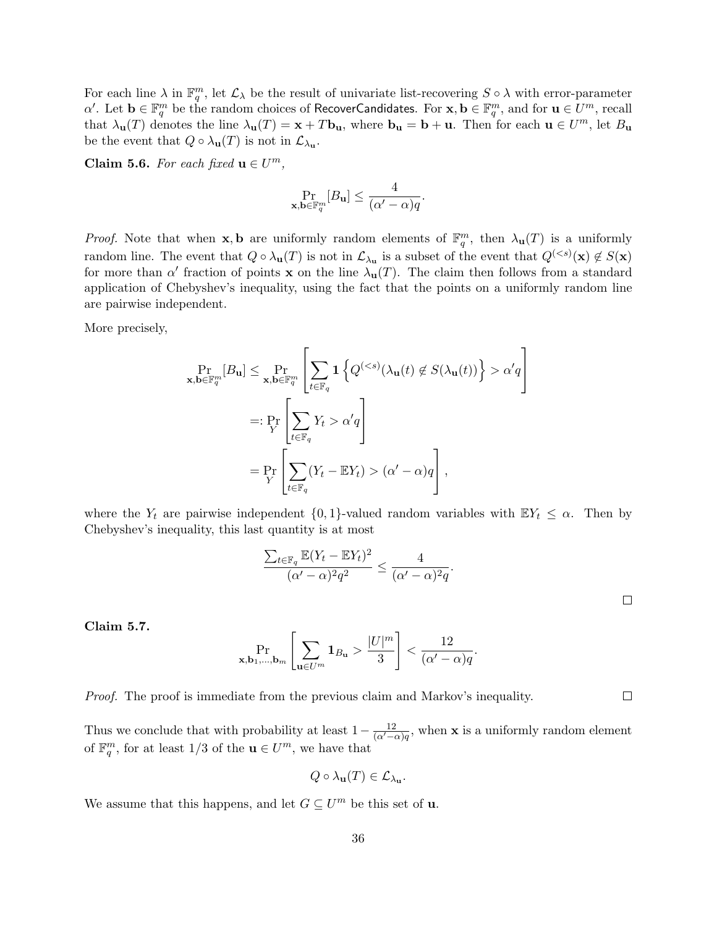For each line  $\lambda$  in  $\mathbb{F}_q^m$ , let  $\mathcal{L}_{\lambda}$  be the result of univariate list-recovering  $S \circ \lambda$  with error-parameter  $\alpha'.$  Let  $\mathbf{b}\in\mathbb{F}_q^m$  be the random choices of RecoverCandidates. For  $\mathbf{x},\mathbf{b}\in\mathbb{F}_q^m,$  and for  $\mathbf{u}\in U^m,$  recall that  $\lambda_{\mathbf{u}}(T)$  denotes the line  $\lambda_{\mathbf{u}}(T) = \mathbf{x} + T\mathbf{b}_{\mathbf{u}}$ , where  $\mathbf{b}_{\mathbf{u}} = \mathbf{b} + \mathbf{u}$ . Then for each  $\mathbf{u} \in U^m$ , let  $B_{\mathbf{u}}$ be the event that  $Q \circ \lambda_{\mathbf{u}}(T)$  is not in  $\mathcal{L}_{\lambda_{\mathbf{u}}}$ .

<span id="page-36-0"></span>Claim 5.6. For each fixed  $\mathbf{u} \in U^m$ ,

$$
\Pr_{\mathbf{x},\mathbf{b}\in\mathbb{F}_q^m}[B_\mathbf{u}]\leq \frac{4}{(\alpha'-\alpha)q}.
$$

*Proof.* Note that when **x**, **b** are uniformly random elements of  $\mathbb{F}_q^m$ , then  $\lambda_{\mathbf{u}}(T)$  is a uniformly random line. The event that  $Q \circ \lambda_{\mathbf{u}}(T)$  is not in  $\mathcal{L}_{\lambda_{\mathbf{u}}}$  is a subset of the event that  $Q^{(*s*)}(\mathbf{x}) \notin S(\mathbf{x})$ for more than  $\alpha'$  fraction of points **x** on the line  $\lambda_{\mathbf{u}}(T)$ . The claim then follows from a standard application of Chebyshev's inequality, using the fact that the points on a uniformly random line are pairwise independent.

More precisely,

$$
\Pr_{\mathbf{x},\mathbf{b}\in\mathbb{F}_q^m}[B_{\mathbf{u}}] \le \Pr_{\mathbf{x},\mathbf{b}\in\mathbb{F}_q^m} \left[ \sum_{t\in\mathbb{F}_q} \mathbf{1} \left\{ Q^{( \alpha' q \right]
$$
  

$$
=:\Pr_Y \left[ \sum_{t\in\mathbb{F}_q} Y_t > \alpha' q \right]
$$
  

$$
= \Pr_Y \left[ \sum_{t\in\mathbb{F}_q} (Y_t - \mathbb{E}Y_t) > (\alpha' - \alpha) q \right],
$$

where the  $Y_t$  are pairwise independent  $\{0, 1\}$ -valued random variables with  $\mathbb{E}Y_t \leq \alpha$ . Then by Chebyshev's inequality, this last quantity is at most

$$
\frac{\sum_{t \in \mathbb{F}_q} \mathbb{E}(Y_t - \mathbb{E}Y_t)^2}{(\alpha' - \alpha)^2 q^2} \le \frac{4}{(\alpha' - \alpha)^2 q}.
$$

 $\Box$ 

 $\Box$ 

Claim 5.7.

$$
\Pr_{\mathbf{x},\mathbf{b}_1,\dots,\mathbf{b}_m} \left[ \sum_{\mathbf{u}\in U^m} \mathbf{1}_{B_{\mathbf{u}}} > \frac{|U|^m}{3} \right] < \frac{12}{(\alpha'-\alpha)q}.
$$

Proof. The proof is immediate from the previous claim and Markov's inequality.

Thus we conclude that with probability at least  $1 - \frac{12}{(\alpha' - \alpha)q}$ , when **x** is a uniformly random element of  $\mathbb{F}_q^m$ , for at least 1/3 of the  $\mathbf{u} \in U^m$ , we have that

$$
Q \circ \lambda_{\mathbf{u}}(T) \in \mathcal{L}_{\lambda_{\mathbf{u}}}.
$$

We assume that this happens, and let  $G \subseteq U^m$  be this set of **u**.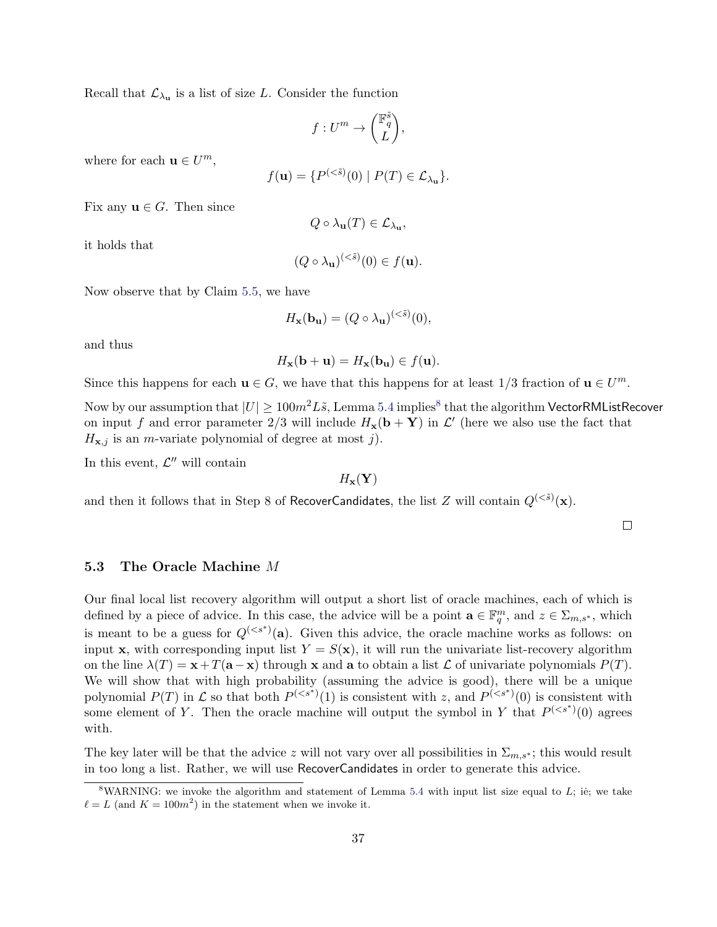Recall that  $\mathcal{L}_{\lambda_{\mathbf{u}}}$  is a list of size L. Consider the function

$$
f:U^m\rightarrow \binom{\mathbb{F}_q^{\tilde{s}}}{L},
$$

where for each  $\mathbf{u} \in U^m$ ,

$$
f(\mathbf{u}) = \{ P^{(<\tilde{s})}(0) \mid P(T) \in \mathcal{L}_{\lambda_{\mathbf{u}}} \}.
$$

Fix any  $\mathbf{u} \in G$ . Then since

$$
Q\circ\lambda_{\mathbf{u}}(T)\in\mathcal{L}_{\lambda_{\mathbf{u}}},
$$

it holds that

$$
(Q \circ \lambda_{\mathbf{u}})^{(<\tilde{s})}(0) \in f(\mathbf{u}).
$$

Now observe that by Claim [5.5,](#page-33-1) we have

$$
H_{\mathbf{x}}(\mathbf{b}_{\mathbf{u}}) = (Q \circ \lambda_{\mathbf{u}})^{(<\tilde{s})}(0),
$$

and thus

$$
H_{\mathbf{x}}(\mathbf{b} + \mathbf{u}) = H_{\mathbf{x}}(\mathbf{b}_{\mathbf{u}}) \in f(\mathbf{u}).
$$

Since this happens for each  $\mathbf{u} \in G$ , we have that this happens for at least  $1/3$  fraction of  $\mathbf{u} \in U^m$ .

Now by our assumption that  $|U|\geq 100m^2L\tilde{s}$ , Lemma [5.4](#page-33-0) implies $^8$  $^8$  that the algorithm <code>VectorRMListRecover</code> on input f and error parameter 2/3 will include  $H_{\mathbf{x}}(\mathbf{b} + \mathbf{Y})$  in  $\mathcal{L}'$  (here we also use the fact that  $H_{\mathbf{x},j}$  is an *m*-variate polynomial of degree at most j).

In this event,  $\mathcal{L}''$  will contain

 $H_{\mathbf{x}}(\mathbf{Y})$ 

and then it follows that in Step 8 of RecoverCandidates, the list  $Z$  will contain  $Q^{(<\tilde{s})}(\mathbf{x}).$ 

 $\Box$ 

#### <span id="page-37-0"></span>5.3 The Oracle Machine M

Our final local list recovery algorithm will output a short list of oracle machines, each of which is defined by a piece of advice. In this case, the advice will be a point  $\mathbf{a} \in \mathbb{F}_q^m$ , and  $z \in \Sigma_{m,s^*}$ , which is meant to be a guess for  $Q^{(*s*<sup>*</sup>)}(a)$ . Given this advice, the oracle machine works as follows: on input x, with corresponding input list  $Y = S(x)$ , it will run the univariate list-recovery algorithm on the line  $\lambda(T) = \mathbf{x} + T(\mathbf{a}-\mathbf{x})$  through x and a to obtain a list  $\mathcal L$  of univariate polynomials  $P(T)$ . We will show that with high probability (assuming the advice is good), there will be a unique polynomial  $P(T)$  in  $\mathcal L$  so that both  $P^{(*s**)}(1)$  is consistent with z, and  $P^{(*s**)}(0)$  is consistent with some element of Y. Then the oracle machine will output the symbol in Y that  $P^{(*s**)}(0)$  agrees with.

The key later will be that the advice z will not vary over all possibilities in  $\Sigma_{m,s^*}$ ; this would result in too long a list. Rather, we will use RecoverCandidates in order to generate this advice.

<span id="page-37-1"></span><sup>&</sup>lt;sup>8</sup>WARNING: we invoke the algorithm and statement of Lemma [5.4](#page-33-0) with input list size equal to L; ie; we take  $\ell = L$  (and  $K = 100m^2$ ) in the statement when we invoke it.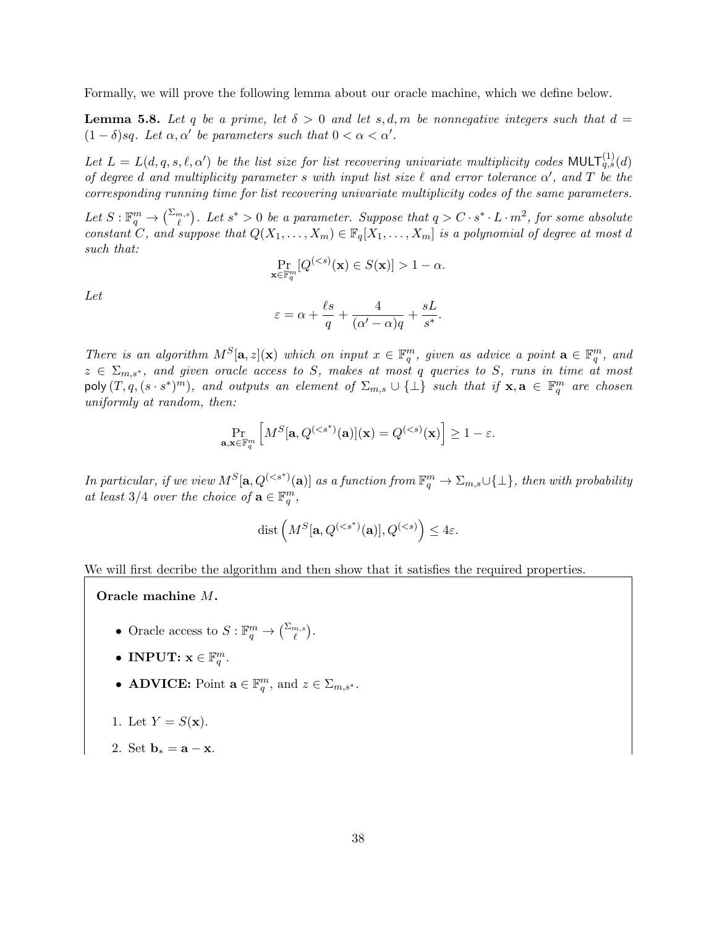Formally, we will prove the following lemma about our oracle machine, which we define below.

<span id="page-38-0"></span>**Lemma 5.8.** Let q be a prime, let  $\delta > 0$  and let s, d, m be nonnegative integers such that  $d =$  $(1 - \delta)sq$ . Let  $\alpha, \alpha'$  be parameters such that  $0 < \alpha < \alpha'$ .

Let  $L = L(d, q, s, \ell, \alpha')$  be the list size for list recovering univariate multiplicity codes MULT $_{q,s}^{(1)}(d)$ of degree d and multiplicity parameter s with input list size  $\ell$  and error tolerance  $\alpha'$ , and T be the corresponding running time for list recovering univariate multiplicity codes of the same parameters.

Let  $S: \mathbb{F}_q^m \to {\binom{\sum_{m,s}}{\ell}}$ . Let  $s^* > 0$  be a parameter. Suppose that  $q > C \cdot s^* \cdot L \cdot m^2$ , for some absolute constant C, and suppose that  $Q(X_1, \ldots, X_m) \in \mathbb{F}_q[X_1, \ldots, X_m]$  is a polynomial of degree at most d such that:

$$
\Pr_{\mathbf{x} \in \mathbb{F}_q^m}[Q^{( 1 - \alpha.
$$

Let

$$
\varepsilon = \alpha + \frac{\ell s}{q} + \frac{4}{(\alpha' - \alpha)q} + \frac{sL}{s^*}.
$$

There is an algorithm  $M^S[\mathbf{a}, z](\mathbf{x})$  which on input  $x \in \mathbb{F}_q^m$ , given as advice a point  $\mathbf{a} \in \mathbb{F}_q^m$ , and  $z \in \Sigma_{m,s^*}$ , and given oracle access to S, makes at most q queries to S, runs in time at most poly  $(T, q, (s \cdot s^*)^m)$ , and outputs an element of  $\Sigma_{m,s} \cup \{\perp\}$  such that if  $\mathbf{x}, \mathbf{a} \in \mathbb{F}_q^m$  are chosen uniformly at random, then:

$$
\Pr_{\mathbf{a},\mathbf{x}\in\mathbb{F}_q^m}\left[M^S[\mathbf{a},Q^{(
$$

In particular, if we view  $M^S[\mathbf{a}, Q^{( as a function from  $\mathbb{F}_q^m \to \Sigma_{m,s} \cup \{\perp\}$ , then with probability$ at least 3/4 over the choice of  $\mathbf{a} \in \mathbb{F}_q^m$ ,

$$
\text{dist}\left(M^S[\mathbf{a}, Q^{(
$$

We will first decribe the algorithm and then show that it satisfies the required properties.

Oracle machine M.

- Oracle access to  $S: \mathbb{F}_q^m \to {\binom{\sum_{m,s}}{\ell}}$ .
- INPUT:  $\mathbf{x} \in \mathbb{F}_q^m$ .
- **ADVICE:** Point  $\mathbf{a} \in \mathbb{F}_q^m$ , and  $z \in \Sigma_{m,s^*}$ .
- 1. Let  $Y = S(\mathbf{x})$ .
- 2. Set  $\mathbf{b}_* = \mathbf{a} \mathbf{x}$ .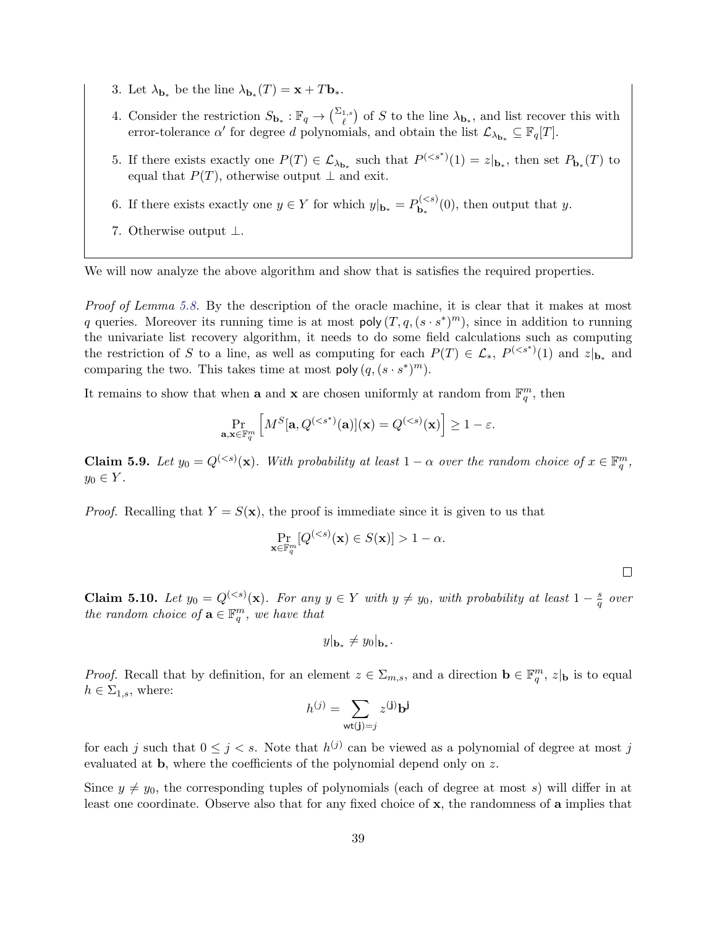- 3. Let  $\lambda_{\mathbf{b}_*}$  be the line  $\lambda_{\mathbf{b}_*}(T) = \mathbf{x} + T\mathbf{b}_*.$
- 4. Consider the restriction  $S_{\mathbf{b}_*}: \mathbb{F}_q \to {\sum_{\ell}}^{\Sigma_1, s}$  of S to the line  $\lambda_{\mathbf{b}_*}$ , and list recover this with error-tolerance  $\alpha'$  for degree d polynomials, and obtain the list  $\mathcal{L}_{\lambda_{b_*}} \subseteq \mathbb{F}_q[T]$ .
- 5. If there exists exactly one  $P(T) \in \mathcal{L}_{\lambda_{b*}}$  such that  $P^{(, then set  $P_{b_*}(T)$  to$ equal that  $P(T)$ , otherwise output  $\perp$  and exit.
- 6. If there exists exactly one  $y \in Y$  for which  $y|_{\mathbf{b}_*} = P_{\mathbf{b}_*}^{(< s)}$  $\mathbf{b}_{\mathbf{k}}^{(\leq s)}(0)$ , then output that y.
- 7. Otherwise output ⊥.

We will now analyze the above algorithm and show that is satisfies the required properties.

Proof of Lemma [5.8.](#page-38-0) By the description of the oracle machine, it is clear that it makes at most q queries. Moreover its running time is at most  $poly(T, q, (s \cdot s^*)^m)$ , since in addition to running the univariate list recovery algorithm, it needs to do some field calculations such as computing the restriction of S to a line, as well as computing for each  $P(T) \in \mathcal{L}_{*}$ ,  $P^{( and  $z|_{\mathbf{b}_{*}}$  and$ comparing the two. This takes time at most poly  $(q, (s \cdot s^*)^m)$ .

It remains to show that when **a** and **x** are chosen uniformly at random from  $\mathbb{F}_q^m$ , then

$$
\Pr_{\mathbf{a},\mathbf{x}\in\mathbb{F}_q^m}\left[M^S[\mathbf{a},Q^{(
$$

<span id="page-39-1"></span>**Claim 5.9.** Let  $y_0 = Q^{(*s*)}(x)$ . With probability at least  $1 - \alpha$  over the random choice of  $x \in \mathbb{F}_q^m$ ,  $y_0 \in Y$ .

*Proof.* Recalling that  $Y = S(\mathbf{x})$ , the proof is immediate since it is given to us that

$$
\Pr_{\mathbf{x}\in\mathbb{F}_q^m}[Q^{(1-\alpha.
$$

 $\Box$ 

<span id="page-39-0"></span>**Claim 5.10.** Let  $y_0 = Q^{(*s*)}(x)$ . For any  $y \in Y$  with  $y \neq y_0$ , with probability at least  $1 - \frac{s}{a}$  $rac{s}{q}$  over the random choice of  $\mathbf{a} \in \mathbb{F}_q^m$ , we have that

$$
y|_{\mathbf{b}_*} \neq y_0|_{\mathbf{b}_*}.
$$

*Proof.* Recall that by definition, for an element  $z \in \Sigma_{m,s}$ , and a direction  $\mathbf{b} \in \mathbb{F}_q^m$ ,  $z|_{\mathbf{b}}$  is to equal  $h \in \Sigma_{1,s}$ , where:

$$
h^{(j)} = \sum_{\mathbf{wt}(\mathbf{j})=j} z^{(\mathbf{j})} \mathbf{b}^{\mathbf{j}}
$$

for each j such that  $0 \leq j \leq s$ . Note that  $h^{(j)}$  can be viewed as a polynomial of degree at most j evaluated at b, where the coefficients of the polynomial depend only on z.

Since  $y \neq y_0$ , the corresponding tuples of polynomials (each of degree at most s) will differ in at least one coordinate. Observe also that for any fixed choice of x, the randomness of a implies that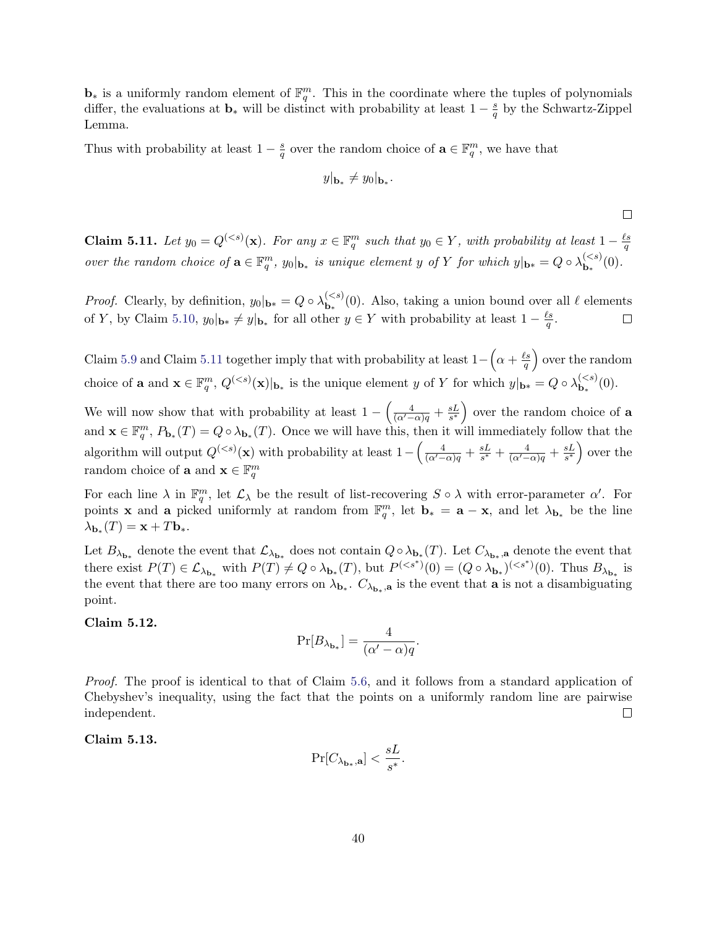**b**<sup>∗</sup> is a uniformly random element of  $\mathbb{F}_q^m$ . This in the coordinate where the tuples of polynomials differ, the evaluations at  $\mathbf{b}_*$  will be distinct with probability at least  $1-\frac{s}{a}$  $\frac{s}{q}$  by the Schwartz-Zippel Lemma.

Thus with probability at least  $1 - \frac{s}{a}$  $\frac{s}{q}$  over the random choice of  $\mathbf{a} \in \mathbb{F}_q^m$ , we have that

$$
y|_{\mathbf{b}_*}\neq y_0|_{\mathbf{b}_*}.
$$

 $\Box$ 

<span id="page-40-0"></span>**Claim 5.11.** Let  $y_0 = Q^{(*s*)}(x)$ . For any  $x \in \mathbb{F}_q^m$  such that  $y_0 \in Y$ , with probability at least  $1 - \frac{\ell s}{q}$ q over the random choice of  $\mathbf{a} \in \mathbb{F}_q^m$ ,  $y_0|_{\mathbf{b}_*}$  is unique element y of Y for which  $y|_{\mathbf{b}_*} = Q \circ \lambda_{\mathbf{b}_*}^{(< s)}$  ${\bf b}_*^{(5)}(0).$ 

*Proof.* Clearly, by definition,  $y_0|_{\mathbf{b}*} = Q \circ \lambda_{\mathbf{b}_*}^{($  $\mathbf{b}_{\ast}^{(. Also, taking a union bound over all  $\ell$  elements$ of Y, by Claim [5.10,](#page-39-0)  $y_0|_{\mathbf{b}*} \neq y|_{\mathbf{b}_*}$  for all other  $y \in Y$  with probability at least  $1 - \frac{\ell s}{g}$  $\frac{2s}{q}.$  $\Box$ 

Claim [5.9](#page-39-1) and Claim [5.11](#page-40-0) together imply that with probability at least  $1 - (\alpha + \frac{\ell s}{a})$  $\left(\frac{\ell s}{q}\right)$  over the random choice of **a** and  $\mathbf{x} \in \mathbb{F}_q^m$ ,  $Q^{( is the unique element y of Y for which  $y|_{\mathbf{b}_*} = Q \circ \lambda_{\mathbf{b}_*}^{($$  ${\bf b}_*^{(<,s)}(0).$ 

We will now show that with probability at least  $1 - \left(\frac{4}{(\alpha'-\alpha)q} + \frac{sL}{s^*}\right)$  $\left(\frac{sL}{s^*}\right)$  over the random choice of **a** and  $\mathbf{x} \in \mathbb{F}_q^m$ ,  $P_{\mathbf{b}_*}(T) = Q \circ \lambda_{\mathbf{b}_*}(T)$ . Once we will have this, then it will immediately follow that the algorithm will output  $Q^{(*s*)}(x)$  with probability at least  $1 - \left(\frac{4}{(\alpha' - \alpha)q} + \frac{sL}{s^*}\right)$  $\frac{sL}{s^*} + \frac{4}{(\alpha'-\alpha)q} + \frac{sL}{s^*}$  $\frac{sL}{s^*}$  over the random choice of **a** and  $\mathbf{x} \in \mathbb{F}_q^m$ 

For each line  $\lambda$  in  $\mathbb{F}_q^m$ , let  $\mathcal{L}_{\lambda}$  be the result of list-recovering  $S \circ \lambda$  with error-parameter  $\alpha'$ . For points **x** and **a** picked uniformly at random from  $\mathbb{F}_q^m$ , let  $\mathbf{b}_* = \mathbf{a} - \mathbf{x}$ , and let  $\lambda_{\mathbf{b}_*}$  be the line  $\lambda_{\mathbf{b}_*}(T) = \mathbf{x} + T\mathbf{b}_*.$ 

Let  $B_{\lambda_{b_*}}$  denote the event that  $\mathcal{L}_{\lambda_{b_*}}$  does not contain  $Q \circ \lambda_{b_*}(T)$ . Let  $C_{\lambda_{b_*},a}$  denote the event that there exist  $P(T) \in \mathcal{L}_{\lambda_{\mathbf{b}_*}}$  with  $P(T) \neq Q \circ \lambda_{\mathbf{b}_*}(T)$ , but  $P^{(. Thus  $B_{\lambda_{\mathbf{b}_*}}$  is$ the event that there are too many errors on  $\lambda_{b_*}$ .  $C_{\lambda_{b_*},a}$  is the event that **a** is not a disambiguating point.

<span id="page-40-1"></span>Claim 5.12.

$$
\Pr[B_{\lambda_{\mathbf{b}_*}}] = \frac{4}{(\alpha' - \alpha)q}.
$$

Proof. The proof is identical to that of Claim [5.6,](#page-36-0) and it follows from a standard application of Chebyshev's inequality, using the fact that the points on a uniformly random line are pairwise independent.  $\Box$ 

<span id="page-40-2"></span>Claim 5.13.

$$
\Pr[C_{\lambda_{\mathbf{b}_{*}},\mathbf{a}}] < \frac{sL}{s^{*}}.
$$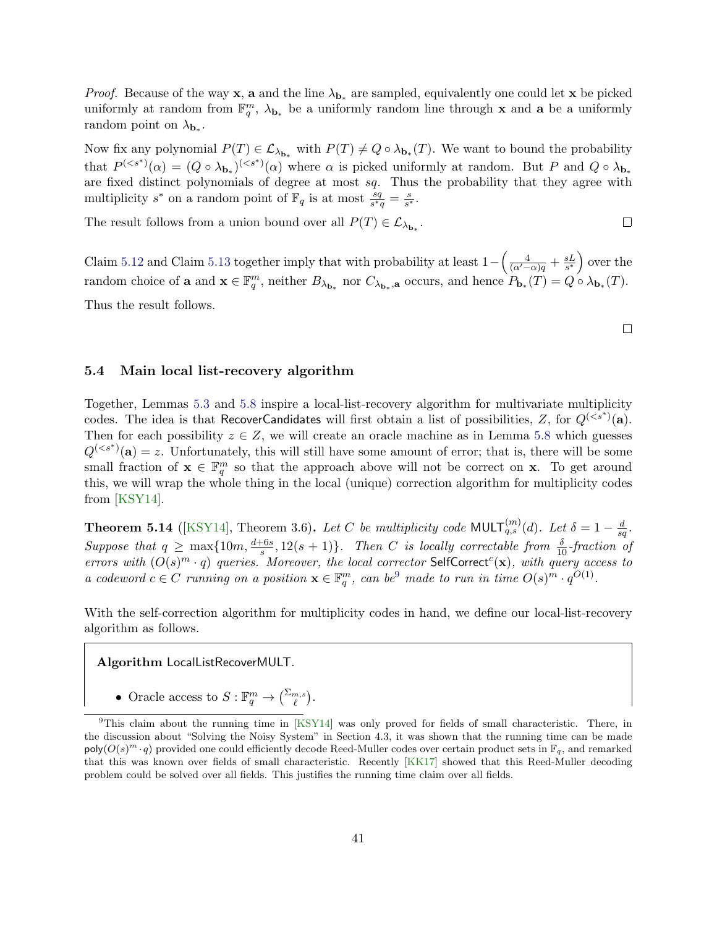*Proof.* Because of the way **x**, **a** and the line  $\lambda_{b_*}$  are sampled, equivalently one could let **x** be picked uniformly at random from  $\mathbb{F}_q^m$ ,  $\lambda_{\mathbf{b}_*}$  be a uniformly random line through **x** and **a** be a uniformly random point on  $\lambda_{\mathbf{b}_{*}}$ .

Now fix any polynomial  $P(T) \in \mathcal{L}_{\lambda_{b_*}}$  with  $P(T) \neq Q \circ \lambda_{b_*}(T)$ . We want to bound the probability that  $P^{( where  $\alpha$  is picked uniformly at random. But P and  $Q \circ \lambda_{\mathbf{b}_*}$$ are fixed distinct polynomials of degree at most sq. Thus the probability that they agree with multiplicity  $s^*$  on a random point of  $\mathbb{F}_q$  is at most  $\frac{sq}{s^*q} = \frac{s}{s^*}$  $\frac{s}{s^*}$ .

The result follows from a union bound over all  $P(T) \in \mathcal{L}_{\lambda_{\mathbf{b}_*}}$ .

Claim [5.12](#page-40-1) and Claim [5.13](#page-40-2) together imply that with probability at least  $1 - \left(\frac{4}{(\alpha' - \alpha)q} + \frac{sL}{s^*}\right)$  $\frac{sL}{s^*}$  over the random choice of **a** and  $\mathbf{x} \in \mathbb{F}_q^m$ , neither  $B_{\lambda_{\mathbf{b}_*}}$  nor  $C_{\lambda_{\mathbf{b}_*},\mathbf{a}}$  occurs, and hence  $P_{\mathbf{b}_*}(T) = Q \circ \lambda_{\mathbf{b}_*}(T)$ . Thus the result follows.

 $\Box$ 

 $\Box$ 

#### <span id="page-41-0"></span>5.4 Main local list-recovery algorithm

Together, Lemmas [5.3](#page-32-1) and [5.8](#page-38-0) inspire a local-list-recovery algorithm for multivariate multiplicity codes. The idea is that RecoverCandidates will first obtain a list of possibilities, Z, for  $Q^{(*s*<sup>*</sup>)}(a)$ . Then for each possibility  $z \in Z$ , we will create an oracle machine as in Lemma [5.8](#page-38-0) which guesses  $Q^{(*s*<sup>*</sup>)}(a) = z$ . Unfortunately, this will still have some amount of error; that is, there will be some small fraction of  $\mathbf{x} \in \mathbb{F}_q^m$  so that the approach above will not be correct on **x**. To get around this, we will wrap the whole thing in the local (unique) correction algorithm for multiplicity codes from [\[KSY14\]](#page-55-0).

<span id="page-41-2"></span>**Theorem 5.14** ([\[KSY14\]](#page-55-0), Theorem 3.6). Let C be multiplicity code MULT $_{q,s}^{(m)}(d)$ . Let  $\delta = 1 - \frac{d}{sd}$  $\frac{d}{sq}.$ Suppose that  $q \ge \max\{10m, \frac{d+6s}{s}, 12(s+1)\}\$ . Then C is locally correctable from  $\frac{\delta}{10}$ -fraction of errors with  $(O(s)^m \cdot q)$  queries. Moreover, the local corrector SelfCorrect<sup>c</sup>(x), with query access to a codeword  $c \in C$  running on a position  $\mathbf{x} \in \mathbb{F}_q^m$ , can be<sup>[9](#page-41-1)</sup> made to run in time  $O(s)^m \cdot q^{O(1)}$ .

With the self-correction algorithm for multiplicity codes in hand, we define our local-list-recovery algorithm as follows.

Algorithm LocalListRecoverMULT.

• Oracle access to  $S: \mathbb{F}_q^m \to {\binom{\Sigma_{m,s}}{\ell}}$ .

<span id="page-41-1"></span><sup>&</sup>lt;sup>9</sup>This claim about the running time in [\[KSY14\]](#page-55-0) was only proved for fields of small characteristic. There, in the discussion about "Solving the Noisy System" in Section 4.3, it was shown that the running time can be made  $\text{poly}(O(s)^m \cdot q)$  provided one could efficiently decode Reed-Muller codes over certain product sets in  $\mathbb{F}_q$ , and remarked that this was known over fields of small characteristic. Recently [\[KK17\]](#page-55-11) showed that this Reed-Muller decoding problem could be solved over all fields. This justifies the running time claim over all fields.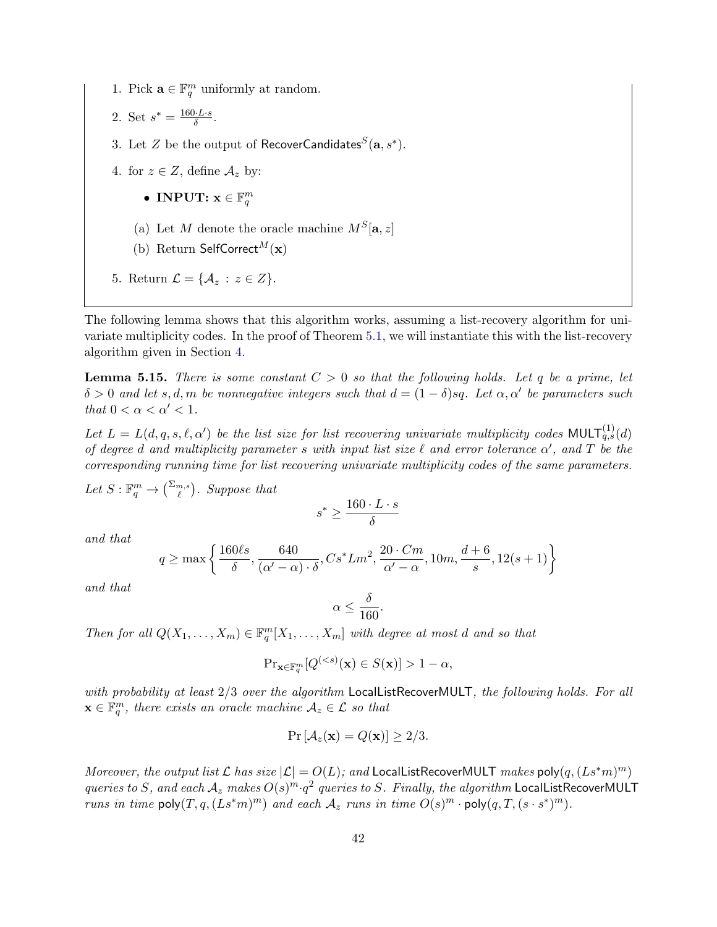- 1. Pick  $\mathbf{a} \in \mathbb{F}_q^m$  uniformly at random.
- 2. Set  $s^* = \frac{160 \cdot L \cdot s}{\delta}$  $\frac{0 \cdot L \cdot s}{\delta}$ .
- 3. Let  $Z$  be the output of <code>RecoverCandidates ${}^S(\mathbf{a},s^*)$ .</code>
- 4. for  $z \in Z$ , define  $\mathcal{A}_z$  by:
	- INPUT:  $\mathbf{x} \in \mathbb{F}_q^m$
	- (a) Let M denote the oracle machine  $M<sup>S</sup>[a, z]$
	- (b) Return SelfCorrect<sup>M</sup>(x)
- 5. Return  $\mathcal{L} = \{ \mathcal{A}_z : z \in Z \}.$

The following lemma shows that this algorithm works, assuming a list-recovery algorithm for univariate multiplicity codes. In the proof of Theorem [5.1,](#page-30-0) we will instantiate this with the list-recovery algorithm given in Section [4.](#page-20-0)

<span id="page-42-0"></span>**Lemma 5.15.** There is some constant  $C > 0$  so that the following holds. Let q be a prime, let  $\delta > 0$  and let s, d, m be nonnegative integers such that  $d = (1 - \delta)sq$ . Let  $\alpha, \alpha'$  be parameters such that  $0 < \alpha < \alpha' < 1$ .

Let  $L = L(d, q, s, \ell, \alpha')$  be the list size for list recovering univariate multiplicity codes MULT $_{q,s}^{(1)}(d)$ of degree d and multiplicity parameter s with input list size  $\ell$  and error tolerance  $\alpha'$ , and  $T$  be the corresponding running time for list recovering univariate multiplicity codes of the same parameters.

Let  $S: \mathbb{F}_q^m \to {\binom{\sum_{m,s}}{\ell}}$ . Suppose that

$$
s^* \ge \frac{160 \cdot L \cdot s}{\delta}
$$

and that

$$
q \ge \max\left\{\frac{160\ell s}{\delta}, \frac{640}{(\alpha'-\alpha)\cdot\delta}, Cs^*Lm^2, \frac{20 \cdot Cm}{\alpha'-\alpha}, 10m, \frac{d+6}{s}, 12(s+1)\right\}
$$

and that

$$
\alpha \le \frac{\delta}{160}.
$$

Then for all  $Q(X_1, ..., X_m) \in \mathbb{F}_q^m[X_1, ..., X_m]$  with degree at most d and so that

$$
\mathrm{Pr}_{\mathbf{x} \in \mathbb{F}_q^m} [Q^{( 1 - \alpha,
$$

with probability at least  $2/3$  over the algorithm LocalListRecoverMULT, the following holds. For all  $\mathbf{x} \in \mathbb{F}_q^m$ , there exists an oracle machine  $\mathcal{A}_z \in \mathcal{L}$  so that

$$
Pr\left[\mathcal{A}_z(\mathbf{x}) = Q(\mathbf{x})\right] \ge 2/3.
$$

Moreover, the output list  $\mathcal L$  has size  $|\mathcal L| = O(L)$ ; and LocalListRecoverMULT makes poly $(q,(Ls^*m)^m)$ queries to S, and each  $A_z$  makes  $O(s)^m \cdot q^2$  queries to S. Finally, the algorithm LocalListRecoverMULT runs in time  $\mathsf{poly}(T, q, (Ls^*m)^m)$  and each  $\mathcal{A}_z$  runs in time  $O(s)^m \cdot \mathsf{poly}(q, T, (s \cdot s^*)^m)$ .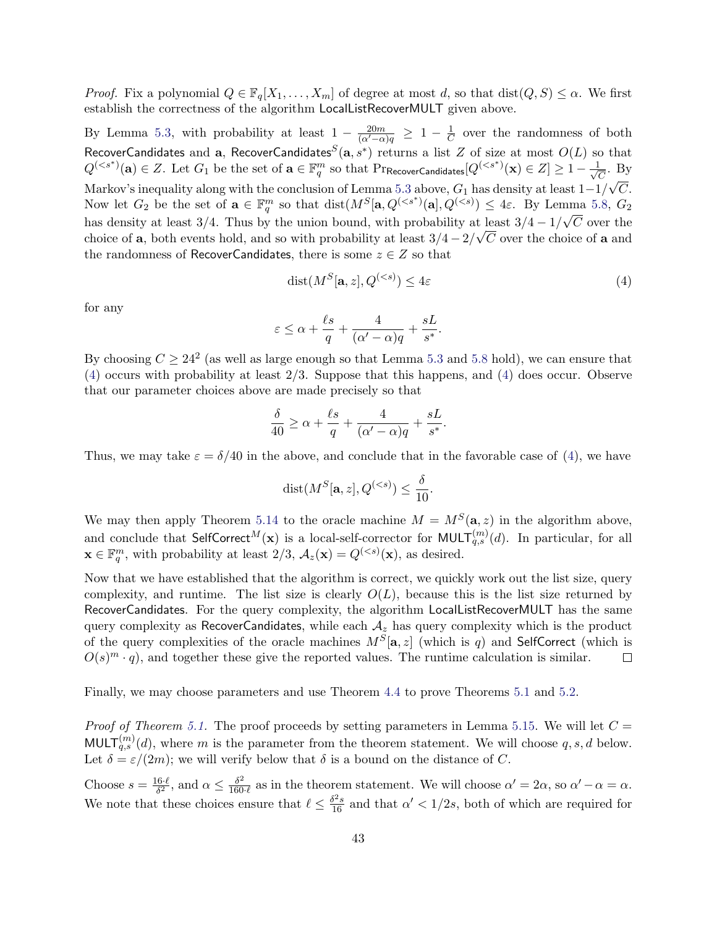*Proof.* Fix a polynomial  $Q \in \mathbb{F}_q[X_1,\ldots,X_m]$  of degree at most d, so that  $dist(Q, S) \leq \alpha$ . We first establish the correctness of the algorithm LocalListRecoverMULT given above.

By Lemma [5.3,](#page-32-1) with probability at least  $1 - \frac{20m}{(\alpha' - \alpha)q} \geq 1 - \frac{1}{C}$  $\frac{1}{C}$  over the randomness of both RecoverCandidates and a, RecoverCandidates<sup>S</sup>(a, s<sup>\*</sup>) returns a list Z of size at most  $O(L)$  so that  $Q^{(*s*<sup>*</sup>)}(a) \in Z$ . Let  $G_1$  be the set of  $a \in \mathbb{F}_q^m$  so that  $Pr$ RecoverCandidates $[Q^{(*s*<sup>*</sup>)}(x) \in Z] \geq 1 - \frac{1}{\sqrt{d}}$  $\frac{L}{\overline{C}}$ . By Markov's inequality along with the conclusion of Lemma [5.3](#page-32-1) above,  $G_1$  has density at least  $1-1/\sqrt{C}$ . Now let  $G_2$  be the set of  $\mathbf{a} \in \mathbb{F}_q^m$  so that  $dist(M^S[\mathbf{a}, Q^{(. By Lemma [5.8,](#page-38-0)  $G_2$$ has density at least 3/4. Thus by the union bound, with probability at least  $3/4 - 1/\sqrt{C}$  over the choice of a, both events hold, and so with probability at least  $3/4 - 2/\sqrt{C}$  over the choice of a and the randomness of RecoverCandidates, there is some  $z \in Z$  so that

<span id="page-43-0"></span>
$$
dist(M^S[\mathbf{a}, z], Q^{(
$$

.

.

for any

$$
\varepsilon \le \alpha + \frac{\ell s}{q} + \frac{4}{(\alpha' - \alpha)q} + \frac{sL}{s^*}
$$

By choosing  $C \geq 24^2$  (as well as large enough so that Lemma [5.3](#page-32-1) and [5.8](#page-38-0) hold), we can ensure that [\(4\)](#page-43-0) occurs with probability at least 2/3. Suppose that this happens, and [\(4\)](#page-43-0) does occur. Observe that our parameter choices above are made precisely so that

$$
\frac{\delta}{40} \ge \alpha + \frac{\ell s}{q} + \frac{4}{(\alpha' - \alpha)q} + \frac{sL}{s^*}.
$$

Thus, we may take  $\varepsilon = \delta/40$  in the above, and conclude that in the favorable case of [\(4\)](#page-43-0), we have

$$
dist(M^S[\mathbf{a}, z], Q^{(
$$

We may then apply Theorem [5.14](#page-41-2) to the oracle machine  $M = M<sup>S</sup>(a, z)$  in the algorithm above, and conclude that SelfCorrect $^M(\mathbf{x})$  is a local-self-corrector for MULT $_{q,s}^{(m)}(d)$ . In particular, for all  $\mathbf{x} \in \mathbb{F}_q^m$ , with probability at least  $2/3$ ,  $\mathcal{A}_z(\mathbf{x}) = Q^{(*s*)}(\mathbf{x})$ , as desired.

Now that we have established that the algorithm is correct, we quickly work out the list size, query complexity, and runtime. The list size is clearly  $O(L)$ , because this is the list size returned by RecoverCandidates. For the query complexity, the algorithm LocalListRecoverMULT has the same query complexity as RecoverCandidates, while each  $A_z$  has query complexity which is the product of the query complexities of the oracle machines  $M^S[\mathbf{a}, z]$  (which is q) and SelfCorrect (which is  $O(s)^m \cdot q$ , and together these give the reported values. The runtime calculation is similar.  $\Box$ 

Finally, we may choose parameters and use Theorem [4.4](#page-22-0) to prove Theorems [5.1](#page-30-0) and [5.2.](#page-31-0)

*Proof of Theorem [5.1.](#page-30-0)* The proof proceeds by setting parameters in Lemma [5.15.](#page-42-0) We will let  $C =$ MULT $_{q,s}^{(m)}(d)$ , where m is the parameter from the theorem statement. We will choose  $q, s, d$  below. Let  $\delta = \varepsilon/(2m)$ ; we will verify below that  $\delta$  is a bound on the distance of C.

Choose  $s = \frac{16 \cdot \ell}{\delta^2}$  $\frac{6\cdot \ell}{\delta^2}$ , and  $\alpha \leq \frac{\delta^2}{160}$  $\frac{\delta^2}{160 \cdot \ell}$  as in the theorem statement. We will choose  $\alpha' = 2\alpha$ , so  $\alpha' - \alpha = \alpha$ . We note that these choices ensure that  $\ell \leq \frac{\delta^2 s}{16}$  and that  $\alpha' < 1/2s$ , both of which are required for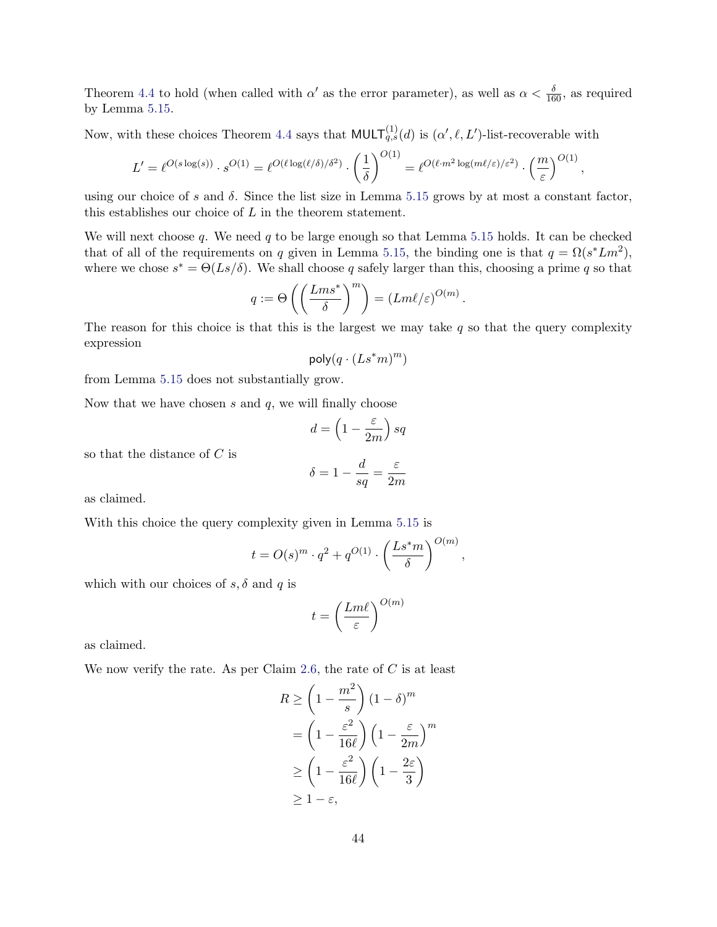Theorem [4.4](#page-22-0) to hold (when called with  $\alpha'$  as the error parameter), as well as  $\alpha < \frac{\delta}{160}$ , as required by Lemma [5.15.](#page-42-0)

Now, with these choices Theorem [4.4](#page-22-0) says that  $\text{MULT}_{q,s}^{(1)}(d)$  is  $(\alpha', \ell, L')$ -list-recoverable with

$$
L' = \ell^{O(s \log(s))} \cdot s^{O(1)} = \ell^{O(\ell \log(\ell/\delta)/\delta^2)} \cdot \left(\frac{1}{\delta}\right)^{O(1)} = \ell^{O(\ell \cdot m^2 \log(m\ell/\varepsilon)/\varepsilon^2)} \cdot \left(\frac{m}{\varepsilon}\right)^{O(1)},
$$

using our choice of s and  $\delta$ . Since the list size in Lemma [5.15](#page-42-0) grows by at most a constant factor, this establishes our choice of  $L$  in the theorem statement.

We will next choose q. We need q to be large enough so that Lemma [5.15](#page-42-0) holds. It can be checked that of all of the requirements on q given in Lemma [5.15,](#page-42-0) the binding one is that  $q = \Omega(s^* L m^2)$ , where we chose  $s^* = \Theta(Ls/\delta)$ . We shall choose q safely larger than this, choosing a prime q so that

$$
q := \Theta\left(\left(\frac{Lms^*}{\delta}\right)^m\right) = (Lm\ell/\varepsilon)^{O(m)}
$$

.

The reason for this choice is that this is the largest we may take  $q$  so that the query complexity expression

$$
\mathsf{poly}(q \cdot (Ls^*m)^m)
$$

from Lemma [5.15](#page-42-0) does not substantially grow.

Now that we have chosen  $s$  and  $q$ , we will finally choose

$$
d=\left(1-\frac{\varepsilon}{2m}\right) sq
$$

so that the distance of C is

$$
\delta = 1 - \frac{d}{sq} = \frac{\varepsilon}{2m}
$$

as claimed.

With this choice the query complexity given in Lemma [5.15](#page-42-0) is

$$
t = O(s)^m \cdot q^2 + q^{O(1)} \cdot \left(\frac{Ls^*m}{\delta}\right)^{O(m)},
$$

which with our choices of  $s, \delta$  and q is

$$
t = \left(\frac{Lm\ell}{\varepsilon}\right)^{O(m)}
$$

as claimed.

We now verify the rate. As per Claim [2.6,](#page-16-2) the rate of  $C$  is at least

$$
R \ge \left(1 - \frac{m^2}{s}\right) (1 - \delta)^m
$$
  
=  $\left(1 - \frac{\varepsilon^2}{16\ell}\right) \left(1 - \frac{\varepsilon}{2m}\right)^m$   

$$
\ge \left(1 - \frac{\varepsilon^2}{16\ell}\right) \left(1 - \frac{2\varepsilon}{3}\right)
$$
  

$$
\ge 1 - \varepsilon,
$$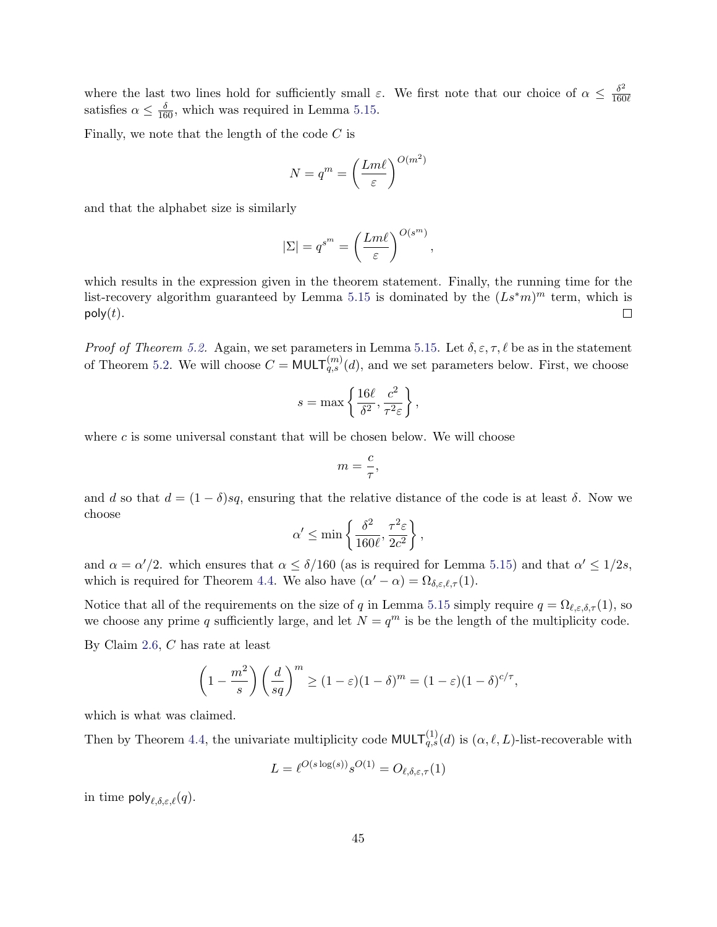where the last two lines hold for sufficiently small  $\varepsilon$ . We first note that our choice of  $\alpha \leq \frac{\delta^2}{160}$  $\overline{160\ell}$ satisfies  $\alpha \leq \frac{\delta}{160}$ , which was required in Lemma [5.15.](#page-42-0)

Finally, we note that the length of the code  $C$  is

$$
N = q^m = \left(\frac{Lm\ell}{\varepsilon}\right)^{O(m^2)}
$$

and that the alphabet size is similarly

$$
|\Sigma| = q^{s^m} = \left(\frac{Lm\ell}{\varepsilon}\right)^{O(s^m)},
$$

which results in the expression given in the theorem statement. Finally, the running time for the list-recovery algorithm guaranteed by Lemma [5.15](#page-42-0) is dominated by the  $(Ls^*m)^m$  term, which is  $poly(t)$ .  $\Box$ 

*Proof of Theorem [5.2.](#page-31-0)* Again, we set parameters in Lemma [5.15.](#page-42-0) Let  $\delta, \varepsilon, \tau, \ell$  be as in the statement of Theorem [5.2.](#page-31-0) We will choose  $C = \text{MULT}_{q,s}^{(m)}(d)$ , and we set parameters below. First, we choose

$$
s = \max\left\{\frac{16\ell}{\delta^2}, \frac{c^2}{\tau^2 \varepsilon}\right\},\,
$$

where  $c$  is some universal constant that will be chosen below. We will choose

$$
m=\frac{c}{\tau},
$$

and d so that  $d = (1 - \delta)sq$ , ensuring that the relative distance of the code is at least  $\delta$ . Now we choose

$$
\alpha' \le \min\left\{\frac{\delta^2}{160\ell}, \frac{\tau^2 \varepsilon}{2c^2}\right\},\,
$$

and  $\alpha = \alpha'/2$ , which ensures that  $\alpha \leq \delta/160$  (as is required for Lemma [5.15\)](#page-42-0) and that  $\alpha' \leq 1/2s$ , which is required for Theorem [4.4.](#page-22-0) We also have  $(\alpha' - \alpha) = \Omega_{\delta,\varepsilon,\ell,\tau}(1)$ .

Notice that all of the requirements on the size of q in Lemma [5.15](#page-42-0) simply require  $q = \Omega_{\ell,\varepsilon,\delta,\tau}(1)$ , so we choose any prime q sufficiently large, and let  $N = q^m$  is be the length of the multiplicity code.

By Claim [2.6,](#page-16-2) C has rate at least

$$
\left(1 - \frac{m^2}{s}\right) \left(\frac{d}{sq}\right)^m \ge (1 - \varepsilon)(1 - \delta)^m = (1 - \varepsilon)(1 - \delta)^{c/\tau},
$$

which is what was claimed.

Then by Theorem [4.4,](#page-22-0) the univariate multiplicity code  $\text{MULT}^{(1)}_{q,s}(d)$  is  $(\alpha, \ell, L)$ -list-recoverable with

$$
L = \ell^{O(s \log(s))} s^{O(1)} = O_{\ell, \delta, \varepsilon, \tau}(1)
$$

in time  $\mathsf{poly}_{\ell,\delta,\varepsilon,\ell}(q)$ .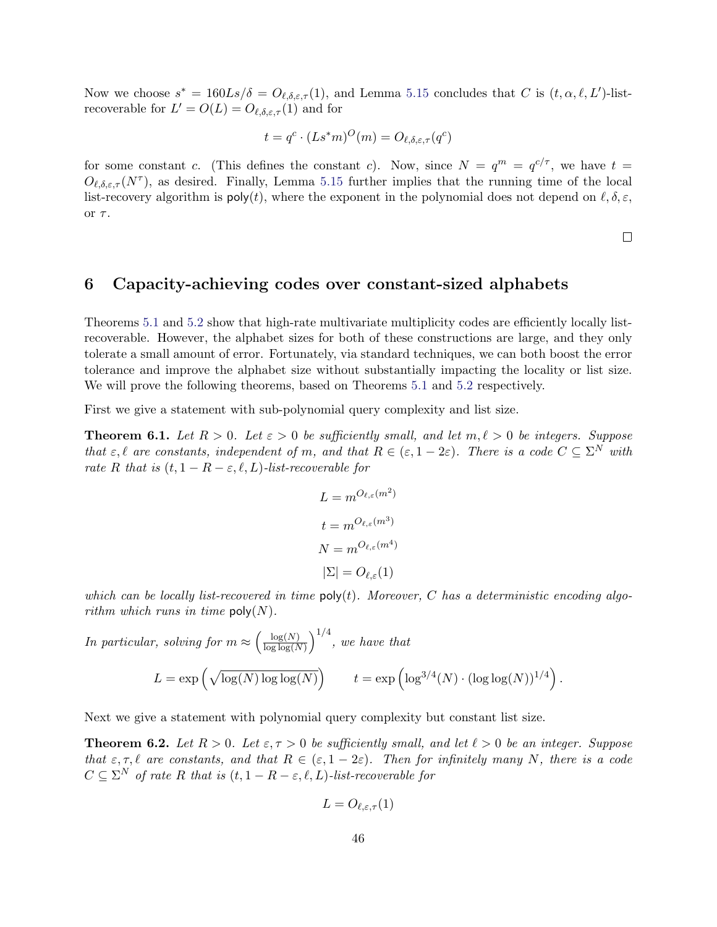Now we choose  $s^* = 160Ls/\delta = O_{\ell,\delta,\varepsilon,\tau}(1)$ , and Lemma [5.15](#page-42-0) concludes that C is  $(t, \alpha, \ell, L')$ -listrecoverable for  $L' = O(L) = O_{\ell, \delta, \varepsilon, \tau}(1)$  and for

$$
t = q^c \cdot (Ls^*m)^O(m) = O_{\ell, \delta, \varepsilon, \tau}(q^c)
$$

for some constant c. (This defines the constant c). Now, since  $N = q^m = q^{c/\tau}$ , we have  $t =$  $O_{\ell,\delta,\varepsilon,\tau}(N^{\tau})$ , as desired. Finally, Lemma [5.15](#page-42-0) further implies that the running time of the local list-recovery algorithm is  $\mathsf{poly}(t)$ , where the exponent in the polynomial does not depend on  $\ell, \delta, \varepsilon$ , or  $\tau$ .

 $\Box$ 

### <span id="page-46-2"></span>6 Capacity-achieving codes over constant-sized alphabets

Theorems [5.1](#page-30-0) and [5.2](#page-31-0) show that high-rate multivariate multiplicity codes are efficiently locally listrecoverable. However, the alphabet sizes for both of these constructions are large, and they only tolerate a small amount of error. Fortunately, via standard techniques, we can both boost the error tolerance and improve the alphabet size without substantially impacting the locality or list size. We will prove the following theorems, based on Theorems [5.1](#page-30-0) and [5.2](#page-31-0) respectively.

First we give a statement with sub-polynomial query complexity and list size.

<span id="page-46-1"></span>**Theorem 6.1.** Let  $R > 0$ . Let  $\varepsilon > 0$  be sufficiently small, and let  $m, \ell > 0$  be integers. Suppose that  $\varepsilon, \ell$  are constants, independent of m, and that  $R \in (\varepsilon, 1-2\varepsilon)$ . There is a code  $C \subseteq \Sigma^N$  with rate R that is  $(t, 1 - R - \varepsilon, \ell, L)$ -list-recoverable for

$$
L = m^{O_{\ell,\varepsilon}(m^2)}
$$

$$
t = m^{O_{\ell,\varepsilon}(m^3)}
$$

$$
N = m^{O_{\ell,\varepsilon}(m^4)}
$$

$$
|\Sigma| = O_{\ell,\varepsilon}(1)
$$

which can be locally list-recovered in time  $\mathsf{poly}(t)$ . Moreover, C has a deterministic encoding algorithm which runs in time  $\text{poly}(N)$ .

In particular, solving for 
$$
m \approx \left(\frac{\log(N)}{\log \log(N)}\right)^{1/4}
$$
, we have that  
\n
$$
L = \exp\left(\sqrt{\log(N)\log \log(N)}\right) \qquad t = \exp\left(\log^{3/4}(N) \cdot (\log \log(N))^{1/4}\right).
$$

Next we give a statement with polynomial query complexity but constant list size.

<span id="page-46-0"></span>**Theorem 6.2.** Let  $R > 0$ . Let  $\varepsilon, \tau > 0$  be sufficiently small, and let  $\ell > 0$  be an integer. Suppose that  $\varepsilon, \tau, \ell$  are constants, and that  $R \in (\varepsilon, 1 - 2\varepsilon)$ . Then for infinitely many N, there is a code  $C \subseteq \Sigma^N$  of rate R that is  $(t, 1 - R - \varepsilon, \ell, L)$ -list-recoverable for

$$
L = O_{\ell, \varepsilon, \tau}(1)
$$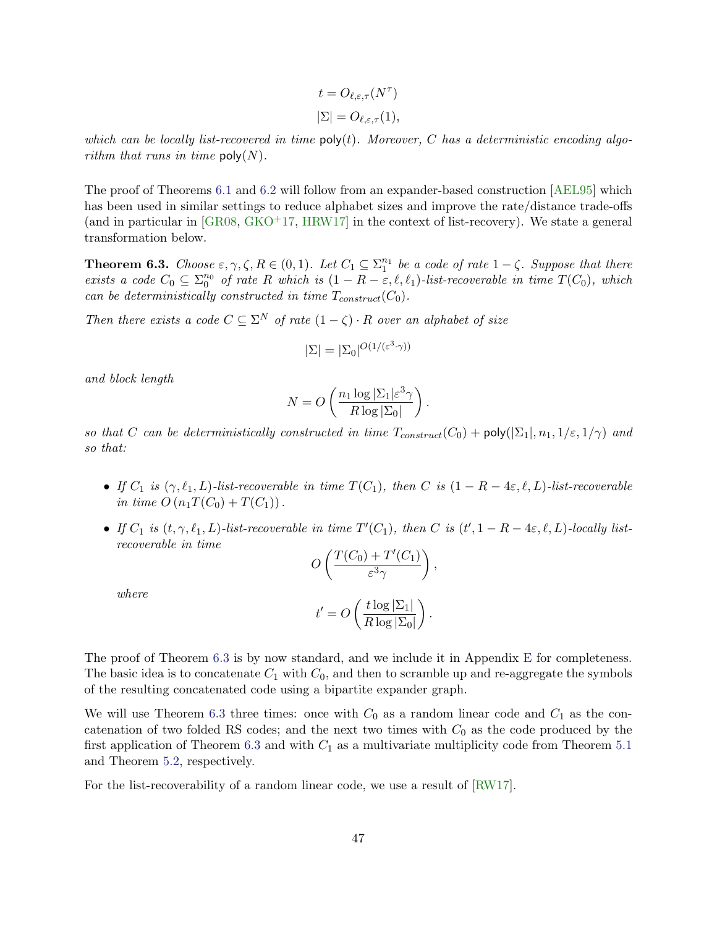$$
t = O_{\ell, \varepsilon, \tau}(N^{\tau})
$$
  

$$
|\Sigma| = O_{\ell, \varepsilon, \tau}(1),
$$

which can be locally list-recovered in time  $\text{poly}(t)$ . Moreover, C has a deterministic encoding algorithm that runs in time  $\text{poly}(N)$ .

The proof of Theorems [6.1](#page-46-1) and [6.2](#page-46-0) will follow from an expander-based construction [\[AEL95\]](#page-53-2) which has been used in similar settings to reduce alphabet sizes and improve the rate/distance trade-offs (and in particular in  $\lceil$ GR08, [GKO](#page-54-3)<sup>+</sup>17, HRW17 $\rceil$  in the context of list-recovery). We state a general transformation below.

<span id="page-47-0"></span>**Theorem 6.3.** Choose  $\varepsilon, \gamma, \zeta, R \in (0, 1)$ . Let  $C_1 \subseteq \Sigma_1^{n_1}$  be a code of rate  $1 - \zeta$ . Suppose that there exists a code  $C_0 \subseteq \sum_{0}^{n_0}$  of rate R which is  $(1 - R - \varepsilon, \ell, \ell_1)$ -list-recoverable in time  $T(C_0)$ , which can be deterministically constructed in time  $T_{construct}(C_0)$ .

Then there exists a code  $C \subseteq \Sigma^N$  of rate  $(1 - \zeta) \cdot R$  over an alphabet of size

$$
|\Sigma| = |\Sigma_0|^{O(1/(\varepsilon^3 \cdot \gamma))}
$$

and block length

$$
N = O\left(\frac{n_1 \log |\Sigma_1| \varepsilon^3 \gamma}{R \log |\Sigma_0|}\right).
$$

so that C can be deterministically constructed in time  $T_{constraint}(C_0) + \text{poly}(|\Sigma_1|, n_1, 1/\varepsilon, 1/\gamma)$  and so that:

- If  $C_1$  is  $(\gamma, \ell_1, L)$ -list-recoverable in time  $T(C_1)$ , then C is  $(1 R 4\varepsilon, \ell, L)$ -list-recoverable in time  $O(n_1T(C_0) + T(C_1)).$
- If  $C_1$  is  $(t, \gamma, \ell_1, L)$ -list-recoverable in time  $T'(C_1)$ , then C is  $(t', 1 R 4\varepsilon, \ell, L)$ -locally listrecoverable in time

$$
O\left(\frac{T(C_0) + T'(C_1)}{\varepsilon^3 \gamma}\right),\,
$$

where

$$
t' = O\left(\frac{t \log |\Sigma_1|}{R \log |\Sigma_0|}\right)
$$

.

The proof of Theorem [6.3](#page-47-0) is by now standard, and we include it in Appendix [E](#page-62-0) for completeness. The basic idea is to concatenate  $C_1$  with  $C_0$ , and then to scramble up and re-aggregate the symbols of the resulting concatenated code using a bipartite expander graph.

We will use Theorem [6.3](#page-47-0) three times: once with  $C_0$  as a random linear code and  $C_1$  as the concatenation of two folded RS codes; and the next two times with  $C_0$  as the code produced by the first application of Theorem [6.3](#page-47-0) and with  $C_1$  as a multivariate multiplicity code from Theorem [5.1](#page-30-0) and Theorem [5.2,](#page-31-0) respectively.

For the list-recoverability of a random linear code, we use a result of [\[RW17\]](#page-56-9).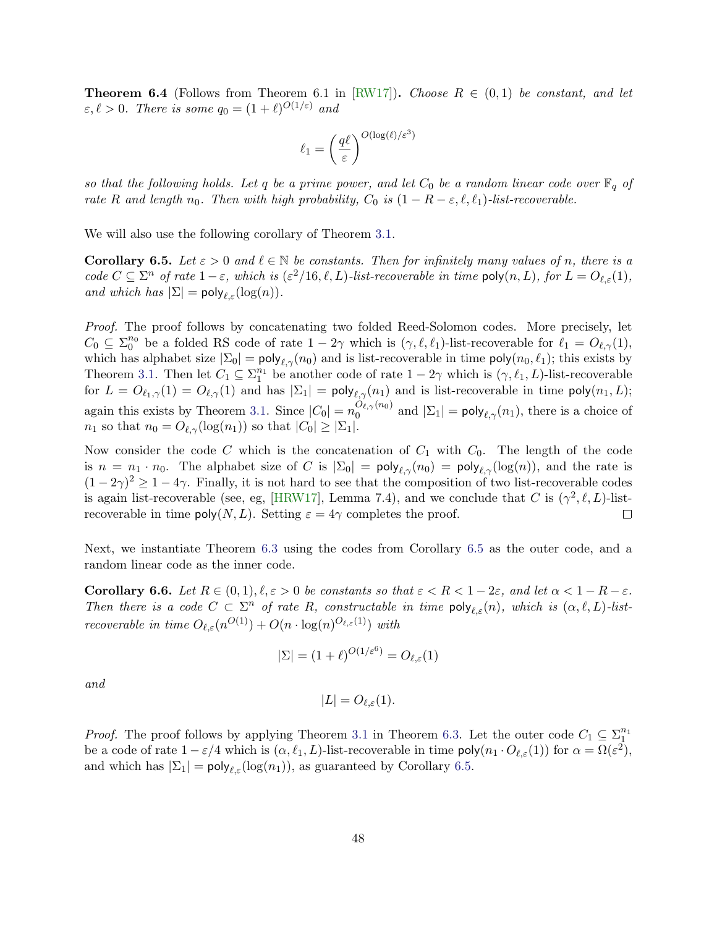<span id="page-48-2"></span>**Theorem 6.4** (Follows from Theorem 6.1 in [\[RW17\]](#page-56-9)). Choose  $R \in (0,1)$  be constant, and let  $\varepsilon, \ell > 0$ . There is some  $q_0 = (1 + \ell)^{O(1/\varepsilon)}$  and

$$
\ell_1 = \left(\frac{q\ell}{\varepsilon}\right)^{O(\log(\ell)/\varepsilon^3)}
$$

so that the following holds. Let q be a prime power, and let  $C_0$  be a random linear code over  $\mathbb{F}_q$  of rate R and length  $n_0$ . Then with high probability,  $C_0$  is  $(1 - R - \varepsilon, \ell, \ell_1)$ -list-recoverable.

We will also use the following corollary of Theorem [3.1.](#page-16-0)

<span id="page-48-1"></span>**Corollary 6.5.** Let  $\varepsilon > 0$  and  $\ell \in \mathbb{N}$  be constants. Then for infinitely many values of n, there is a code  $C \subseteq \Sigma^n$  of rate  $1-\varepsilon$ , which is  $(\varepsilon^2/16, \ell, L)$ -list-recoverable in time  $\text{poly}(n, L)$ , for  $L = O_{\ell, \varepsilon}(1)$ , and which has  $|\Sigma| = \text{poly}_{\ell, \varepsilon}(\log(n)).$ 

Proof. The proof follows by concatenating two folded Reed-Solomon codes. More precisely, let  $C_0 \subseteq \Sigma_0^{n_0}$  be a folded RS code of rate  $1 - 2\gamma$  which is  $(\gamma, \ell, \ell_1)$ -list-recoverable for  $\ell_1 = O_{\ell,\gamma}(1)$ , which has alphabet size  $|\Sigma_0| = \text{poly}_{\ell,\gamma}(n_0)$  and is list-recoverable in time  $\text{poly}(n_0, \ell_1)$ ; this exists by Theorem [3.1.](#page-16-0) Then let  $C_1 \subseteq \sum_1^{n_1}$  be another code of rate  $1 - 2\gamma$  which is  $(\gamma, \ell_1, L)$ -list-recoverable for  $L = O_{\ell_1,\gamma}(1) = O_{\ell,\gamma}(1)$  and has  $|\Sigma_1| = \text{poly}_{\ell,\gamma}(n_1)$  and is list-recoverable in time  $\text{poly}(n_1, L)$ ; again this exists by Theorem [3.1.](#page-16-0) Since  $|C_0| = n_0^{O_{\ell,\gamma}(n_0)}$  $\int_0^{\mathcal{O}_{\ell,\gamma}(n_0)}$  and  $|\Sigma_1| = \text{poly}_{\ell,\gamma}(n_1)$ , there is a choice of  $n_1$  so that  $n_0 = O_{\ell,\gamma}(\log(n_1))$  so that  $|C_0| \geq |\Sigma_1|$ .

Now consider the code C which is the concatenation of  $C_1$  with  $C_0$ . The length of the code is  $n = n_1 \cdot n_0$ . The alphabet size of C is  $|\Sigma_0| = \text{poly}_{\ell,\gamma}(n_0) = \text{poly}_{\ell,\gamma}(\log(n))$ , and the rate is  $(1-2\gamma)^2 \geq 1-4\gamma$ . Finally, it is not hard to see that the composition of two list-recoverable codes is again list-recoverable (see, eg, [\[HRW17\]](#page-55-4), Lemma 7.4), and we conclude that C is  $(\gamma^2, \ell, L)$ -listrecoverable in time  $poly(N, L)$ . Setting  $\varepsilon = 4\gamma$  completes the proof.  $\Box$ 

Next, we instantiate Theorem [6.3](#page-47-0) using the codes from Corollary [6.5](#page-48-1) as the outer code, and a random linear code as the inner code.

<span id="page-48-0"></span>Corollary 6.6. Let  $R \in (0, 1), \ell, \varepsilon > 0$  be constants so that  $\varepsilon < R < 1-2\varepsilon$ , and let  $\alpha < 1-R-\varepsilon$ . Then there is a code  $C \subset \Sigma^n$  of rate R, constructable in time  $\text{poly}_{\ell,\varepsilon}(n)$ , which is  $(\alpha,\ell,L)$ -listrecoverable in time  $O_{\ell,\varepsilon}(n^{O(1)}) + O(n \cdot \log(n)^{O_{\ell,\varepsilon}(1)})$  with

$$
|\Sigma| = (1+\ell)^{O(1/\varepsilon^6)} = O_{\ell,\varepsilon}(1)
$$

and

$$
|L| = O_{\ell, \varepsilon}(1).
$$

*Proof.* The proof follows by applying Theorem [3.1](#page-16-0) in Theorem [6.3.](#page-47-0) Let the outer code  $C_1 \subseteq \sum_1^{n_1}$ be a code of rate  $1 - \varepsilon/4$  which is  $(\alpha, \ell_1, L)$ -list-recoverable in time  $\mathsf{poly}(n_1 \cdot O_{\ell, \varepsilon}(1))$  for  $\alpha = \Omega(\varepsilon^2)$ , and which has  $|\Sigma_1| = \text{poly}_{\ell, \varepsilon}(\log(n_1)),$  as guaranteed by Corollary [6.5.](#page-48-1)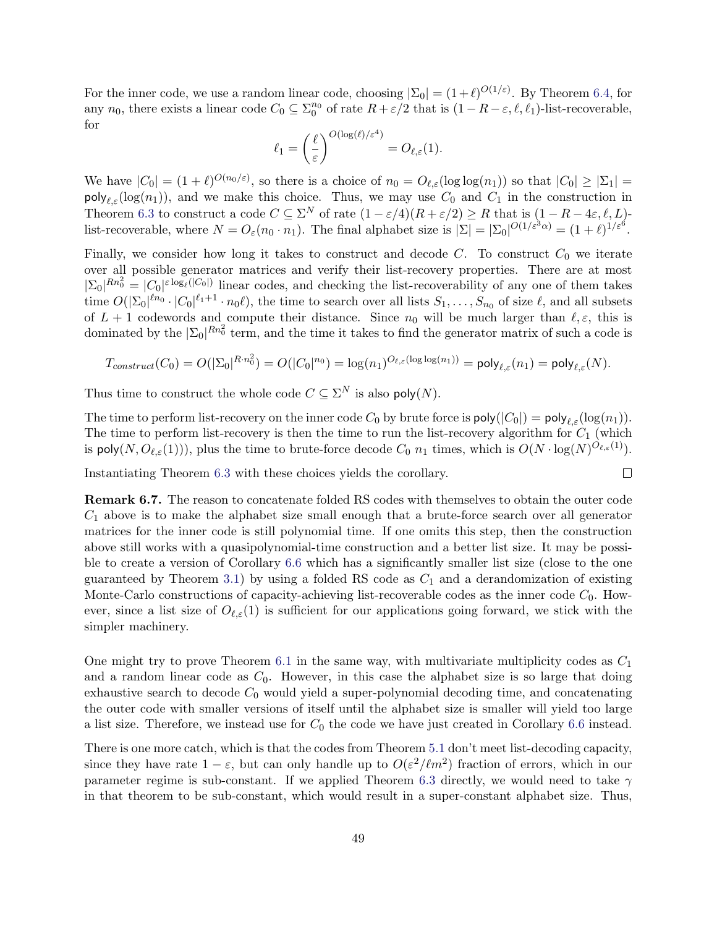For the inner code, we use a random linear code, choosing  $|\Sigma_0| = (1+\ell)^{O(1/\varepsilon)}$ . By Theorem [6.4,](#page-48-2) for any  $n_0$ , there exists a linear code  $C_0 \subseteq \sum_0^{n_0}$  of rate  $R + \varepsilon/2$  that is  $(1 - R - \varepsilon, \ell, \ell_1)$ -list-recoverable, for

$$
\ell_1 = \left(\frac{\ell}{\varepsilon}\right)^{O(\log(\ell)/\varepsilon^4)} = O_{\ell,\varepsilon}(1).
$$

We have  $|C_0| = (1 + \ell)^{O(n_0/\varepsilon)}$ , so there is a choice of  $n_0 = O_{\ell,\varepsilon}(\log \log(n_1))$  so that  $|C_0| \geq |\Sigma_1|$  $\text{poly}_{\ell,\varepsilon}(\log(n_1)),$  and we make this choice. Thus, we may use  $C_0$  and  $C_1$  in the construction in Theorem [6.3](#page-47-0) to construct a code  $C \subseteq \Sigma^N$  of rate  $(1 - \varepsilon/4)(R + \varepsilon/2) \ge R$  that is  $(1 - R - 4\varepsilon, \ell, L)$ list-recoverable, where  $N = O_{\varepsilon}(n_0 \cdot n_1)$ . The final alphabet size is  $|\Sigma| = |\Sigma_0|^{O(1/\varepsilon^3 \alpha)} = (1+\ell)^{1/\varepsilon^6}$ .

Finally, we consider how long it takes to construct and decode  $C$ . To construct  $C_0$  we iterate over all possible generator matrices and verify their list-recovery properties. There are at most  $|\Sigma_0|^{Rn_0^2} = |C_0|^{\epsilon \log_{\ell}(|C_0|)}$  linear codes, and checking the list-recoverability of any one of them takes time  $O(|\Sigma_0|^{\ell n_0} \cdot |C_0|^{\ell_1+1} \cdot n_0 \ell)$ , the time to search over all lists  $S_1, \ldots, S_{n_0}$  of size  $\ell$ , and all subsets of  $L + 1$  codewords and compute their distance. Since  $n_0$  will be much larger than  $\ell, \varepsilon$ , this is dominated by the  $|\Sigma_0|^{Rn_0^2}$  term, and the time it takes to find the generator matrix of such a code is

$$
T_{construct}(C_0) = O(|\Sigma_0|^{R \cdot n_0^2}) = O(|C_0|^{n_0}) = \log(n_1)^{O_{\ell, \varepsilon}(\log \log(n_1))} = \text{poly}_{\ell, \varepsilon}(n_1) = \text{poly}_{\ell, \varepsilon}(N).
$$

Thus time to construct the whole code  $C \subseteq \Sigma^N$  is also poly $(N)$ .

The time to perform list-recovery on the inner code  $C_0$  by brute force is  $\text{poly}(|C_0|) = \text{poly}_{\ell, \varepsilon}(\log(n_1)).$ The time to perform list-recovery is then the time to run the list-recovery algorithm for  $C_1$  (which is poly $(N, O_{\ell, \varepsilon}(1)))$ , plus the time to brute-force decode  $C_0$   $n_1$  times, which is  $O(N \cdot \log(N)^{O_{\ell, \varepsilon}(1)})$ .

 $\Box$ 

Instantiating Theorem [6.3](#page-47-0) with these choices yields the corollary.

Remark 6.7. The reason to concatenate folded RS codes with themselves to obtain the outer code  $C_1$  above is to make the alphabet size small enough that a brute-force search over all generator matrices for the inner code is still polynomial time. If one omits this step, then the construction above still works with a quasipolynomial-time construction and a better list size. It may be possible to create a version of Corollary [6.6](#page-48-0) which has a significantly smaller list size (close to the one guaranteed by Theorem [3.1\)](#page-16-0) by using a folded RS code as  $C_1$  and a derandomization of existing Monte-Carlo constructions of capacity-achieving list-recoverable codes as the inner code  $C_0$ . However, since a list size of  $O_{\ell,\varepsilon}(1)$  is sufficient for our applications going forward, we stick with the simpler machinery.

One might try to prove Theorem [6.1](#page-46-1) in the same way, with multivariate multiplicity codes as  $C_1$ and a random linear code as  $C_0$ . However, in this case the alphabet size is so large that doing exhaustive search to decode  $C_0$  would yield a super-polynomial decoding time, and concatenating the outer code with smaller versions of itself until the alphabet size is smaller will yield too large a list size. Therefore, we instead use for  $C_0$  the code we have just created in Corollary [6.6](#page-48-0) instead.

There is one more catch, which is that the codes from Theorem [5.1](#page-30-0) don't meet list-decoding capacity, since they have rate  $1 - \varepsilon$ , but can only handle up to  $O(\varepsilon^2 / \ell m^2)$  fraction of errors, which in our parameter regime is sub-constant. If we applied Theorem [6.3](#page-47-0) directly, we would need to take  $\gamma$ in that theorem to be sub-constant, which would result in a super-constant alphabet size. Thus,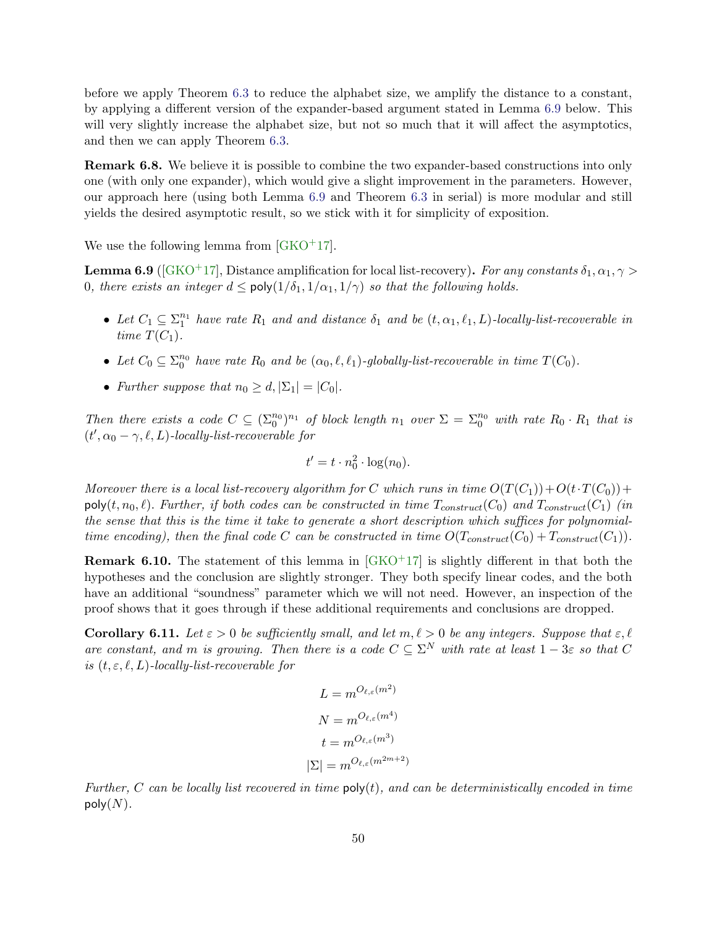before we apply Theorem [6.3](#page-47-0) to reduce the alphabet size, we amplify the distance to a constant, by applying a different version of the expander-based argument stated in Lemma [6.9](#page-50-0) below. This will very slightly increase the alphabet size, but not so much that it will affect the asymptotics, and then we can apply Theorem [6.3.](#page-47-0)

Remark 6.8. We believe it is possible to combine the two expander-based constructions into only one (with only one expander), which would give a slight improvement in the parameters. However, our approach here (using both Lemma [6.9](#page-50-0) and Theorem [6.3](#page-47-0) in serial) is more modular and still yields the desired asymptotic result, so we stick with it for simplicity of exposition.

We use the following lemma from  $[GKO^+17]$ .

<span id="page-50-0"></span>**Lemma 6.9** ([\[GKO](#page-54-3)<sup>+</sup>17], Distance amplification for local list-recovery). For any constants  $\delta_1, \alpha_1, \gamma >$ 0, there exists an integer  $d \le \text{poly}(1/\delta_1, 1/\alpha_1, 1/\gamma)$  so that the following holds.

- Let  $C_1 \subseteq \sum_1^{n_1}$  have rate  $R_1$  and and distance  $\delta_1$  and be  $(t, \alpha_1, \ell_1, L)$ -locally-list-recoverable in time  $T(C_1)$ .
- Let  $C_0 \subseteq \sum_0^{n_0}$  have rate  $R_0$  and be  $(\alpha_0, \ell, \ell_1)$ -globally-list-recoverable in time  $T(C_0)$ .
- Further suppose that  $n_0 \geq d$ ,  $|\Sigma_1| = |C_0|$ .

Then there exists a code  $C \subseteq (\Sigma_0^{n_0})^{n_1}$  of block length  $n_1$  over  $\Sigma = \Sigma_0^{n_0}$  with rate  $R_0 \cdot R_1$  that is  $(t', \alpha_0 - \gamma, \ell, L)$ -locally-list-recoverable for

$$
t' = t \cdot n_0^2 \cdot \log(n_0).
$$

Moreover there is a local list-recovery algorithm for C which runs in time  $O(T(C_1))+O(t\cdot T(C_0))+O(t\cdot T(C_1))$  $\text{poly}(t, n_0, \ell)$ . Further, if both codes can be constructed in time  $T_{construct}(C_0)$  and  $T_{construct}(C_1)$  (in the sense that this is the time it take to generate a short description which suffices for polynomialtime encoding), then the final code C can be constructed in time  $O(T_{construct}(C_0) + T_{construct}(C_1))$ .

**Remark 6.10.** The statement of this lemma in  $GKO+17$  is slightly different in that both the hypotheses and the conclusion are slightly stronger. They both specify linear codes, and the both have an additional "soundness" parameter which we will not need. However, an inspection of the proof shows that it goes through if these additional requirements and conclusions are dropped.

<span id="page-50-1"></span>**Corollary 6.11.** Let  $\varepsilon > 0$  be sufficiently small, and let  $m, \ell > 0$  be any integers. Suppose that  $\varepsilon, \ell$ are constant, and m is growing. Then there is a code  $C \subseteq \Sigma^N$  with rate at least  $1-3\varepsilon$  so that C is  $(t, \varepsilon, \ell, L)$ -locally-list-recoverable for

$$
L = m^{O_{\ell,\varepsilon}(m^2)}
$$

$$
N = m^{O_{\ell,\varepsilon}(m^4)}
$$

$$
t = m^{O_{\ell,\varepsilon}(m^3)}
$$

$$
|\Sigma| = m^{O_{\ell,\varepsilon}(m^{2m+2})}
$$

Further, C can be locally list recovered in time  $\mathsf{poly}(t)$ , and can be deterministically encoded in time poly $(N)$ .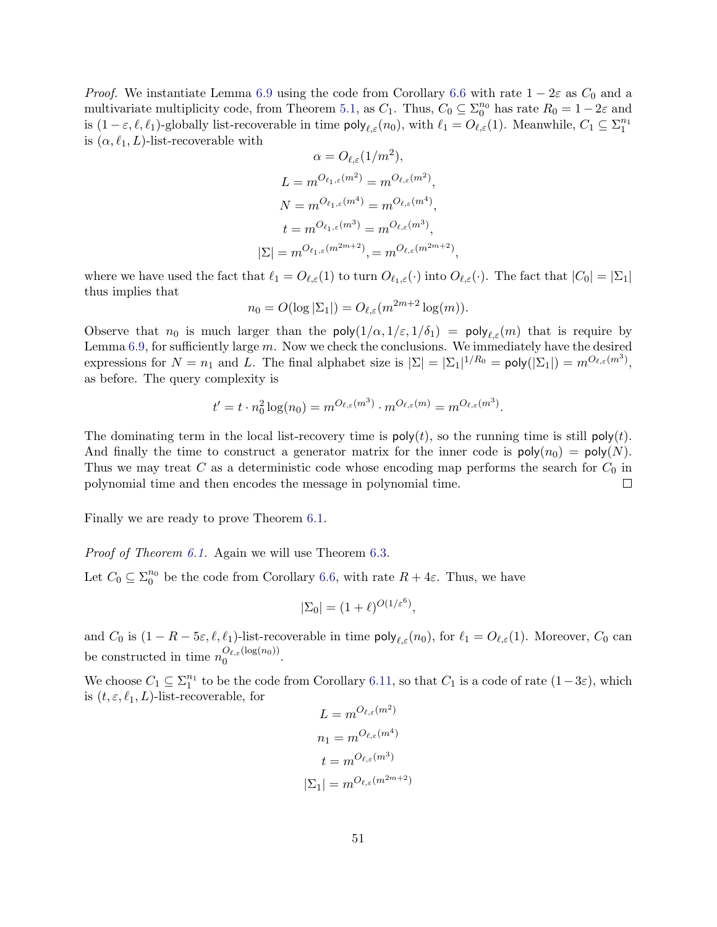*Proof.* We instantiate Lemma [6.9](#page-50-0) using the code from Corollary [6.6](#page-48-0) with rate  $1 - 2\varepsilon$  as  $C_0$  and a multivariate multiplicity code, from Theorem [5.1,](#page-30-0) as  $C_1$ . Thus,  $C_0 \subseteq \Sigma_0^{n_0}$  has rate  $R_0 = 1 - 2\varepsilon$  and is  $(1 - \varepsilon, \ell, \ell_1)$ -globally list-recoverable in time  $\mathsf{poly}_{\ell, \varepsilon}(n_0)$ , with  $\ell_1 = O_{\ell, \varepsilon}(1)$ . Meanwhile,  $C_1 \subseteq \Sigma_1^{n_1}$ is  $(\alpha, \ell_1, L)$ -list-recoverable with

$$
\alpha = O_{\ell,\varepsilon}(1/m^2),
$$
  
\n
$$
L = m^{O_{\ell_1,\varepsilon}(m^2)} = m^{O_{\ell,\varepsilon}(m^2)},
$$
  
\n
$$
N = m^{O_{\ell_1,\varepsilon}(m^4)} = m^{O_{\ell,\varepsilon}(m^4)},
$$
  
\n
$$
t = m^{O_{\ell_1,\varepsilon}(m^3)} = m^{O_{\ell,\varepsilon}(m^3)},
$$
  
\n
$$
|\Sigma| = m^{O_{\ell_1,\varepsilon}(m^{2m+2})}, = m^{O_{\ell,\varepsilon}(m^{2m+2})},
$$

where we have used the fact that  $\ell_1 = O_{\ell,\varepsilon}(1)$  to turn  $O_{\ell,\varepsilon}(\cdot)$  into  $O_{\ell,\varepsilon}(\cdot)$ . The fact that  $|C_0| = |\Sigma_1|$ thus implies that

$$
n_0 = O(\log |\Sigma_1|) = O_{\ell, \varepsilon}(m^{2m+2} \log(m)).
$$

Observe that  $n_0$  is much larger than the poly $(1/\alpha, 1/\varepsilon, 1/\delta_1) = \text{poly}_{\ell,\varepsilon}(m)$  that is require by Lemma [6.9,](#page-50-0) for sufficiently large m. Now we check the conclusions. We immediately have the desired expressions for  $N = n_1$  and L. The final alphabet size is  $|\Sigma| = |\Sigma_1|^{1/R_0} = \text{poly}(|\Sigma_1|) = m^{O_{\ell,\varepsilon}(m^3)}$ , as before. The query complexity is

$$
t' = t \cdot n_0^2 \log(n_0) = m^{O_{\ell,\varepsilon}(m^3)} \cdot m^{O_{\ell,\varepsilon}(m)} = m^{O_{\ell,\varepsilon}(m^3)}.
$$

The dominating term in the local list-recovery time is  $\mathsf{poly}(t)$ , so the running time is still  $\mathsf{poly}(t)$ . And finally the time to construct a generator matrix for the inner code is  $poly(n_0) = poly(N)$ . Thus we may treat C as a deterministic code whose encoding map performs the search for  $C_0$  in polynomial time and then encodes the message in polynomial time. П

Finally we are ready to prove Theorem [6.1.](#page-46-1)

Proof of Theorem [6.1.](#page-46-1) Again we will use Theorem [6.3.](#page-47-0)

Let  $C_0 \subseteq \Sigma_0^{n_0}$  be the code from Corollary [6.6,](#page-48-0) with rate  $R + 4\varepsilon$ . Thus, we have

$$
|\Sigma_0| = (1+\ell)^{O(1/\varepsilon^6)},
$$

and  $C_0$  is  $(1 - R - 5\varepsilon, \ell, \ell_1)$ -list-recoverable in time  $\text{poly}_{\ell, \varepsilon}(n_0)$ , for  $\ell_1 = O_{\ell, \varepsilon}(1)$ . Moreover,  $C_0$  can be constructed in time  $n_0^{O_{\ell,\varepsilon}(\log(n_0))}$  $O_{\ell, \varepsilon}(\log(n_0))$ .

We choose  $C_1 \subseteq \Sigma_1^{n_1}$  to be the code from Corollary [6.11,](#page-50-1) so that  $C_1$  is a code of rate  $(1-3\varepsilon)$ , which is  $(t, \varepsilon, \ell_1, L)$ -list-recoverable, for

$$
L = m^{O_{\ell,\varepsilon}(m^2)}
$$

$$
n_1 = m^{O_{\ell,\varepsilon}(m^4)}
$$

$$
t = m^{O_{\ell,\varepsilon}(m^3)}
$$

$$
|\Sigma_1| = m^{O_{\ell,\varepsilon}(m^{2m+2})}
$$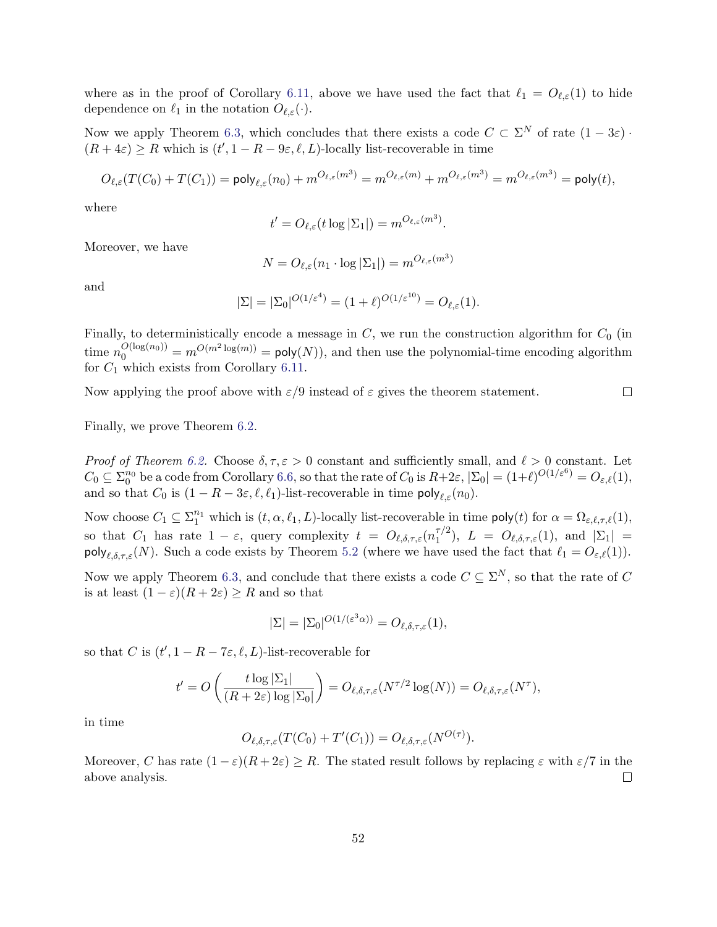where as in the proof of Corollary [6.11,](#page-50-1) above we have used the fact that  $\ell_1 = O_{\ell,\varepsilon}(1)$  to hide dependence on  $\ell_1$  in the notation  $O_{\ell,\varepsilon}(\cdot)$ .

Now we apply Theorem [6.3,](#page-47-0) which concludes that there exists a code  $C \subset \Sigma^N$  of rate  $(1 - 3\varepsilon)$ .  $(R+4\varepsilon) \geq R$  which is  $(t', 1 - R - 9\varepsilon, \ell, L)$ -locally list-recoverable in time

$$
O_{\ell,\varepsilon}(T(C_0)+T(C_1)) = \text{poly}_{\ell,\varepsilon}(n_0)+m^{O_{\ell,\varepsilon}(m^3)} = m^{O_{\ell,\varepsilon}(m)}+m^{O_{\ell,\varepsilon}(m^3)} = m^{O_{\ell,\varepsilon}(m^3)} = \text{poly}(t),
$$

where

$$
t' = O_{\ell,\varepsilon}(t \log |\Sigma_1|) = m^{O_{\ell,\varepsilon}(m^3)}.
$$

Moreover, we have

$$
N = O_{\ell, \varepsilon}(n_1 \cdot \log |\Sigma_1|) = m^{O_{\ell, \varepsilon}(m^3)}
$$

and

$$
|\Sigma| = |\Sigma_0|^{O(1/\varepsilon^4)} = (1+\ell)^{O(1/\varepsilon^{10})} = O_{\ell,\varepsilon}(1).
$$

Finally, to deterministically encode a message in  $C$ , we run the construction algorithm for  $C_0$  (in time  $n_0^{O(\log(n_0))} = m^{O(m^2 \log(m))} = \text{poly}(N)$ , and then use the polynomial-time encoding algorithm for  $C_1$  which exists from Corollary [6.11.](#page-50-1)

Now applying the proof above with  $\varepsilon/9$  instead of  $\varepsilon$  gives the theorem statement.  $\Box$ 

Finally, we prove Theorem [6.2.](#page-46-0)

*Proof of Theorem [6.2.](#page-46-0)* Choose  $\delta, \tau, \varepsilon > 0$  constant and sufficiently small, and  $\ell > 0$  constant. Let  $C_0 \subseteq \Sigma_0^{n_0}$  be a code from Corollary [6.6,](#page-48-0) so that the rate of  $C_0$  is  $R+2\varepsilon, |\Sigma_0| = (1+\ell)^{O(1/\varepsilon^6)} = O_{\varepsilon,\ell}(1)$ , and so that  $C_0$  is  $(1 - R - 3\varepsilon, \ell, \ell_1)$ -list-recoverable in time  $\text{poly}_{\ell, \varepsilon}(n_0)$ .

Now choose  $C_1 \subseteq \sum_1^{n_1}$  which is  $(t, \alpha, \ell_1, L)$ -locally list-recoverable in time  $\mathsf{poly}(t)$  for  $\alpha = \Omega_{\varepsilon, \ell, \tau, \ell}(1)$ , so that  $C_1$  has rate  $1 - \varepsilon$ , query complexity  $t = O_{\ell, \delta, \tau, \varepsilon}(n_1^{\tau/2})$  $\binom{\tau/2}{1}, L = O_{\ell, \delta, \tau, \varepsilon}(1), \text{ and } |\Sigma_1| =$  $\text{poly}_{\ell,\delta,\tau,\varepsilon}(N)$ . Such a code exists by Theorem [5.2](#page-31-0) (where we have used the fact that  $\ell_1 = O_{\varepsilon,\ell}(1)$ ).

Now we apply Theorem [6.3,](#page-47-0) and conclude that there exists a code  $C \subseteq \Sigma^N$ , so that the rate of C is at least  $(1 - \varepsilon)(R + 2\varepsilon) \geq R$  and so that

$$
|\Sigma| = |\Sigma_0|^{O(1/(\varepsilon^3 \alpha))} = O_{\ell, \delta, \tau, \varepsilon}(1),
$$

so that C is  $(t', 1 - R - 7\varepsilon, \ell, L)$ -list-recoverable for

$$
t' = O\left(\frac{t \log |\Sigma_1|}{(R + 2\varepsilon) \log |\Sigma_0|}\right) = O_{\ell, \delta, \tau, \varepsilon}(N^{\tau/2} \log(N)) = O_{\ell, \delta, \tau, \varepsilon}(N^{\tau}),
$$

in time

$$
O_{\ell,\delta,\tau,\varepsilon}(T(C_0)+T'(C_1))=O_{\ell,\delta,\tau,\varepsilon}(N^{O(\tau)}).
$$

Moreover, C has rate  $(1 - \varepsilon)(R + 2\varepsilon) \ge R$ . The stated result follows by replacing  $\varepsilon$  with  $\varepsilon/7$  in the above analysis.  $\Box$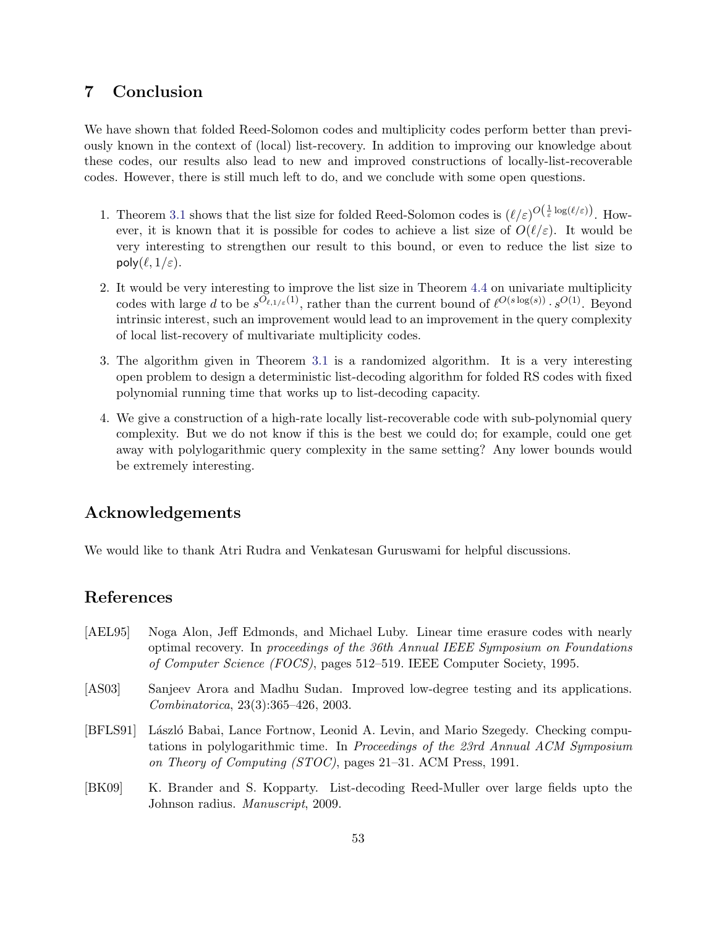# 7 Conclusion

We have shown that folded Reed-Solomon codes and multiplicity codes perform better than previously known in the context of (local) list-recovery. In addition to improving our knowledge about these codes, our results also lead to new and improved constructions of locally-list-recoverable codes. However, there is still much left to do, and we conclude with some open questions.

- 1. Theorem [3.1](#page-16-0) shows that the list size for folded Reed-Solomon codes is  $(\ell/\varepsilon)^{O(\frac{1}{\varepsilon}\log(\ell/\varepsilon))}$ . However, it is known that it is possible for codes to achieve a list size of  $O(\ell/\varepsilon)$ . It would be very interesting to strengthen our result to this bound, or even to reduce the list size to poly $(\ell, 1/\varepsilon)$ .
- 2. It would be very interesting to improve the list size in Theorem [4.4](#page-22-0) on univariate multiplicity codes with large d to be  $s^{O_{\ell,1/\varepsilon}(1)}$ , rather than the current bound of  $\ell^{O(s \log(s))} \cdot s^{O(1)}$ . Beyond intrinsic interest, such an improvement would lead to an improvement in the query complexity of local list-recovery of multivariate multiplicity codes.
- 3. The algorithm given in Theorem [3.1](#page-16-0) is a randomized algorithm. It is a very interesting open problem to design a deterministic list-decoding algorithm for folded RS codes with fixed polynomial running time that works up to list-decoding capacity.
- 4. We give a construction of a high-rate locally list-recoverable code with sub-polynomial query complexity. But we do not know if this is the best we could do; for example, could one get away with polylogarithmic query complexity in the same setting? Any lower bounds would be extremely interesting.

# Acknowledgements

We would like to thank Atri Rudra and Venkatesan Guruswami for helpful discussions.

# References

- <span id="page-53-2"></span>[AEL95] Noga Alon, Jeff Edmonds, and Michael Luby. Linear time erasure codes with nearly optimal recovery. In proceedings of the 36th Annual IEEE Symposium on Foundations of Computer Science (FOCS), pages 512–519. IEEE Computer Society, 1995.
- <span id="page-53-1"></span>[AS03] Sanjeev Arora and Madhu Sudan. Improved low-degree testing and its applications. Combinatorica, 23(3):365–426, 2003.
- <span id="page-53-0"></span>[BFLS91] László Babai, Lance Fortnow, Leonid A. Levin, and Mario Szegedy. Checking computations in polylogarithmic time. In Proceedings of the 23rd Annual ACM Symposium on Theory of Computing (STOC), pages 21–31. ACM Press, 1991.
- <span id="page-53-3"></span>[BK09] K. Brander and S. Kopparty. List-decoding Reed-Muller over large fields upto the Johnson radius. Manuscript, 2009.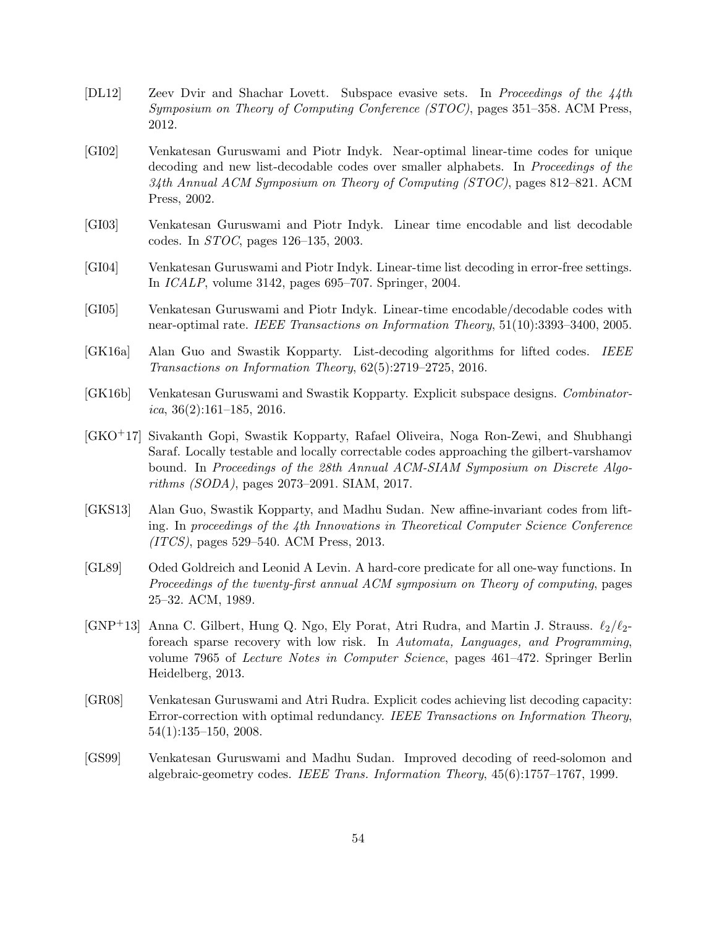- <span id="page-54-2"></span>[DL12] Zeev Dvir and Shachar Lovett. Subspace evasive sets. In Proceedings of the 44th Symposium on Theory of Computing Conference (STOC), pages 351–358. ACM Press, 2012.
- <span id="page-54-4"></span>[GI02] Venkatesan Guruswami and Piotr Indyk. Near-optimal linear-time codes for unique decoding and new list-decodable codes over smaller alphabets. In *Proceedings of the* 34th Annual ACM Symposium on Theory of Computing (STOC), pages 812–821. ACM Press, 2002.
- <span id="page-54-5"></span>[GI03] Venkatesan Guruswami and Piotr Indyk. Linear time encodable and list decodable codes. In STOC, pages 126–135, 2003.
- <span id="page-54-6"></span>[GI04] Venkatesan Guruswami and Piotr Indyk. Linear-time list decoding in error-free settings. In ICALP, volume 3142, pages 695–707. Springer, 2004.
- <span id="page-54-7"></span>[GI05] Venkatesan Guruswami and Piotr Indyk. Linear-time encodable/decodable codes with near-optimal rate. IEEE Transactions on Information Theory, 51(10):3393–3400, 2005.
- <span id="page-54-11"></span>[GK16a] Alan Guo and Swastik Kopparty. List-decoding algorithms for lifted codes. IEEE Transactions on Information Theory, 62(5):2719–2725, 2016.
- <span id="page-54-9"></span>[GK16b] Venkatesan Guruswami and Swastik Kopparty. Explicit subspace designs. Combinatorica,  $36(2):161-185$ , 2016.
- <span id="page-54-3"></span>[GKO+17] Sivakanth Gopi, Swastik Kopparty, Rafael Oliveira, Noga Ron-Zewi, and Shubhangi Saraf. Locally testable and locally correctable codes approaching the gilbert-varshamov bound. In Proceedings of the 28th Annual ACM-SIAM Symposium on Discrete Algorithms (SODA), pages 2073–2091. SIAM, 2017.
- [GKS13] Alan Guo, Swastik Kopparty, and Madhu Sudan. New affine-invariant codes from lifting. In proceedings of the 4th Innovations in Theoretical Computer Science Conference (ITCS), pages 529–540. ACM Press, 2013.
- <span id="page-54-10"></span>[GL89] Oded Goldreich and Leonid A Levin. A hard-core predicate for all one-way functions. In Proceedings of the twenty-first annual ACM symposium on Theory of computing, pages 25–32. ACM, 1989.
- <span id="page-54-8"></span>[GNP<sup>+</sup>13] Anna C. Gilbert, Hung Q. Ngo, Ely Porat, Atri Rudra, and Martin J. Strauss.  $\ell_2/\ell_2$ foreach sparse recovery with low risk. In Automata, Languages, and Programming, volume 7965 of Lecture Notes in Computer Science, pages 461–472. Springer Berlin Heidelberg, 2013.
- <span id="page-54-1"></span>[GR08] Venkatesan Guruswami and Atri Rudra. Explicit codes achieving list decoding capacity: Error-correction with optimal redundancy. IEEE Transactions on Information Theory, 54(1):135–150, 2008.
- <span id="page-54-0"></span>[GS99] Venkatesan Guruswami and Madhu Sudan. Improved decoding of reed-solomon and algebraic-geometry codes. IEEE Trans. Information Theory, 45(6):1757–1767, 1999.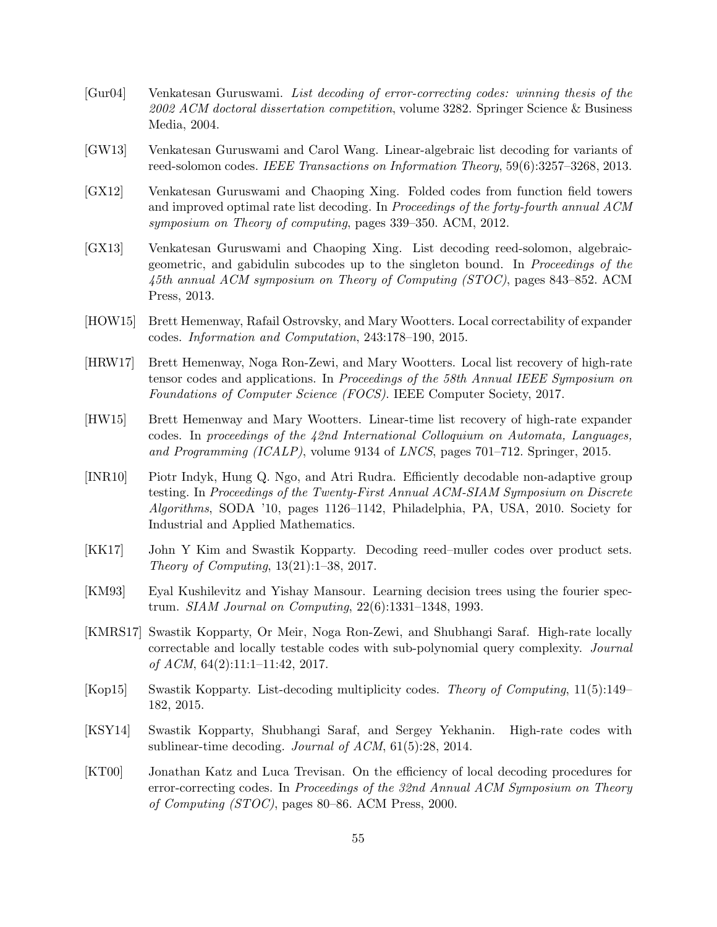- <span id="page-55-12"></span>[Gur04] Venkatesan Guruswami. List decoding of error-correcting codes: winning thesis of the 2002 ACM doctoral dissertation competition, volume 3282. Springer Science & Business Media, 2004.
- <span id="page-55-2"></span>[GW13] Venkatesan Guruswami and Carol Wang. Linear-algebraic list decoding for variants of reed-solomon codes. IEEE Transactions on Information Theory, 59(6):3257–3268, 2013.
- <span id="page-55-6"></span>[GX12] Venkatesan Guruswami and Chaoping Xing. Folded codes from function field towers and improved optimal rate list decoding. In Proceedings of the forty-fourth annual ACM symposium on Theory of computing, pages 339–350. ACM, 2012.
- <span id="page-55-7"></span>[GX13] Venkatesan Guruswami and Chaoping Xing. List decoding reed-solomon, algebraicgeometric, and gabidulin subcodes up to the singleton bound. In Proceedings of the 45th annual ACM symposium on Theory of Computing (STOC), pages 843–852. ACM Press, 2013.
- [HOW15] Brett Hemenway, Rafail Ostrovsky, and Mary Wootters. Local correctability of expander codes. Information and Computation, 243:178–190, 2015.
- <span id="page-55-4"></span>[HRW17] Brett Hemenway, Noga Ron-Zewi, and Mary Wootters. Local list recovery of high-rate tensor codes and applications. In Proceedings of the 58th Annual IEEE Symposium on Foundations of Computer Science (FOCS). IEEE Computer Society, 2017.
- <span id="page-55-8"></span>[HW15] Brett Hemenway and Mary Wootters. Linear-time list recovery of high-rate expander codes. In proceedings of the 42nd International Colloquium on Automata, Languages, and Programming (ICALP), volume 9134 of LNCS, pages 701–712. Springer, 2015.
- <span id="page-55-5"></span>[INR10] Piotr Indyk, Hung Q. Ngo, and Atri Rudra. Efficiently decodable non-adaptive group testing. In Proceedings of the Twenty-First Annual ACM-SIAM Symposium on Discrete Algorithms, SODA '10, pages 1126–1142, Philadelphia, PA, USA, 2010. Society for Industrial and Applied Mathematics.
- <span id="page-55-11"></span>[KK17] John Y Kim and Swastik Kopparty. Decoding reed–muller codes over product sets. Theory of Computing, 13(21):1–38, 2017.
- <span id="page-55-9"></span>[KM93] Eyal Kushilevitz and Yishay Mansour. Learning decision trees using the fourier spectrum. SIAM Journal on Computing, 22(6):1331–1348, 1993.
- <span id="page-55-3"></span>[KMRS17] Swastik Kopparty, Or Meir, Noga Ron-Zewi, and Shubhangi Saraf. High-rate locally correctable and locally testable codes with sub-polynomial query complexity. Journal of ACM,  $64(2):11:1-11:42$ , 2017.
- <span id="page-55-1"></span>[Kop15] Swastik Kopparty. List-decoding multiplicity codes. Theory of Computing, 11(5):149– 182, 2015.
- <span id="page-55-0"></span>[KSY14] Swastik Kopparty, Shubhangi Saraf, and Sergey Yekhanin. High-rate codes with sublinear-time decoding. Journal of ACM, 61(5):28, 2014.
- <span id="page-55-10"></span>[KT00] Jonathan Katz and Luca Trevisan. On the efficiency of local decoding procedures for error-correcting codes. In Proceedings of the 32nd Annual ACM Symposium on Theory of Computing (STOC), pages 80–86. ACM Press, 2000.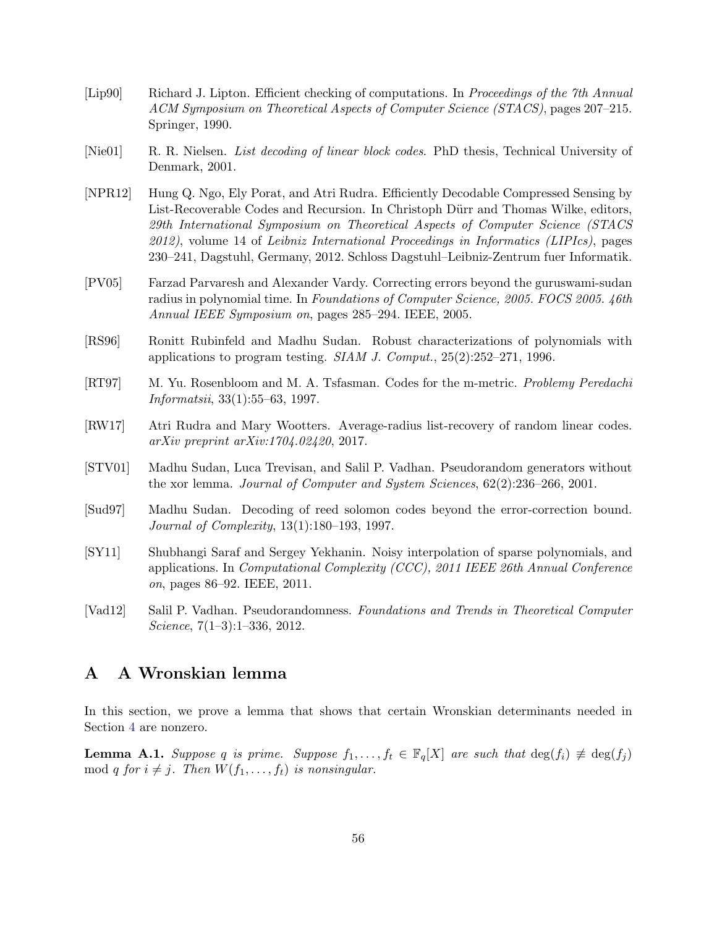- <span id="page-56-2"></span>[Lip90] Richard J. Lipton. Efficient checking of computations. In Proceedings of the 7th Annual ACM Symposium on Theoretical Aspects of Computer Science (STACS), pages 207–215. Springer, 1990.
- <span id="page-56-5"></span>[Nie01] R. R. Nielsen. List decoding of linear block codes. PhD thesis, Technical University of Denmark, 2001.
- <span id="page-56-7"></span>[NPR12] Hung Q. Ngo, Ely Porat, and Atri Rudra. Efficiently Decodable Compressed Sensing by List-Recoverable Codes and Recursion. In Christoph Dürr and Thomas Wilke, editors, 29th International Symposium on Theoretical Aspects of Computer Science (STACS 2012), volume 14 of Leibniz International Proceedings in Informatics (LIPIcs), pages 230–241, Dagstuhl, Germany, 2012. Schloss Dagstuhl–Leibniz-Zentrum fuer Informatik.
- <span id="page-56-8"></span>[PV05] Farzad Parvaresh and Alexander Vardy. Correcting errors beyond the guruswami-sudan radius in polynomial time. In Foundations of Computer Science, 2005. FOCS 2005. 46th Annual IEEE Symposium on, pages 285–294. IEEE, 2005.
- <span id="page-56-1"></span>[RS96] Ronitt Rubinfeld and Madhu Sudan. Robust characterizations of polynomials with applications to program testing. SIAM J. Comput., 25(2):252–271, 1996.
- <span id="page-56-4"></span>[RT97] M. Yu. Rosenbloom and M. A. Tsfasman. Codes for the m-metric. Problemy Peredachi Informatsii, 33(1):55–63, 1997.
- <span id="page-56-9"></span>[RW17] Atri Rudra and Mary Wootters. Average-radius list-recovery of random linear codes. arXiv preprint arXiv:1704.02420, 2017.
- <span id="page-56-3"></span>[STV01] Madhu Sudan, Luca Trevisan, and Salil P. Vadhan. Pseudorandom generators without the xor lemma. Journal of Computer and System Sciences, 62(2):236–266, 2001.
- <span id="page-56-0"></span>[Sud97] Madhu Sudan. Decoding of reed solomon codes beyond the error-correction bound. Journal of Complexity, 13(1):180–193, 1997.
- <span id="page-56-10"></span>[SY11] Shubhangi Saraf and Sergey Yekhanin. Noisy interpolation of sparse polynomials, and applications. In Computational Complexity (CCC), 2011 IEEE 26th Annual Conference on, pages 86–92. IEEE, 2011.
- <span id="page-56-6"></span>[Vad12] Salil P. Vadhan. Pseudorandomness. Foundations and Trends in Theoretical Computer Science, 7(1–3):1–336, 2012.

# A A Wronskian lemma

In this section, we prove a lemma that shows that certain Wronskian determinants needed in Section [4](#page-20-0) are nonzero.

<span id="page-56-11"></span>**Lemma A.1.** Suppose q is prime. Suppose  $f_1, \ldots, f_t \in \mathbb{F}_q[X]$  are such that  $\deg(f_i) \neq \deg(f_j)$ mod q for  $i \neq j$ . Then  $W(f_1, \ldots, f_t)$  is nonsingular.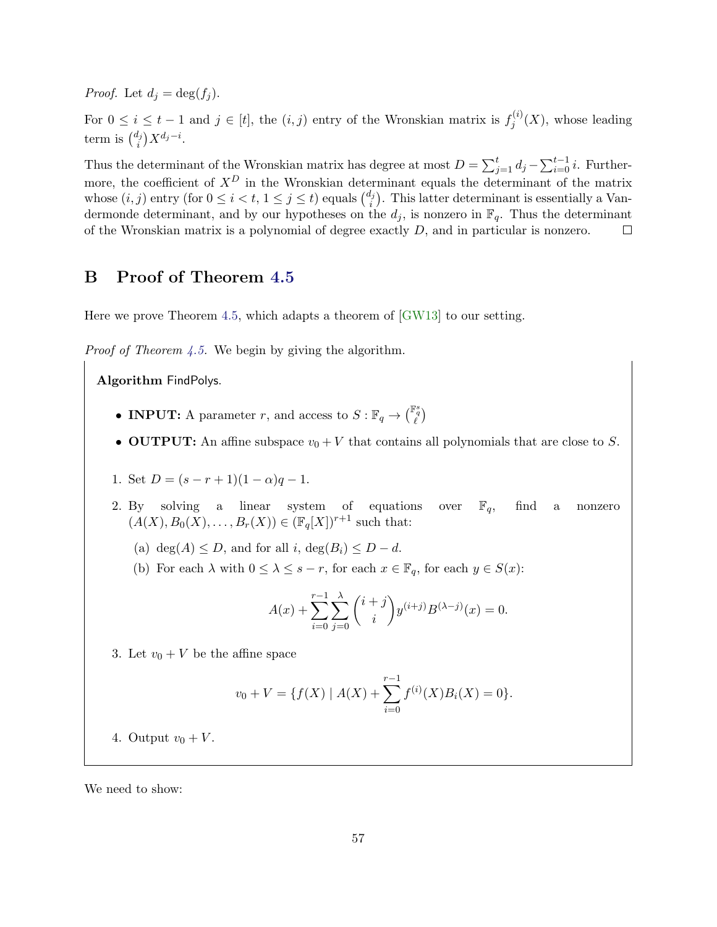*Proof.* Let  $d_i = \deg(f_i)$ .

For  $0 \leq i \leq t-1$  and  $j \in [t]$ , the  $(i, j)$  entry of the Wronskian matrix is  $f_i^{(i)}$  $j^{(i)}(X)$ , whose leading term is  $\binom{d_j}{i}$  $i_j^l)X^{d_j-i}.$ 

Thus the determinant of the Wronskian matrix has degree at most  $D = \sum_{j=1}^{t} d_j - \sum_{i=0}^{t-1} i$ . Furthermore, the coefficient of  $X^D$  in the Wronskian determinant equals the determinant of the matrix whose  $(i, j)$  entry (for  $0 \leq i < t, 1 \leq j \leq t$ ) equals  $\binom{d_j}{i}$  $\binom{t_j}{i}$ . This latter determinant is essentially a Vandermonde determinant, and by our hypotheses on the  $d_i$ , is nonzero in  $\mathbb{F}_q$ . Thus the determinant of the Wronskian matrix is a polynomial of degree exactly D, and in particular is nonzero.  $\Box$ 

# B Proof of Theorem [4.5](#page-23-0)

Here we prove Theorem [4.5,](#page-23-0) which adapts a theorem of [\[GW13\]](#page-55-2) to our setting.

Proof of Theorem [4.5.](#page-23-0) We begin by giving the algorithm.

Algorithm FindPolys.

- **INPUT:** A parameter r, and access to  $S : \mathbb{F}_q \to \binom{\mathbb{F}_q^s}{\ell}$
- OUTPUT: An affine subspace  $v_0 + V$  that contains all polynomials that are close to S.
- 1. Set  $D = (s r + 1)(1 \alpha)q 1$ .
- 2. By solving a linear system of equations over  $\mathbb{F}_q$ , find a nonzero  $(A(X), B_0(X), \ldots, B_r(X)) \in (\mathbb{F}_q[X])^{r+1}$  such that:
	- (a) deg(A)  $\leq D$ , and for all i, deg(B<sub>i</sub>)  $\leq D d$ .
	- (b) For each  $\lambda$  with  $0 \leq \lambda \leq s-r$ , for each  $x \in \mathbb{F}_q$ , for each  $y \in S(x)$ :

$$
A(x) + \sum_{i=0}^{r-1} \sum_{j=0}^{\lambda} {i+j \choose i} y^{(i+j)} B^{(\lambda-j)}(x) = 0.
$$

3. Let  $v_0 + V$  be the affine space

$$
v_0 + V = \{ f(X) | A(X) + \sum_{i=0}^{r-1} f^{(i)}(X)B_i(X) = 0 \}.
$$

4. Output  $v_0 + V$ .

We need to show: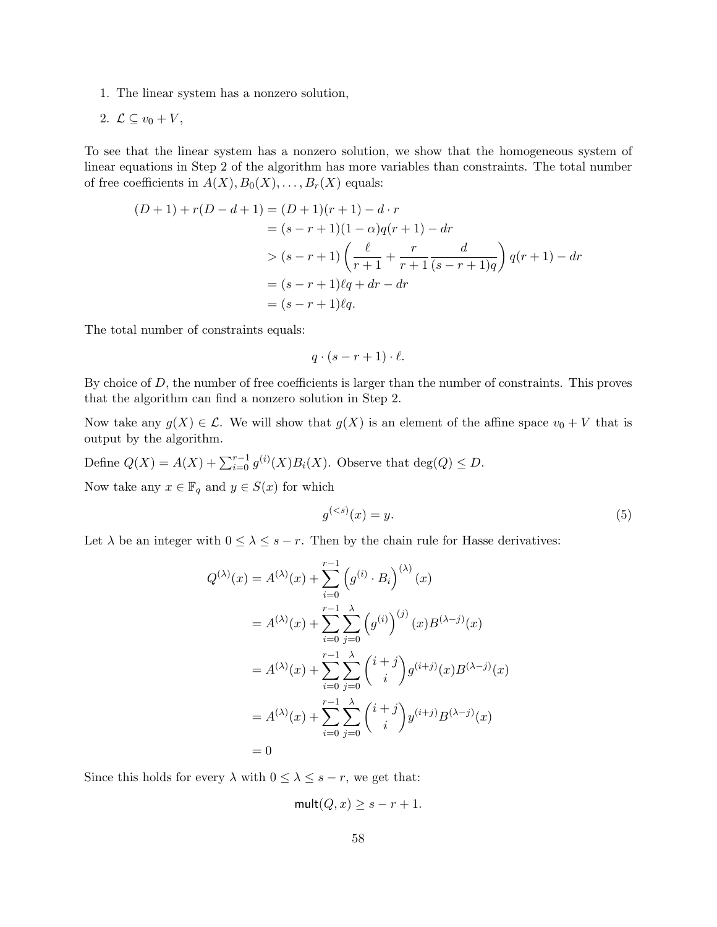- 1. The linear system has a nonzero solution,
- 2.  $\mathcal{L} \subseteq v_0 + V$ ,

To see that the linear system has a nonzero solution, we show that the homogeneous system of linear equations in Step 2 of the algorithm has more variables than constraints. The total number of free coefficients in  $A(X), B_0(X), \ldots, B_r(X)$  equals:

$$
(D+1) + r(D-d+1) = (D+1)(r+1) - d \cdot r
$$
  
=  $(s-r+1)(1-\alpha)q(r+1) - dr$   

$$
> (s-r+1)\left(\frac{\ell}{r+1} + \frac{r}{r+1}\frac{d}{(s-r+1)q}\right)q(r+1) - dr
$$
  
=  $(s-r+1)\ell q + dr - dr$   
=  $(s-r+1)\ell q$ .

The total number of constraints equals:

$$
q \cdot (s - r + 1) \cdot \ell.
$$

By choice of  $D$ , the number of free coefficients is larger than the number of constraints. This proves that the algorithm can find a nonzero solution in Step 2.

Now take any  $g(X) \in \mathcal{L}$ . We will show that  $g(X)$  is an element of the affine space  $v_0 + V$  that is output by the algorithm.

Define  $Q(X) = A(X) + \sum_{i=0}^{r-1} g^{(i)}(X)B_i(X)$ . Observe that  $\deg(Q) \leq D$ . Now take any  $x \in \mathbb{F}_q$  and  $y \in S(x)$  for which

<span id="page-58-0"></span>
$$
g^{(
$$

Let  $\lambda$  be an integer with  $0 \leq \lambda \leq s-r$ . Then by the chain rule for Hasse derivatives:

$$
Q^{(\lambda)}(x) = A^{(\lambda)}(x) + \sum_{i=0}^{r-1} (g^{(i)} \cdot B_i)^{(\lambda)}(x)
$$
  
=  $A^{(\lambda)}(x) + \sum_{i=0}^{r-1} \sum_{j=0}^{\lambda} (g^{(i)})^{(j)}(x)B^{(\lambda-j)}(x)$   
=  $A^{(\lambda)}(x) + \sum_{i=0}^{r-1} \sum_{j=0}^{\lambda} {i+j \choose i} g^{(i+j)}(x)B^{(\lambda-j)}(x)$   
=  $A^{(\lambda)}(x) + \sum_{i=0}^{r-1} \sum_{j=0}^{\lambda} {i+j \choose i} y^{(i+j)}B^{(\lambda-j)}(x)$   
= 0

Since this holds for every  $\lambda$  with  $0 \leq \lambda \leq s-r$ , we get that:

$$
\mathsf{mult}(Q, x) \ge s - r + 1.
$$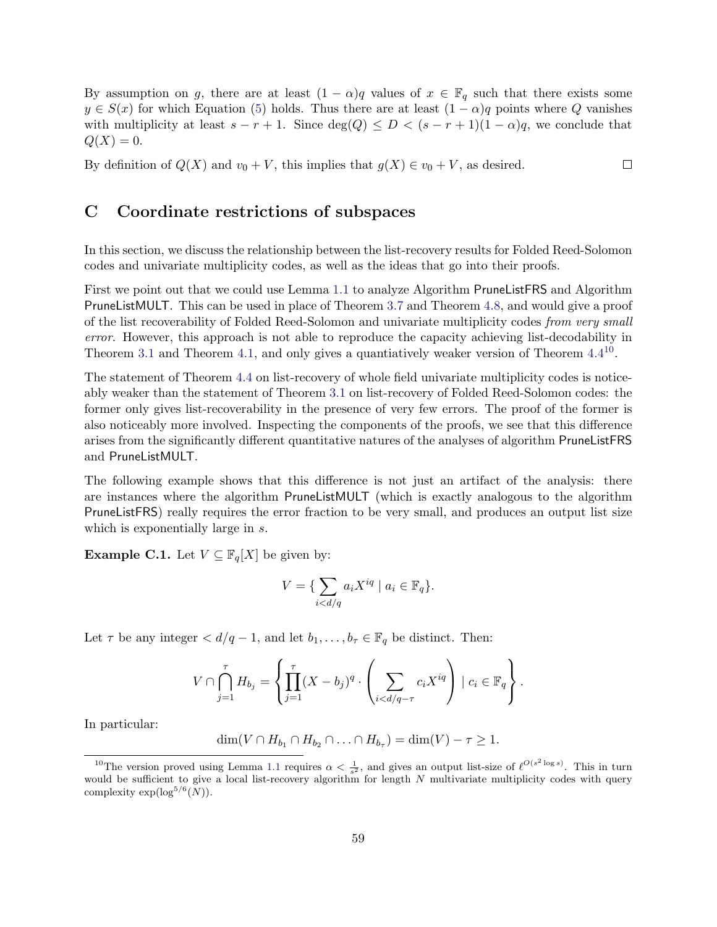By assumption on g, there are at least  $(1 - \alpha)q$  values of  $x \in \mathbb{F}_q$  such that there exists some  $y \in S(x)$  for which Equation [\(5\)](#page-58-0) holds. Thus there are at least  $(1 - \alpha)q$  points where Q vanishes with multiplicity at least  $s - r + 1$ . Since  $deg(Q) \le D < (s - r + 1)(1 - \alpha)q$ , we conclude that  $Q(X) = 0.$ 

By definition of  $Q(X)$  and  $v_0 + V$ , this implies that  $g(X) \in v_0 + V$ , as desired.  $\Box$ 

## C Coordinate restrictions of subspaces

In this section, we discuss the relationship between the list-recovery results for Folded Reed-Solomon codes and univariate multiplicity codes, as well as the ideas that go into their proofs.

First we point out that we could use Lemma [1.1](#page-8-0) to analyze Algorithm PruneListFRS and Algorithm PruneListMULT. This can be used in place of Theorem [3.7](#page-19-1) and Theorem [4.8,](#page-24-0) and would give a proof of the list recoverability of Folded Reed-Solomon and univariate multiplicity codes *from very small* error. However, this approach is not able to reproduce the capacity achieving list-decodability in Theorem [3.1](#page-16-0) and Theorem [4.1,](#page-21-0) and only gives a quantiatively weaker version of Theorem [4.4](#page-22-0)<sup>[10](#page-59-0)</sup>.

The statement of Theorem [4.4](#page-22-0) on list-recovery of whole field univariate multiplicity codes is noticeably weaker than the statement of Theorem [3.1](#page-16-0) on list-recovery of Folded Reed-Solomon codes: the former only gives list-recoverability in the presence of very few errors. The proof of the former is also noticeably more involved. Inspecting the components of the proofs, we see that this difference arises from the significantly different quantitative natures of the analyses of algorithm PruneListFRS and PruneListMULT.

The following example shows that this difference is not just an artifact of the analysis: there are instances where the algorithm PruneListMULT (which is exactly analogous to the algorithm PruneListFRS) really requires the error fraction to be very small, and produces an output list size which is exponentially large in s.

**Example C.1.** Let  $V \subseteq \mathbb{F}_q[X]$  be given by:

$$
V = \{ \sum_{i < d/q} a_i X^{iq} \mid a_i \in \mathbb{F}_q \}.
$$

Let  $\tau$  be any integer  $d/q-1$ , and let  $b_1,\ldots,b_{\tau} \in \mathbb{F}_q$  be distinct. Then:

$$
V \cap \bigcap_{j=1}^{\tau} H_{b_j} = \left\{ \prod_{j=1}^{\tau} (X - b_j)^q \cdot \left( \sum_{i < d/q - \tau} c_i X^{iq} \right) \mid c_i \in \mathbb{F}_q \right\}.
$$

In particular:

$$
\dim(V \cap H_{b_1} \cap H_{b_2} \cap \ldots \cap H_{b_\tau}) = \dim(V) - \tau \ge 1.
$$

<span id="page-59-0"></span><sup>&</sup>lt;sup>10</sup>The version proved using Lemma [1.1](#page-8-0) requires  $\alpha < \frac{1}{s^2}$ , and gives an output list-size of  $\ell^{O(s^2 \log s)}$ . This in turn would be sufficient to give a local list-recovery algorithm for length  $N$  multivariate multiplicity codes with query complexity  $\exp(\log^{5/6}(N)).$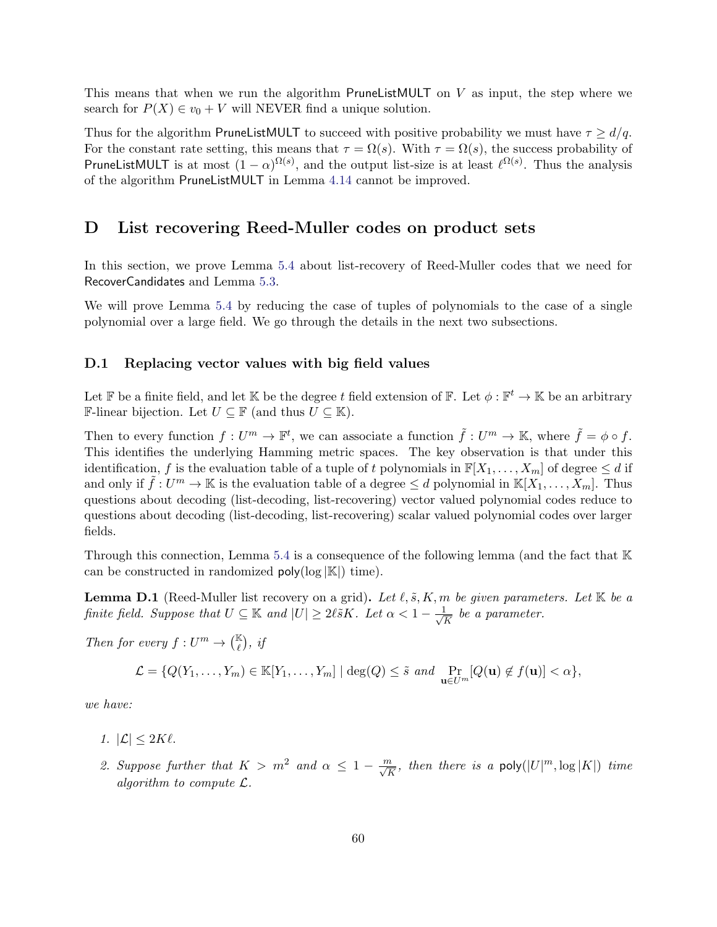This means that when we run the algorithm PruneListMULT on  $V$  as input, the step where we search for  $P(X) \in v_0 + V$  will NEVER find a unique solution.

Thus for the algorithm PruneListMULT to succeed with positive probability we must have  $\tau \geq d/q$ . For the constant rate setting, this means that  $\tau = \Omega(s)$ . With  $\tau = \Omega(s)$ , the success probability of PruneListMULT is at most  $(1-\alpha)^{\Omega(s)}$ , and the output list-size is at least  $\ell^{\Omega(s)}$ . Thus the analysis of the algorithm PruneListMULT in Lemma [4.14](#page-27-1) cannot be improved.

### <span id="page-60-0"></span>D List recovering Reed-Muller codes on product sets

In this section, we prove Lemma [5.4](#page-33-0) about list-recovery of Reed-Muller codes that we need for RecoverCandidates and Lemma [5.3.](#page-32-1)

We will prove Lemma [5.4](#page-33-0) by reducing the case of tuples of polynomials to the case of a single polynomial over a large field. We go through the details in the next two subsections.

#### <span id="page-60-2"></span>D.1 Replacing vector values with big field values

Let F be a finite field, and let K be the degree t field extension of F. Let  $\phi : \mathbb{F}^t \to \mathbb{K}$  be an arbitrary **F**-linear bijection. Let  $U \subseteq \mathbb{F}$  (and thus  $U \subseteq \mathbb{K}$ ).

Then to every function  $f: U^m \to \mathbb{F}^t$ , we can associate a function  $\tilde{f}: U^m \to \mathbb{K}$ , where  $\tilde{f} = \phi \circ f$ . This identifies the underlying Hamming metric spaces. The key observation is that under this identification, f is the evaluation table of a tuple of t polynomials in  $\mathbb{F}[X_1, \ldots, X_m]$  of degree  $\leq d$  if and only if  $\tilde{f}: U^m \to \mathbb{K}$  is the evaluation table of a degree  $\leq d$  polynomial in  $\mathbb{K}[X_1,\ldots,X_m]$ . Thus questions about decoding (list-decoding, list-recovering) vector valued polynomial codes reduce to questions about decoding (list-decoding, list-recovering) scalar valued polynomial codes over larger fields.

Through this connection, Lemma [5.4](#page-33-0) is a consequence of the following lemma (and the fact that K can be constructed in randomized  $\text{poly}(\log |\mathbb{K}|)$  time).

<span id="page-60-1"></span>**Lemma D.1** (Reed-Muller list recovery on a grid). Let  $\ell, \tilde{s}, K, m$  be given parameters. Let  $\mathbb{K}$  be a finite field. Suppose that  $U \subseteq \mathbb{K}$  and  $|U| \geq 2\ell \tilde{s}K$ . Let  $\alpha < 1 - \frac{1}{\sqrt{2}}$  $\frac{1}{\overline{K}}$  be a parameter.

Then for every  $f: U^m \to \binom{\mathbb{K}}{\ell}$ , if

$$
\mathcal{L} = \{Q(Y_1, \ldots, Y_m) \in \mathbb{K}[Y_1, \ldots, Y_m] \mid \deg(Q) \leq \tilde{s} \text{ and } \Pr_{\mathbf{u} \in U^m}[Q(\mathbf{u}) \notin f(\mathbf{u})] < \alpha\},
$$

we have:

1.  $|\mathcal{L}| \leq 2K\ell$ .

2. Suppose further that  $K > m^2$  and  $\alpha \leq 1 - \frac{m}{\sqrt{K}}$ , then there is a poly $(|U|^m, \log |K|)$  time algorithm to compute L.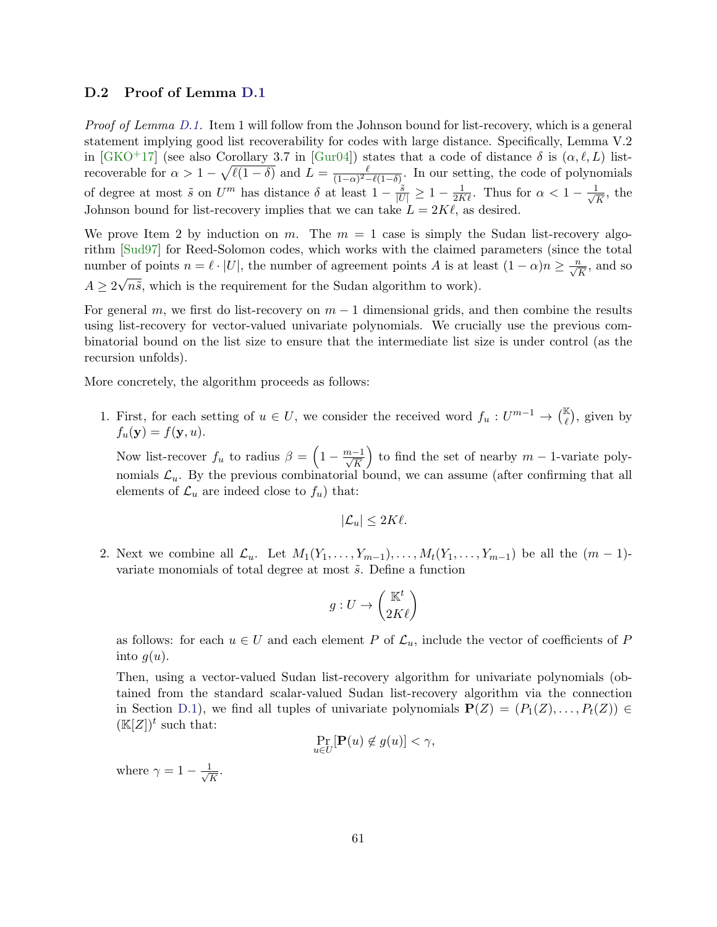### D.2 Proof of Lemma [D.1](#page-60-1)

Proof of Lemma [D.1.](#page-60-1) Item 1 will follow from the Johnson bound for list-recovery, which is a general statement implying good list recoverability for codes with large distance. Specifically, Lemma V.2 in [\[GKO](#page-54-3)<sup>+</sup>17] (see also Corollary 3.7 in [\[Gur04\]](#page-55-12)) states that a code of distance  $\delta$  is  $(\alpha, \ell, L)$  listrecoverable for  $\alpha > 1 - \sqrt{\ell(1-\delta)}$  and  $L = \frac{\ell}{(1-\alpha)^2}$  $\frac{\ell}{(1-\alpha)^2-\ell(1-\delta)}$ . In our setting, the code of polynomials of degree at most  $\tilde{s}$  on  $U^m$  has distance  $\delta$  at least  $1 - \frac{\tilde{s}}{|U|} \geq 1 - \frac{1}{2K\ell}$ . Thus for  $\alpha < 1 - \frac{1}{\sqrt{N}}$  $\frac{1}{\overline{K}}$ , the Johnson bound for list-recovery implies that we can take  $L = 2K\ell$ , as desired.

We prove Item 2 by induction on m. The  $m = 1$  case is simply the Sudan list-recovery algorithm [\[Sud97\]](#page-56-0) for Reed-Solomon codes, which works with the claimed parameters (since the total number of points  $n = \ell \cdot |U|$ , the number of agreement points A is at least  $(1 - \alpha)n \ge \frac{n}{\sqrt{K}}$ , and so  $A \geq 2$ √  $n\tilde{s}$ , which is the requirement for the Sudan algorithm to work).

For general m, we first do list-recovery on  $m-1$  dimensional grids, and then combine the results using list-recovery for vector-valued univariate polynomials. We crucially use the previous combinatorial bound on the list size to ensure that the intermediate list size is under control (as the recursion unfolds).

More concretely, the algorithm proceeds as follows:

1. First, for each setting of  $u \in U$ , we consider the received word  $f_u: U^{m-1} \to \binom{\mathbb{K}}{\ell}$ , given by  $f_u(\mathbf{y}) = f(\mathbf{y}, u).$ 

Now list-recover  $f_u$  to radius  $\beta = \left(1 - \frac{m-1}{\sqrt{K}}\right)$ to find the set of nearby  $m-1$ -variate polynomials  $\mathcal{L}_u$ . By the previous combinatorial bound, we can assume (after confirming that all elements of  $\mathcal{L}_u$  are indeed close to  $f_u$ ) that:

$$
|\mathcal{L}_u| \le 2K\ell.
$$

2. Next we combine all  $\mathcal{L}_u$ . Let  $M_1(Y_1,\ldots,Y_{m-1}),\ldots,M_t(Y_1,\ldots,Y_{m-1})$  be all the  $(m-1)$ variate monomials of total degree at most  $\tilde{s}$ . Define a function

$$
g:U\to\binom{\mathbb{K}^t}{2K\ell}
$$

as follows: for each  $u \in U$  and each element P of  $\mathcal{L}_u$ , include the vector of coefficients of P into  $g(u)$ .

Then, using a vector-valued Sudan list-recovery algorithm for univariate polynomials (obtained from the standard scalar-valued Sudan list-recovery algorithm via the connection in Section [D.1\)](#page-60-2), we find all tuples of univariate polynomials  $P(Z) = (P_1(Z), \ldots, P_t(Z)) \in$  $(\mathbb{K}[Z])^t$  such that:

$$
\Pr_{u \in U}[\mathbf{P}(u) \notin g(u)] < \gamma,
$$

where  $\gamma = 1 - \frac{1}{\sqrt{3}}$  $\frac{\mathsf{L}}{K}$ .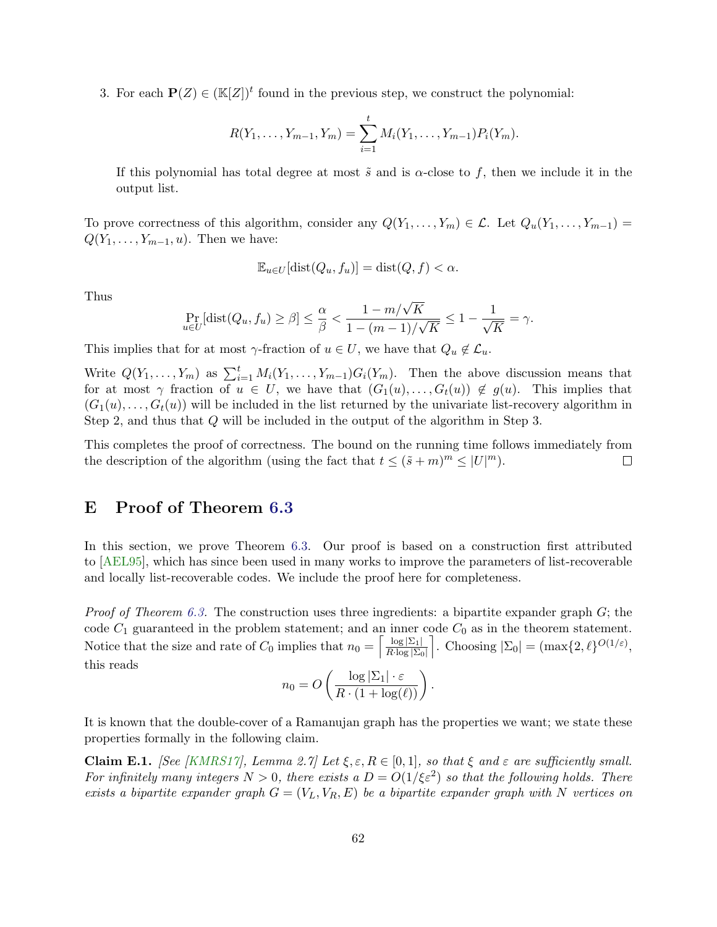3. For each  $\mathbf{P}(Z) \in (\mathbb{K}[Z])^t$  found in the previous step, we construct the polynomial:

$$
R(Y_1, \ldots, Y_{m-1}, Y_m) = \sum_{i=1}^t M_i(Y_1, \ldots, Y_{m-1}) P_i(Y_m).
$$

If this polynomial has total degree at most  $\tilde{s}$  and is  $\alpha$ -close to f, then we include it in the output list.

To prove correctness of this algorithm, consider any  $Q(Y_1, \ldots, Y_m) \in \mathcal{L}$ . Let  $Q_u(Y_1, \ldots, Y_{m-1}) =$  $Q(Y_1, \ldots, Y_{m-1}, u)$ . Then we have:

$$
\mathbb{E}_{u \in U}[\text{dist}(Q_u, f_u)] = \text{dist}(Q, f) < \alpha.
$$

Thus

$$
\Pr_{u \in U}[\text{dist}(Q_u, f_u) \ge \beta] \le \frac{\alpha}{\beta} < \frac{1 - m/\sqrt{K}}{1 - (m - 1)/\sqrt{K}} \le 1 - \frac{1}{\sqrt{K}} = \gamma.
$$

This implies that for at most  $\gamma$ -fraction of  $u \in U$ , we have that  $Q_u \notin \mathcal{L}_u$ .

Write  $Q(Y_1,\ldots,Y_m)$  as  $\sum_{i=1}^t M_i(Y_1,\ldots,Y_{m-1})G_i(Y_m)$ . Then the above discussion means that for at most  $\gamma$  fraction of  $u \in U$ , we have that  $(G_1(u),...,G_t(u)) \notin g(u)$ . This implies that  $(G_1(u), \ldots, G_t(u))$  will be included in the list returned by the univariate list-recovery algorithm in Step 2, and thus that Q will be included in the output of the algorithm in Step 3.

This completes the proof of correctness. The bound on the running time follows immediately from the description of the algorithm (using the fact that  $t \leq (\tilde{s} + m)^m \leq |U|^m$ ).  $\Box$ 

### <span id="page-62-0"></span>E Proof of Theorem [6.3](#page-47-0)

In this section, we prove Theorem [6.3.](#page-47-0) Our proof is based on a construction first attributed to [\[AEL95\]](#page-53-2), which has since been used in many works to improve the parameters of list-recoverable and locally list-recoverable codes. We include the proof here for completeness.

*Proof of Theorem [6.3.](#page-47-0)* The construction uses three ingredients: a bipartite expander graph  $G$ ; the code  $C_1$  guaranteed in the problem statement; and an inner code  $C_0$  as in the theorem statement. Notice that the size and rate of  $C_0$  implies that  $n_0 = \left[\frac{\log |\Sigma_1|}{R \cdot \log |\Sigma_0|}\right]$  $\overline{R\cdot \log |\Sigma_0|}$ . Choosing  $|\Sigma_0| = (\max\{2,\ell\}^{O(1/\varepsilon)},$ this reads

$$
n_0 = O\left(\frac{\log |\Sigma_1| \cdot \varepsilon}{R \cdot (1 + \log(\ell))}\right).
$$

It is known that the double-cover of a Ramanujan graph has the properties we want; we state these properties formally in the following claim.

<span id="page-62-1"></span>**Claim E.1.** [See [\[KMRS17\]](#page-55-3), Lemma 2.7] Let  $\xi, \varepsilon, R \in [0, 1]$ , so that  $\xi$  and  $\varepsilon$  are sufficiently small. For infinitely many integers  $N > 0$ , there exists a  $D = O(1/\xi \varepsilon^2)$  so that the following holds. There exists a bipartite expander graph  $G = (V_L, V_R, E)$  be a bipartite expander graph with N vertices on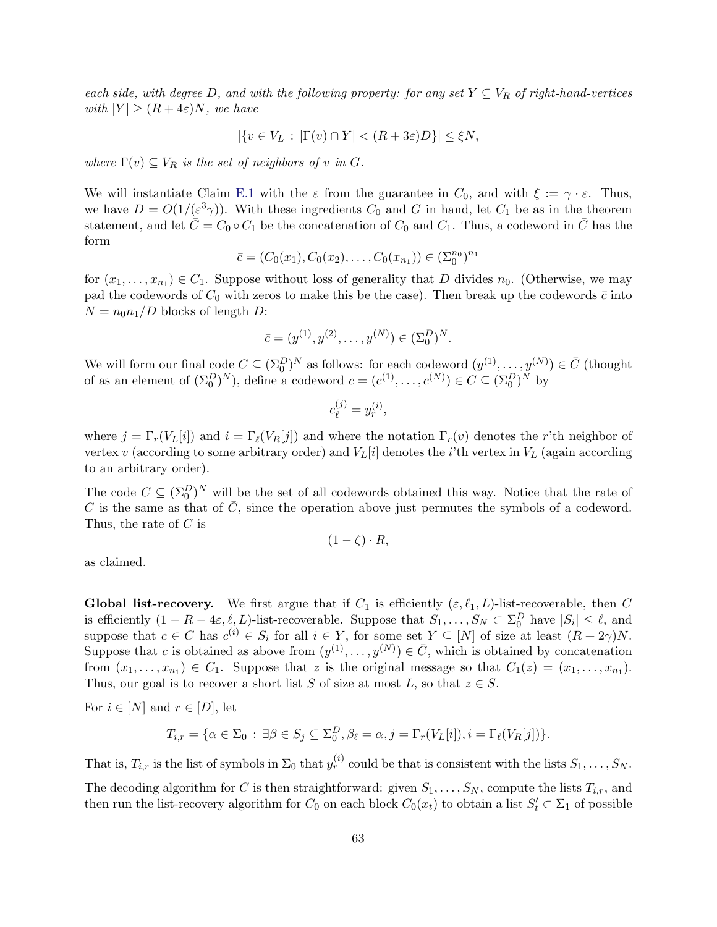each side, with degree D, and with the following property: for any set  $Y \subseteq V_R$  of right-hand-vertices with  $|Y| \geq (R + 4\varepsilon)N$ , we have

$$
|\{v \in V_L : |\Gamma(v) \cap Y| < (R + 3\varepsilon)D\}| \le \xi N,
$$

where  $\Gamma(v) \subseteq V_R$  is the set of neighbors of v in G.

We will instantiate Claim [E.1](#page-62-1) with the  $\varepsilon$  from the guarantee in  $C_0$ , and with  $\xi := \gamma \cdot \varepsilon$ . Thus, we have  $D = O(1/(\varepsilon^3 \gamma))$ . With these ingredients  $C_0$  and G in hand, let  $C_1$  be as in the theorem statement, and let  $\overline{C} = C_0 \circ C_1$  be the concatenation of  $C_0$  and  $C_1$ . Thus, a codeword in C has the form

$$
\bar{c} = (C_0(x_1), C_0(x_2), \dots, C_0(x_{n_1})) \in (\Sigma_0^{n_0})^{n_1}
$$

for  $(x_1, \ldots, x_{n_1}) \in C_1$ . Suppose without loss of generality that D divides  $n_0$ . (Otherwise, we may pad the codewords of  $C_0$  with zeros to make this be the case). Then break up the codewords  $\bar{c}$  into  $N = n_0 n_1/D$  blocks of length D:

$$
\bar{c} = (y^{(1)}, y^{(2)}, \dots, y^{(N)}) \in (\Sigma_0^D)^N.
$$

We will form our final code  $C \subseteq (\Sigma_0^D)^N$  as follows: for each codeword  $(y^{(1)}, \ldots, y^{(N)}) \in \bar{C}$  (thought of as an element of  $(\Sigma_0^D)^N$ ), define a codeword  $c = (c^{(1)}, \ldots, c^{(N)}) \in C \subseteq (\Sigma_0^D)^N$  by

$$
c_{\ell}^{(j)}=y_r^{(i)},
$$

where  $j = \Gamma_r(V_L[i])$  and  $i = \Gamma_\ell(V_R[j])$  and where the notation  $\Gamma_r(v)$  denotes the r'th neighbor of vertex v (according to some arbitrary order) and  $V_L[i]$  denotes the *i*'th vertex in  $V_L$  (again according to an arbitrary order).

The code  $C \subseteq (\Sigma_0^D)^N$  will be the set of all codewords obtained this way. Notice that the rate of C is the same as that of  $\overline{C}$ , since the operation above just permutes the symbols of a codeword. Thus, the rate of C is

$$
(1 - \zeta) \cdot R,
$$

as claimed.

**Global list-recovery.** We first argue that if  $C_1$  is efficiently  $(\varepsilon, \ell_1, L)$ -list-recoverable, then C is efficiently  $(1 - R - 4\varepsilon, \ell, L)$ -list-recoverable. Suppose that  $S_1, \ldots, S_N \subset \Sigma_0^D$  have  $|S_i| \leq \ell$ , and suppose that  $c \in C$  has  $c^{(i)} \in S_i$  for all  $i \in Y$ , for some set  $Y \subseteq [N]$  of size at least  $(R + 2\gamma)N$ . Suppose that c is obtained as above from  $(y^{(1)}, \ldots, y^{(N)}) \in \overline{C}$ , which is obtained by concatenation from  $(x_1, \ldots, x_{n_1}) \in C_1$ . Suppose that z is the original message so that  $C_1(z) = (x_1, \ldots, x_{n_1})$ . Thus, our goal is to recover a short list S of size at most L, so that  $z \in S$ .

For  $i \in [N]$  and  $r \in [D]$ , let

$$
T_{i,r} = \{ \alpha \in \Sigma_0 : \exists \beta \in S_j \subseteq \Sigma_0^D, \beta_\ell = \alpha, j = \Gamma_r(V_L[i]), i = \Gamma_\ell(V_R[j]) \}.
$$

That is,  $T_{i,r}$  is the list of symbols in  $\Sigma_0$  that  $y_r^{(i)}$  could be that is consistent with the lists  $S_1, \ldots, S_N$ .

The decoding algorithm for C is then straightforward: given  $S_1, \ldots, S_N$ , compute the lists  $T_{i,r}$ , and then run the list-recovery algorithm for  $C_0$  on each block  $C_0(x_t)$  to obtain a list  $S'_t \subset \Sigma_1$  of possible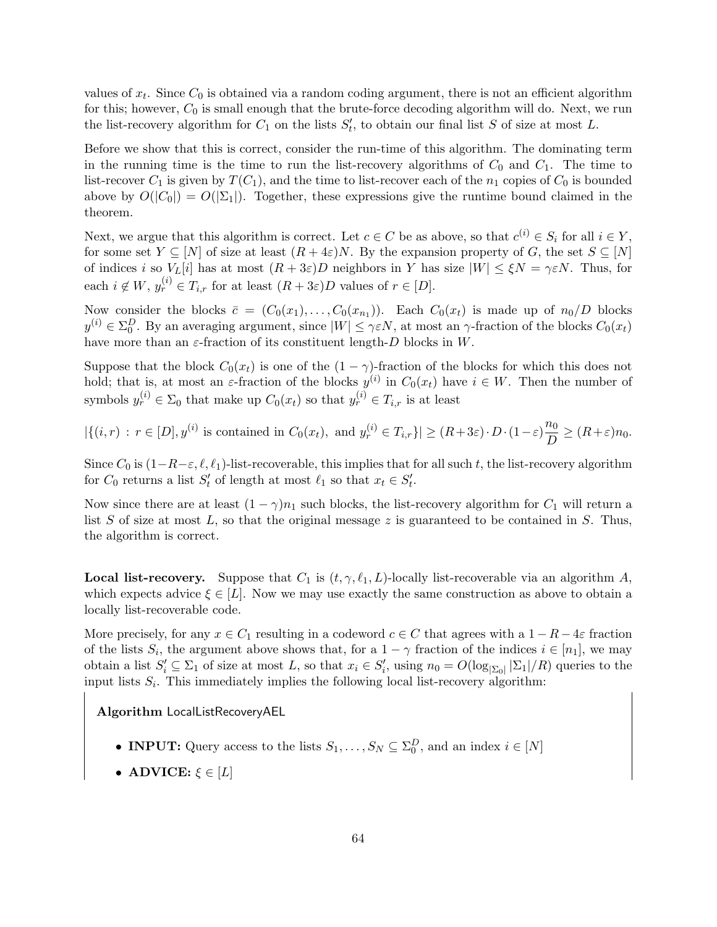values of  $x_t$ . Since  $C_0$  is obtained via a random coding argument, there is not an efficient algorithm for this; however,  $C_0$  is small enough that the brute-force decoding algorithm will do. Next, we run the list-recovery algorithm for  $C_1$  on the lists  $S'_t$ , to obtain our final list S of size at most L.

Before we show that this is correct, consider the run-time of this algorithm. The dominating term in the running time is the time to run the list-recovery algorithms of  $C_0$  and  $C_1$ . The time to list-recover  $C_1$  is given by  $T(C_1)$ , and the time to list-recover each of the  $n_1$  copies of  $C_0$  is bounded above by  $O(|C_0|) = O(|\Sigma_1|)$ . Together, these expressions give the runtime bound claimed in the theorem.

Next, we argue that this algorithm is correct. Let  $c \in C$  be as above, so that  $c^{(i)} \in S_i$  for all  $i \in Y$ , for some set  $Y \subseteq [N]$  of size at least  $(R + 4\varepsilon)N$ . By the expansion property of G, the set  $S \subseteq [N]$ of indices i so  $V_L[i]$  has at most  $(R + 3\varepsilon)D$  neighbors in Y has size  $|W| \le \xi N = \gamma \varepsilon N$ . Thus, for each  $i \notin W$ ,  $y_r^{(i)} \in T_{i,r}$  for at least  $(R+3\varepsilon)D$  values of  $r \in [D]$ .

Now consider the blocks  $\bar{c} = (C_0(x_1), \ldots, C_0(x_{n_1}))$ . Each  $C_0(x_t)$  is made up of  $n_0/D$  blocks  $y^{(i)} \in \Sigma_0^D$ . By an averaging argument, since  $|W| \leq \gamma \varepsilon N$ , at most an  $\gamma$ -fraction of the blocks  $C_0(x_t)$ have more than an  $\varepsilon$ -fraction of its constituent length-D blocks in W.

Suppose that the block  $C_0(x_t)$  is one of the  $(1 - \gamma)$ -fraction of the blocks for which this does not hold; that is, at most an  $\varepsilon$ -fraction of the blocks  $y^{(i)}$  in  $C_0(x_t)$  have  $i \in W$ . Then the number of symbols  $y_r^{(i)} \in \Sigma_0$  that make up  $C_0(x_t)$  so that  $y_r^{(i)} \in T_{i,r}$  is at least

 $|\{(i,r): r \in [D], y^{(i)} \text{ is contained in } C_0(x_t), \text{ and } y_r^{(i)} \in T_{i,r}\}| \geq (R+3\varepsilon) \cdot D \cdot (1-\varepsilon) \frac{n_0}{D}$  $\frac{n_0}{D} \geq (R+\varepsilon)n_0.$ 

Since  $C_0$  is  $(1-R-\varepsilon, \ell, \ell_1)$ -list-recoverable, this implies that for all such t, the list-recovery algorithm for  $C_0$  returns a list  $S'_t$  of length at most  $\ell_1$  so that  $x_t \in S'_t$ .

Now since there are at least  $(1 - \gamma)n_1$  such blocks, the list-recovery algorithm for  $C_1$  will return a list  $S$  of size at most  $L$ , so that the original message  $z$  is guaranteed to be contained in  $S$ . Thus, the algorithm is correct.

**Local list-recovery.** Suppose that  $C_1$  is  $(t, \gamma, \ell_1, L)$ -locally list-recoverable via an algorithm A, which expects advice  $\xi \in [L]$ . Now we may use exactly the same construction as above to obtain a locally list-recoverable code.

More precisely, for any  $x \in C_1$  resulting in a codeword  $c \in C$  that agrees with a  $1 - R - 4\varepsilon$  fraction of the lists  $S_i$ , the argument above shows that, for a  $1 - \gamma$  fraction of the indices  $i \in [n_1]$ , we may obtain a list  $S_i' \subseteq \Sigma_1$  of size at most L, so that  $x_i \in S_i'$ , using  $n_0 = O(\log_{|\Sigma_0|} |\Sigma_1|/R)$  queries to the input lists  $S_i$ . This immediately implies the following local list-recovery algorithm:

Algorithm LocalListRecoveryAEL

- **INPUT:** Query access to the lists  $S_1, \ldots, S_N \subseteq \Sigma_0^D$ , and an index  $i \in [N]$
- ADVICE:  $\xi \in [L]$